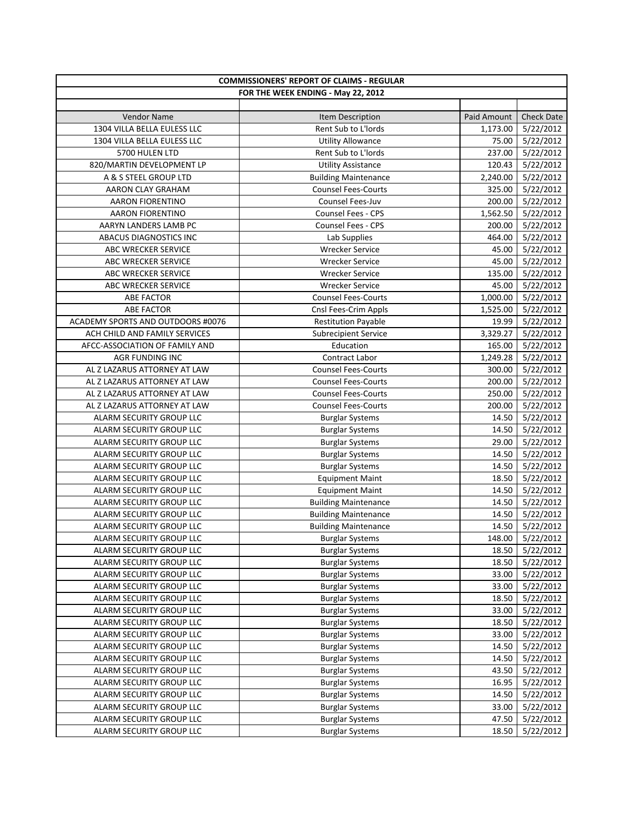| <b>COMMISSIONERS' REPORT OF CLAIMS - REGULAR</b> |                                    |             |                   |
|--------------------------------------------------|------------------------------------|-------------|-------------------|
|                                                  | FOR THE WEEK ENDING - May 22, 2012 |             |                   |
|                                                  |                                    |             |                   |
| <b>Vendor Name</b>                               | Item Description                   | Paid Amount | <b>Check Date</b> |
| 1304 VILLA BELLA EULESS LLC                      | Rent Sub to L'Iords                | 1,173.00    | 5/22/2012         |
| 1304 VILLA BELLA EULESS LLC                      | <b>Utility Allowance</b>           | 75.00       | 5/22/2012         |
| 5700 HULEN LTD                                   | Rent Sub to L'Iords                | 237.00      | 5/22/2012         |
| 820/MARTIN DEVELOPMENT LP                        | <b>Utility Assistance</b>          | 120.43      | 5/22/2012         |
| A & S STEEL GROUP LTD                            | <b>Building Maintenance</b>        | 2,240.00    | 5/22/2012         |
| AARON CLAY GRAHAM                                | <b>Counsel Fees-Courts</b>         | 325.00      | 5/22/2012         |
| <b>AARON FIORENTINO</b>                          | Counsel Fees-Juv                   | 200.00      | 5/22/2012         |
| <b>AARON FIORENTINO</b>                          | <b>Counsel Fees - CPS</b>          | 1,562.50    | 5/22/2012         |
| AARYN LANDERS LAMB PC                            | <b>Counsel Fees - CPS</b>          | 200.00      | 5/22/2012         |
| ABACUS DIAGNOSTICS INC                           | Lab Supplies                       | 464.00      | 5/22/2012         |
| ABC WRECKER SERVICE                              | <b>Wrecker Service</b>             | 45.00       | 5/22/2012         |
| ABC WRECKER SERVICE                              | <b>Wrecker Service</b>             | 45.00       | 5/22/2012         |
| ABC WRECKER SERVICE                              | <b>Wrecker Service</b>             | 135.00      | 5/22/2012         |
| ABC WRECKER SERVICE                              | <b>Wrecker Service</b>             | 45.00       | 5/22/2012         |
| <b>ABE FACTOR</b>                                | <b>Counsel Fees-Courts</b>         | 1,000.00    | 5/22/2012         |
| <b>ABE FACTOR</b>                                | Cnsl Fees-Crim Appls               | 1,525.00    | 5/22/2012         |
| ACADEMY SPORTS AND OUTDOORS #0076                | <b>Restitution Payable</b>         | 19.99       | 5/22/2012         |
| ACH CHILD AND FAMILY SERVICES                    | <b>Subrecipient Service</b>        | 3,329.27    | 5/22/2012         |
| AFCC-ASSOCIATION OF FAMILY AND                   | Education                          | 165.00      | 5/22/2012         |
| <b>AGR FUNDING INC</b>                           | Contract Labor                     | 1,249.28    | 5/22/2012         |
| AL Z LAZARUS ATTORNEY AT LAW                     | <b>Counsel Fees-Courts</b>         | 300.00      | 5/22/2012         |
| AL Z LAZARUS ATTORNEY AT LAW                     | <b>Counsel Fees-Courts</b>         | 200.00      | 5/22/2012         |
| AL Z LAZARUS ATTORNEY AT LAW                     | <b>Counsel Fees-Courts</b>         | 250.00      | 5/22/2012         |
| AL Z LAZARUS ATTORNEY AT LAW                     | <b>Counsel Fees-Courts</b>         | 200.00      | 5/22/2012         |
| ALARM SECURITY GROUP LLC                         | <b>Burglar Systems</b>             | 14.50       | 5/22/2012         |
| ALARM SECURITY GROUP LLC                         | <b>Burglar Systems</b>             | 14.50       | 5/22/2012         |
| ALARM SECURITY GROUP LLC                         | <b>Burglar Systems</b>             | 29.00       | 5/22/2012         |
| ALARM SECURITY GROUP LLC                         | <b>Burglar Systems</b>             | 14.50       | 5/22/2012         |
| ALARM SECURITY GROUP LLC                         | <b>Burglar Systems</b>             | 14.50       | 5/22/2012         |
| ALARM SECURITY GROUP LLC                         | <b>Equipment Maint</b>             | 18.50       | 5/22/2012         |
| ALARM SECURITY GROUP LLC                         | <b>Equipment Maint</b>             | 14.50       | 5/22/2012         |
| ALARM SECURITY GROUP LLC                         | <b>Building Maintenance</b>        | 14.50       | 5/22/2012         |
| ALARM SECURITY GROUP LLC                         | <b>Building Maintenance</b>        | 14.50       | 5/22/2012         |
| ALARM SECURITY GROUP LLC                         | <b>Building Maintenance</b>        | 14.50       | 5/22/2012         |
| ALARM SECURITY GROUP LLC                         | <b>Burglar Systems</b>             |             | 148.00 5/22/2012  |
| ALARM SECURITY GROUP LLC                         | <b>Burglar Systems</b>             | 18.50       | 5/22/2012         |
| ALARM SECURITY GROUP LLC                         | <b>Burglar Systems</b>             | 18.50       | 5/22/2012         |
| ALARM SECURITY GROUP LLC                         | <b>Burglar Systems</b>             | 33.00       | 5/22/2012         |
| ALARM SECURITY GROUP LLC                         | <b>Burglar Systems</b>             | 33.00       | 5/22/2012         |
| ALARM SECURITY GROUP LLC                         | <b>Burglar Systems</b>             | 18.50       | 5/22/2012         |
| ALARM SECURITY GROUP LLC                         | <b>Burglar Systems</b>             | 33.00       | 5/22/2012         |
| ALARM SECURITY GROUP LLC                         | <b>Burglar Systems</b>             | 18.50       | 5/22/2012         |
| ALARM SECURITY GROUP LLC                         | <b>Burglar Systems</b>             | 33.00       | 5/22/2012         |
| ALARM SECURITY GROUP LLC                         | <b>Burglar Systems</b>             | 14.50       | 5/22/2012         |
| ALARM SECURITY GROUP LLC                         | <b>Burglar Systems</b>             | 14.50       | 5/22/2012         |
| ALARM SECURITY GROUP LLC                         | <b>Burglar Systems</b>             | 43.50       | 5/22/2012         |
| ALARM SECURITY GROUP LLC                         | <b>Burglar Systems</b>             | 16.95       | 5/22/2012         |
| ALARM SECURITY GROUP LLC                         | <b>Burglar Systems</b>             | 14.50       | 5/22/2012         |
| ALARM SECURITY GROUP LLC                         | <b>Burglar Systems</b>             | 33.00       | 5/22/2012         |
| ALARM SECURITY GROUP LLC                         | <b>Burglar Systems</b>             | 47.50       | 5/22/2012         |
| ALARM SECURITY GROUP LLC                         | <b>Burglar Systems</b>             | 18.50       | 5/22/2012         |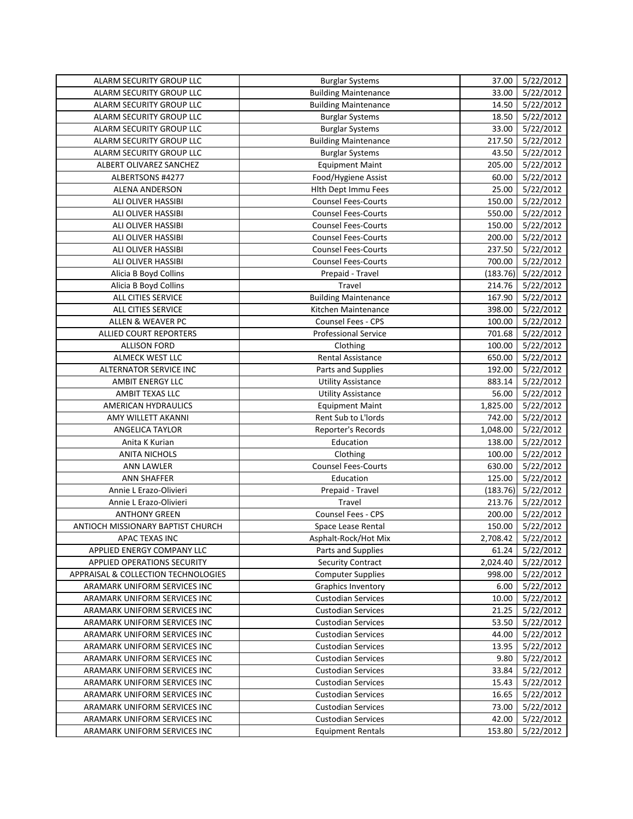| ALARM SECURITY GROUP LLC            | <b>Burglar Systems</b>      | 37.00    | 5/22/2012          |
|-------------------------------------|-----------------------------|----------|--------------------|
| ALARM SECURITY GROUP LLC            | <b>Building Maintenance</b> | 33.00    | 5/22/2012          |
| ALARM SECURITY GROUP LLC            | <b>Building Maintenance</b> | 14.50    | 5/22/2012          |
| ALARM SECURITY GROUP LLC            | <b>Burglar Systems</b>      | 18.50    | 5/22/2012          |
| ALARM SECURITY GROUP LLC            | <b>Burglar Systems</b>      | 33.00    | 5/22/2012          |
| ALARM SECURITY GROUP LLC            | <b>Building Maintenance</b> | 217.50   | 5/22/2012          |
| ALARM SECURITY GROUP LLC            | <b>Burglar Systems</b>      | 43.50    | 5/22/2012          |
| ALBERT OLIVAREZ SANCHEZ             | <b>Equipment Maint</b>      | 205.00   | 5/22/2012          |
| ALBERTSONS #4277                    | Food/Hygiene Assist         | 60.00    | 5/22/2012          |
| ALENA ANDERSON                      | <b>Hith Dept Immu Fees</b>  | 25.00    | 5/22/2012          |
| ALI OLIVER HASSIBI                  | <b>Counsel Fees-Courts</b>  | 150.00   | 5/22/2012          |
| ALI OLIVER HASSIBI                  | <b>Counsel Fees-Courts</b>  | 550.00   | 5/22/2012          |
| ALI OLIVER HASSIBI                  | <b>Counsel Fees-Courts</b>  | 150.00   | 5/22/2012          |
| ALI OLIVER HASSIBI                  | <b>Counsel Fees-Courts</b>  | 200.00   | 5/22/2012          |
| ALI OLIVER HASSIBI                  | <b>Counsel Fees-Courts</b>  | 237.50   | 5/22/2012          |
| ALI OLIVER HASSIBI                  | <b>Counsel Fees-Courts</b>  | 700.00   | 5/22/2012          |
| Alicia B Boyd Collins               | Prepaid - Travel            | (183.76) | 5/22/2012          |
| Alicia B Boyd Collins               | Travel                      | 214.76   | 5/22/2012          |
| ALL CITIES SERVICE                  | <b>Building Maintenance</b> | 167.90   | 5/22/2012          |
| <b>ALL CITIES SERVICE</b>           | Kitchen Maintenance         | 398.00   | 5/22/2012          |
| <b>ALLEN &amp; WEAVER PC</b>        | Counsel Fees - CPS          | 100.00   | 5/22/2012          |
| <b>ALLIED COURT REPORTERS</b>       | <b>Professional Service</b> | 701.68   | 5/22/2012          |
| <b>ALLISON FORD</b>                 | Clothing                    | 100.00   | 5/22/2012          |
| ALMECK WEST LLC                     | <b>Rental Assistance</b>    | 650.00   | 5/22/2012          |
| ALTERNATOR SERVICE INC              | Parts and Supplies          | 192.00   | 5/22/2012          |
| AMBIT ENERGY LLC                    | <b>Utility Assistance</b>   | 883.14   | 5/22/2012          |
| AMBIT TEXAS LLC                     | <b>Utility Assistance</b>   | 56.00    | 5/22/2012          |
| AMERICAN HYDRAULICS                 | <b>Equipment Maint</b>      | 1,825.00 | 5/22/2012          |
| AMY WILLETT AKANNI                  | Rent Sub to L'Iords         | 742.00   | 5/22/2012          |
| <b>ANGELICA TAYLOR</b>              | Reporter's Records          | 1,048.00 | 5/22/2012          |
| Anita K Kurian                      | Education                   | 138.00   | 5/22/2012          |
| <b>ANITA NICHOLS</b>                | Clothing                    | 100.00   | 5/22/2012          |
| <b>ANN LAWLER</b>                   | <b>Counsel Fees-Courts</b>  | 630.00   | 5/22/2012          |
| <b>ANN SHAFFER</b>                  | Education                   | 125.00   | 5/22/2012          |
| Annie L Erazo-Olivieri              | Prepaid - Travel            | (183.76) | 5/22/2012          |
| Annie L Erazo-Olivieri              | Travel                      | 213.76   | 5/22/2012          |
| <b>ANTHONY GREEN</b>                | Counsel Fees - CPS          | 200.00   | 5/22/2012          |
| ANTIOCH MISSIONARY BAPTIST CHURCH   | Space Lease Rental          | 150.00   | 5/22/2012          |
| APAC TEXAS INC                      | Asphalt-Rock/Hot Mix        |          | 2,708.42 5/22/2012 |
| APPLIED ENERGY COMPANY LLC          | Parts and Supplies          | 61.24    | 5/22/2012          |
| APPLIED OPERATIONS SECURITY         | <b>Security Contract</b>    | 2,024.40 | 5/22/2012          |
| APPRAISAL & COLLECTION TECHNOLOGIES | <b>Computer Supplies</b>    | 998.00   | 5/22/2012          |
| ARAMARK UNIFORM SERVICES INC        | <b>Graphics Inventory</b>   | 6.00     | 5/22/2012          |
| ARAMARK UNIFORM SERVICES INC        | <b>Custodian Services</b>   | 10.00    | 5/22/2012          |
| ARAMARK UNIFORM SERVICES INC        | <b>Custodian Services</b>   | 21.25    | 5/22/2012          |
| ARAMARK UNIFORM SERVICES INC        | <b>Custodian Services</b>   | 53.50    | 5/22/2012          |
| ARAMARK UNIFORM SERVICES INC        | <b>Custodian Services</b>   | 44.00    | 5/22/2012          |
| ARAMARK UNIFORM SERVICES INC        | <b>Custodian Services</b>   | 13.95    | 5/22/2012          |
| ARAMARK UNIFORM SERVICES INC        | <b>Custodian Services</b>   | 9.80     | 5/22/2012          |
| ARAMARK UNIFORM SERVICES INC        | <b>Custodian Services</b>   | 33.84    | 5/22/2012          |
| ARAMARK UNIFORM SERVICES INC        | <b>Custodian Services</b>   | 15.43    | 5/22/2012          |
| ARAMARK UNIFORM SERVICES INC        | <b>Custodian Services</b>   | 16.65    | 5/22/2012          |
| ARAMARK UNIFORM SERVICES INC        | <b>Custodian Services</b>   | 73.00    | 5/22/2012          |
| ARAMARK UNIFORM SERVICES INC        | <b>Custodian Services</b>   | 42.00    | 5/22/2012          |
| ARAMARK UNIFORM SERVICES INC        | <b>Equipment Rentals</b>    | 153.80   | 5/22/2012          |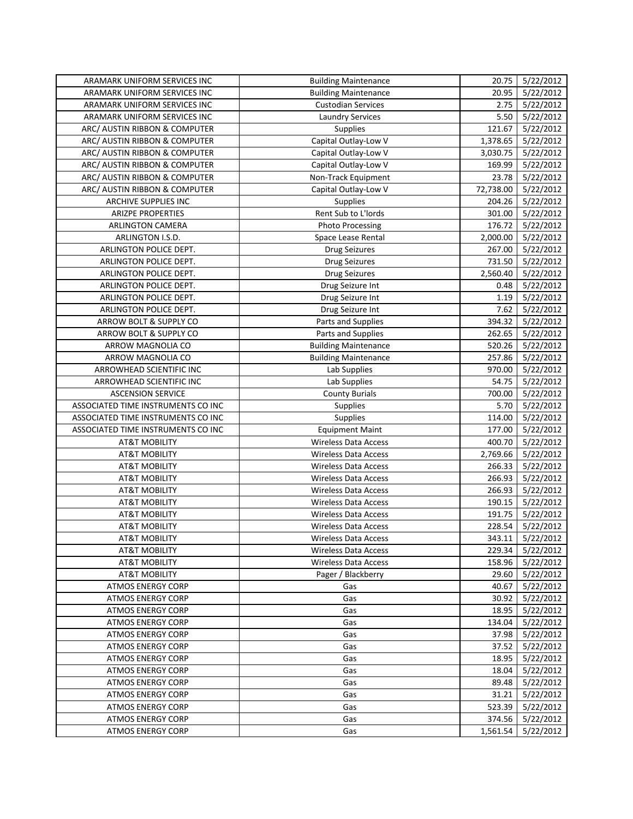| ARAMARK UNIFORM SERVICES INC       | <b>Building Maintenance</b> | 20.75     | 5/22/2012        |
|------------------------------------|-----------------------------|-----------|------------------|
| ARAMARK UNIFORM SERVICES INC       | <b>Building Maintenance</b> | 20.95     | 5/22/2012        |
| ARAMARK UNIFORM SERVICES INC       | <b>Custodian Services</b>   | 2.75      | 5/22/2012        |
| ARAMARK UNIFORM SERVICES INC       | <b>Laundry Services</b>     | 5.50      | 5/22/2012        |
| ARC/ AUSTIN RIBBON & COMPUTER      | Supplies                    | 121.67    | 5/22/2012        |
| ARC/ AUSTIN RIBBON & COMPUTER      | Capital Outlay-Low V        | 1,378.65  | 5/22/2012        |
| ARC/ AUSTIN RIBBON & COMPUTER      | Capital Outlay-Low V        | 3,030.75  | 5/22/2012        |
| ARC/ AUSTIN RIBBON & COMPUTER      | Capital Outlay-Low V        | 169.99    | 5/22/2012        |
| ARC/ AUSTIN RIBBON & COMPUTER      | Non-Track Equipment         | 23.78     | 5/22/2012        |
| ARC/ AUSTIN RIBBON & COMPUTER      | Capital Outlay-Low V        | 72,738.00 | 5/22/2012        |
| ARCHIVE SUPPLIES INC               | <b>Supplies</b>             | 204.26    | 5/22/2012        |
| <b>ARIZPE PROPERTIES</b>           | Rent Sub to L'Iords         | 301.00    | 5/22/2012        |
| <b>ARLINGTON CAMERA</b>            | <b>Photo Processing</b>     | 176.72    | 5/22/2012        |
| ARLINGTON I.S.D.                   | Space Lease Rental          | 2,000.00  | 5/22/2012        |
| ARLINGTON POLICE DEPT.             | <b>Drug Seizures</b>        | 267.00    | 5/22/2012        |
| ARLINGTON POLICE DEPT.             | <b>Drug Seizures</b>        | 731.50    | 5/22/2012        |
| ARLINGTON POLICE DEPT.             | <b>Drug Seizures</b>        | 2,560.40  | 5/22/2012        |
| ARLINGTON POLICE DEPT.             | Drug Seizure Int            | 0.48      | 5/22/2012        |
| ARLINGTON POLICE DEPT.             | Drug Seizure Int            | 1.19      | 5/22/2012        |
| ARLINGTON POLICE DEPT.             | Drug Seizure Int            | 7.62      | 5/22/2012        |
| ARROW BOLT & SUPPLY CO             | Parts and Supplies          | 394.32    | 5/22/2012        |
| ARROW BOLT & SUPPLY CO             | Parts and Supplies          | 262.65    | 5/22/2012        |
| ARROW MAGNOLIA CO                  | <b>Building Maintenance</b> | 520.26    | 5/22/2012        |
| ARROW MAGNOLIA CO                  | <b>Building Maintenance</b> | 257.86    | 5/22/2012        |
| ARROWHEAD SCIENTIFIC INC           | Lab Supplies                | 970.00    | 5/22/2012        |
| ARROWHEAD SCIENTIFIC INC           | Lab Supplies                | 54.75     | 5/22/2012        |
| <b>ASCENSION SERVICE</b>           | <b>County Burials</b>       | 700.00    | 5/22/2012        |
| ASSOCIATED TIME INSTRUMENTS CO INC | <b>Supplies</b>             | 5.70      | 5/22/2012        |
| ASSOCIATED TIME INSTRUMENTS CO INC | Supplies                    | 114.00    | 5/22/2012        |
| ASSOCIATED TIME INSTRUMENTS CO INC | <b>Equipment Maint</b>      | 177.00    | 5/22/2012        |
| <b>AT&amp;T MOBILITY</b>           | <b>Wireless Data Access</b> | 400.70    | 5/22/2012        |
| <b>AT&amp;T MOBILITY</b>           | <b>Wireless Data Access</b> | 2,769.66  | 5/22/2012        |
| <b>AT&amp;T MOBILITY</b>           | <b>Wireless Data Access</b> | 266.33    | 5/22/2012        |
| <b>AT&amp;T MOBILITY</b>           | <b>Wireless Data Access</b> | 266.93    | 5/22/2012        |
| <b>AT&amp;T MOBILITY</b>           | <b>Wireless Data Access</b> | 266.93    | 5/22/2012        |
| <b>AT&amp;T MOBILITY</b>           | <b>Wireless Data Access</b> | 190.15    | 5/22/2012        |
| <b>AT&amp;T MOBILITY</b>           | <b>Wireless Data Access</b> | 191.75    | 5/22/2012        |
| <b>AT&amp;T MOBILITY</b>           | <b>Wireless Data Access</b> | 228.54    | 5/22/2012        |
| <b>AT&amp;T MOBILITY</b>           | <b>Wireless Data Access</b> |           | 343.11 5/22/2012 |
| AT&T MOBILITY                      | Wireless Data Access        | 229.34    | 5/22/2012        |
| <b>AT&amp;T MOBILITY</b>           | <b>Wireless Data Access</b> | 158.96    | 5/22/2012        |
| AT&T MOBILITY                      | Pager / Blackberry          | 29.60     | 5/22/2012        |
| <b>ATMOS ENERGY CORP</b>           | Gas                         | 40.67     | 5/22/2012        |
| <b>ATMOS ENERGY CORP</b>           | Gas                         | 30.92     | 5/22/2012        |
| <b>ATMOS ENERGY CORP</b>           | Gas                         | 18.95     | 5/22/2012        |
| ATMOS ENERGY CORP                  | Gas                         | 134.04    | 5/22/2012        |
| ATMOS ENERGY CORP                  | Gas                         | 37.98     | 5/22/2012        |
| ATMOS ENERGY CORP                  | Gas                         | 37.52     | 5/22/2012        |
| ATMOS ENERGY CORP                  | Gas                         | 18.95     | 5/22/2012        |
| ATMOS ENERGY CORP                  | Gas                         | 18.04     | 5/22/2012        |
| <b>ATMOS ENERGY CORP</b>           | Gas                         | 89.48     | 5/22/2012        |
| <b>ATMOS ENERGY CORP</b>           | Gas                         | 31.21     | 5/22/2012        |
| ATMOS ENERGY CORP                  | Gas                         | 523.39    | 5/22/2012        |
| ATMOS ENERGY CORP                  | Gas                         | 374.56    | 5/22/2012        |
| <b>ATMOS ENERGY CORP</b>           | Gas                         | 1,561.54  | 5/22/2012        |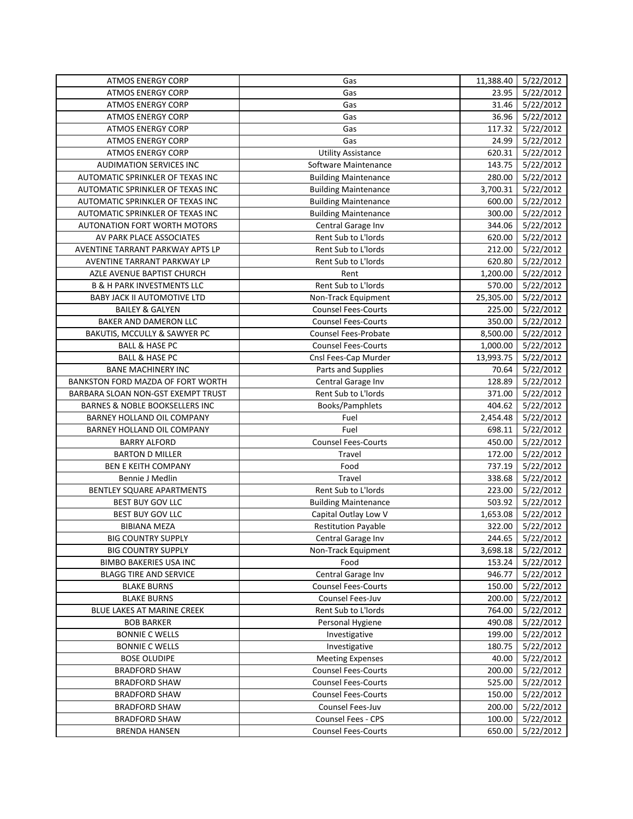| <b>ATMOS ENERGY CORP</b>                     | Gas                                              | 11,388.40 | 5/22/2012          |
|----------------------------------------------|--------------------------------------------------|-----------|--------------------|
| <b>ATMOS ENERGY CORP</b>                     | Gas                                              | 23.95     | 5/22/2012          |
| <b>ATMOS ENERGY CORP</b>                     | Gas                                              | 31.46     | 5/22/2012          |
| <b>ATMOS ENERGY CORP</b>                     | Gas                                              | 36.96     | 5/22/2012          |
| <b>ATMOS ENERGY CORP</b>                     | Gas                                              | 117.32    | 5/22/2012          |
| <b>ATMOS ENERGY CORP</b>                     | Gas                                              | 24.99     | 5/22/2012          |
| <b>ATMOS ENERGY CORP</b>                     | <b>Utility Assistance</b>                        | 620.31    | 5/22/2012          |
| <b>AUDIMATION SERVICES INC</b>               | Software Maintenance                             | 143.75    | 5/22/2012          |
| AUTOMATIC SPRINKLER OF TEXAS INC             | <b>Building Maintenance</b>                      | 280.00    | 5/22/2012          |
| AUTOMATIC SPRINKLER OF TEXAS INC             | <b>Building Maintenance</b>                      | 3,700.31  | 5/22/2012          |
| AUTOMATIC SPRINKLER OF TEXAS INC             | <b>Building Maintenance</b>                      | 600.00    | 5/22/2012          |
| AUTOMATIC SPRINKLER OF TEXAS INC             | <b>Building Maintenance</b>                      | 300.00    | 5/22/2012          |
| AUTONATION FORT WORTH MOTORS                 | Central Garage Inv                               | 344.06    | 5/22/2012          |
| AV PARK PLACE ASSOCIATES                     | Rent Sub to L'Iords                              | 620.00    | 5/22/2012          |
| AVENTINE TARRANT PARKWAY APTS LP             | Rent Sub to L'Iords                              | 212.00    | 5/22/2012          |
| AVENTINE TARRANT PARKWAY LP                  | Rent Sub to L'Iords                              | 620.80    | 5/22/2012          |
| AZLE AVENUE BAPTIST CHURCH                   | Rent                                             | 1,200.00  | 5/22/2012          |
| <b>B &amp; H PARK INVESTMENTS LLC</b>        | Rent Sub to L'Iords                              | 570.00    | 5/22/2012          |
| <b>BABY JACK II AUTOMOTIVE LTD</b>           | Non-Track Equipment                              | 25,305.00 | 5/22/2012          |
| <b>BAILEY &amp; GALYEN</b>                   | <b>Counsel Fees-Courts</b>                       | 225.00    | 5/22/2012          |
| BAKER AND DAMERON LLC                        | <b>Counsel Fees-Courts</b>                       | 350.00    | 5/22/2012          |
| BAKUTIS, MCCULLY & SAWYER PC                 | Counsel Fees-Probate                             | 8,500.00  | 5/22/2012          |
| <b>BALL &amp; HASE PC</b>                    | <b>Counsel Fees-Courts</b>                       | 1,000.00  | 5/22/2012          |
| <b>BALL &amp; HASE PC</b>                    | Cnsl Fees-Cap Murder                             | 13,993.75 | 5/22/2012          |
| <b>BANE MACHINERY INC</b>                    | Parts and Supplies                               | 70.64     | 5/22/2012          |
| BANKSTON FORD MAZDA OF FORT WORTH            | Central Garage Inv                               | 128.89    | 5/22/2012          |
| BARBARA SLOAN NON-GST EXEMPT TRUST           | Rent Sub to L'Iords                              | 371.00    | 5/22/2012          |
| BARNES & NOBLE BOOKSELLERS INC               | Books/Pamphlets                                  | 404.62    | 5/22/2012          |
| BARNEY HOLLAND OIL COMPANY                   | Fuel                                             | 2,454.48  | 5/22/2012          |
| BARNEY HOLLAND OIL COMPANY                   | Fuel                                             | 698.11    | 5/22/2012          |
| <b>BARRY ALFORD</b>                          | <b>Counsel Fees-Courts</b>                       | 450.00    | 5/22/2012          |
| <b>BARTON D MILLER</b>                       | Travel                                           | 172.00    | 5/22/2012          |
| <b>BEN E KEITH COMPANY</b>                   | Food                                             | 737.19    | 5/22/2012          |
| Bennie J Medlin                              | Travel                                           | 338.68    | 5/22/2012          |
| BENTLEY SQUARE APARTMENTS                    | Rent Sub to L'Iords                              | 223.00    | 5/22/2012          |
| BEST BUY GOV LLC                             | <b>Building Maintenance</b>                      | 503.92    | 5/22/2012          |
| BEST BUY GOV LLC                             | Capital Outlay Low V                             | 1,653.08  | 5/22/2012          |
| <b>BIBIANA MEZA</b>                          | <b>Restitution Payable</b>                       | 322.00    | 5/22/2012          |
| <b>BIG COUNTRY SUPPLY</b>                    | Central Garage Inv                               |           | 244.65   5/22/2012 |
| <b>BIG COUNTRY SUPPLY</b>                    | Non-Track Equipment                              | 3,698.18  | 5/22/2012          |
| <b>BIMBO BAKERIES USA INC</b>                | Food                                             | 153.24    | 5/22/2012          |
| <b>BLAGG TIRE AND SERVICE</b>                | Central Garage Inv                               | 946.77    | 5/22/2012          |
| <b>BLAKE BURNS</b>                           | <b>Counsel Fees-Courts</b>                       | 150.00    | 5/22/2012          |
| <b>BLAKE BURNS</b>                           | Counsel Fees-Juv                                 | 200.00    | 5/22/2012          |
| BLUE LAKES AT MARINE CREEK                   | Rent Sub to L'Iords                              | 764.00    | 5/22/2012          |
| <b>BOB BARKER</b>                            | Personal Hygiene                                 | 490.08    | 5/22/2012          |
| <b>BONNIE C WELLS</b>                        | Investigative                                    | 199.00    | 5/22/2012          |
| <b>BONNIE C WELLS</b>                        | Investigative                                    | 180.75    | 5/22/2012          |
| <b>BOSE OLUDIPE</b>                          | <b>Meeting Expenses</b>                          | 40.00     | 5/22/2012          |
| <b>BRADFORD SHAW</b>                         | <b>Counsel Fees-Courts</b>                       | 200.00    | 5/22/2012          |
| <b>BRADFORD SHAW</b>                         | <b>Counsel Fees-Courts</b>                       | 525.00    | 5/22/2012          |
| <b>BRADFORD SHAW</b>                         | <b>Counsel Fees-Courts</b>                       | 150.00    | 5/22/2012          |
| <b>BRADFORD SHAW</b>                         | Counsel Fees-Juv                                 | 200.00    | 5/22/2012          |
| <b>BRADFORD SHAW</b><br><b>BRENDA HANSEN</b> | Counsel Fees - CPS<br><b>Counsel Fees-Courts</b> | 100.00    | 5/22/2012          |
|                                              |                                                  | 650.00    | 5/22/2012          |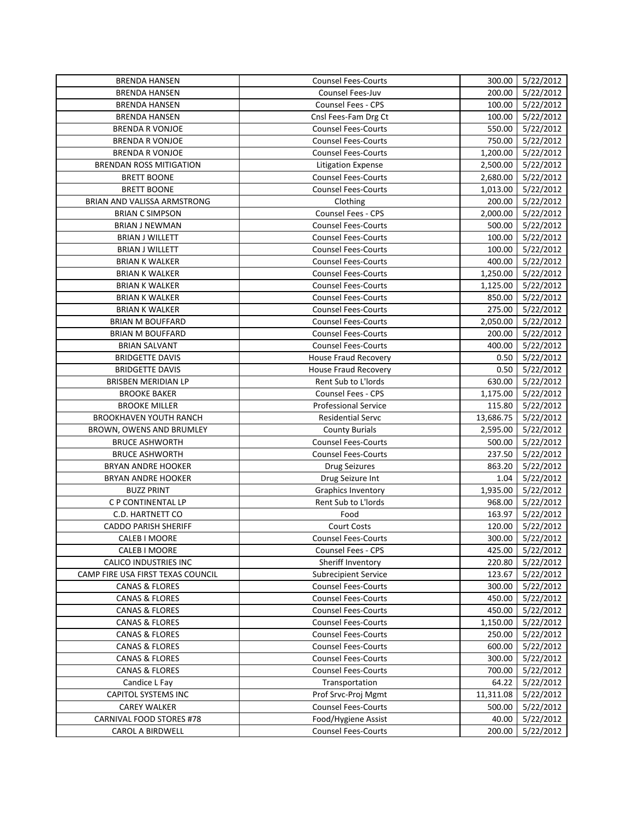| <b>BRENDA HANSEN</b>              | <b>Counsel Fees-Courts</b>  | 300.00    | $\frac{1}{5}$ /22/2012 |
|-----------------------------------|-----------------------------|-----------|------------------------|
| <b>BRENDA HANSEN</b>              | <b>Counsel Fees-Juv</b>     | 200.00    | 5/22/2012              |
| <b>BRENDA HANSEN</b>              | Counsel Fees - CPS          | 100.00    | 5/22/2012              |
| <b>BRENDA HANSEN</b>              | Cnsl Fees-Fam Drg Ct        | 100.00    | 5/22/2012              |
| <b>BRENDA R VONJOE</b>            | <b>Counsel Fees-Courts</b>  | 550.00    | 5/22/2012              |
| <b>BRENDA R VONJOE</b>            | <b>Counsel Fees-Courts</b>  | 750.00    | 5/22/2012              |
| <b>BRENDA R VONJOE</b>            | <b>Counsel Fees-Courts</b>  | 1,200.00  | 5/22/2012              |
| <b>BRENDAN ROSS MITIGATION</b>    | <b>Litigation Expense</b>   | 2,500.00  | 5/22/2012              |
| <b>BRETT BOONE</b>                | <b>Counsel Fees-Courts</b>  | 2,680.00  | 5/22/2012              |
| <b>BRETT BOONE</b>                | <b>Counsel Fees-Courts</b>  | 1,013.00  | 5/22/2012              |
| BRIAN AND VALISSA ARMSTRONG       | Clothing                    | 200.00    | 5/22/2012              |
| <b>BRIAN C SIMPSON</b>            | Counsel Fees - CPS          | 2,000.00  | 5/22/2012              |
| <b>BRIAN J NEWMAN</b>             | <b>Counsel Fees-Courts</b>  | 500.00    | 5/22/2012              |
| <b>BRIAN J WILLETT</b>            | <b>Counsel Fees-Courts</b>  | 100.00    | 5/22/2012              |
| <b>BRIAN J WILLETT</b>            | <b>Counsel Fees-Courts</b>  | 100.00    | 5/22/2012              |
| <b>BRIAN K WALKER</b>             | <b>Counsel Fees-Courts</b>  | 400.00    | 5/22/2012              |
| <b>BRIAN K WALKER</b>             | <b>Counsel Fees-Courts</b>  | 1,250.00  | 5/22/2012              |
| <b>BRIAN K WALKER</b>             | <b>Counsel Fees-Courts</b>  | 1,125.00  | 5/22/2012              |
| <b>BRIAN K WALKER</b>             | <b>Counsel Fees-Courts</b>  | 850.00    | 5/22/2012              |
| <b>BRIAN K WALKER</b>             | <b>Counsel Fees-Courts</b>  | 275.00    | 5/22/2012              |
| <b>BRIAN M BOUFFARD</b>           | <b>Counsel Fees-Courts</b>  | 2,050.00  | 5/22/2012              |
| <b>BRIAN M BOUFFARD</b>           | <b>Counsel Fees-Courts</b>  | 200.00    | 5/22/2012              |
| <b>BRIAN SALVANT</b>              | <b>Counsel Fees-Courts</b>  | 400.00    | 5/22/2012              |
| <b>BRIDGETTE DAVIS</b>            | <b>House Fraud Recovery</b> | 0.50      | 5/22/2012              |
| <b>BRIDGETTE DAVIS</b>            | <b>House Fraud Recovery</b> | 0.50      | 5/22/2012              |
| BRISBEN MERIDIAN LP               | Rent Sub to L'Iords         | 630.00    | 5/22/2012              |
| <b>BROOKE BAKER</b>               | <b>Counsel Fees - CPS</b>   | 1,175.00  | 5/22/2012              |
| <b>BROOKE MILLER</b>              | <b>Professional Service</b> | 115.80    | 5/22/2012              |
| <b>BROOKHAVEN YOUTH RANCH</b>     | <b>Residential Servc</b>    | 13,686.75 | 5/22/2012              |
| BROWN, OWENS AND BRUMLEY          | <b>County Burials</b>       | 2,595.00  | 5/22/2012              |
| <b>BRUCE ASHWORTH</b>             | <b>Counsel Fees-Courts</b>  | 500.00    | 5/22/2012              |
| <b>BRUCE ASHWORTH</b>             | <b>Counsel Fees-Courts</b>  | 237.50    | 5/22/2012              |
| <b>BRYAN ANDRE HOOKER</b>         | <b>Drug Seizures</b>        | 863.20    | 5/22/2012              |
| <b>BRYAN ANDRE HOOKER</b>         | Drug Seizure Int            | 1.04      | 5/22/2012              |
| <b>BUZZ PRINT</b>                 | <b>Graphics Inventory</b>   | 1,935.00  | 5/22/2012              |
| C P CONTINENTAL LP                | Rent Sub to L'Iords         | 968.00    | 5/22/2012              |
| C.D. HARTNETT CO                  | Food                        | 163.97    | 5/22/2012              |
| <b>CADDO PARISH SHERIFF</b>       | <b>Court Costs</b>          | 120.00    | 5/22/2012              |
| CALEB I MOORE                     | <b>Counsel Fees-Courts</b>  |           | 300.00 5/22/2012       |
| CALEB I MOORE                     | Counsel Fees - CPS          | 425.00    | 5/22/2012              |
| CALICO INDUSTRIES INC             | Sheriff Inventory           | 220.80    | 5/22/2012              |
| CAMP FIRE USA FIRST TEXAS COUNCIL | <b>Subrecipient Service</b> | 123.67    | 5/22/2012              |
| <b>CANAS &amp; FLORES</b>         | <b>Counsel Fees-Courts</b>  | 300.00    | 5/22/2012              |
| <b>CANAS &amp; FLORES</b>         | <b>Counsel Fees-Courts</b>  | 450.00    | 5/22/2012              |
| <b>CANAS &amp; FLORES</b>         | <b>Counsel Fees-Courts</b>  | 450.00    | 5/22/2012              |
| <b>CANAS &amp; FLORES</b>         | <b>Counsel Fees-Courts</b>  | 1,150.00  | 5/22/2012              |
| <b>CANAS &amp; FLORES</b>         | <b>Counsel Fees-Courts</b>  | 250.00    | 5/22/2012              |
| <b>CANAS &amp; FLORES</b>         | <b>Counsel Fees-Courts</b>  | 600.00    | 5/22/2012              |
| <b>CANAS &amp; FLORES</b>         | <b>Counsel Fees-Courts</b>  | 300.00    | 5/22/2012              |
| <b>CANAS &amp; FLORES</b>         | <b>Counsel Fees-Courts</b>  | 700.00    | 5/22/2012              |
| Candice L Fay                     | Transportation              | 64.22     | 5/22/2012              |
| CAPITOL SYSTEMS INC               | Prof Srvc-Proj Mgmt         | 11,311.08 | 5/22/2012              |
| <b>CAREY WALKER</b>               | <b>Counsel Fees-Courts</b>  | 500.00    | 5/22/2012              |
| <b>CARNIVAL FOOD STORES #78</b>   | Food/Hygiene Assist         | 40.00     | 5/22/2012              |
| CAROL A BIRDWELL                  | <b>Counsel Fees-Courts</b>  | 200.00    | 5/22/2012              |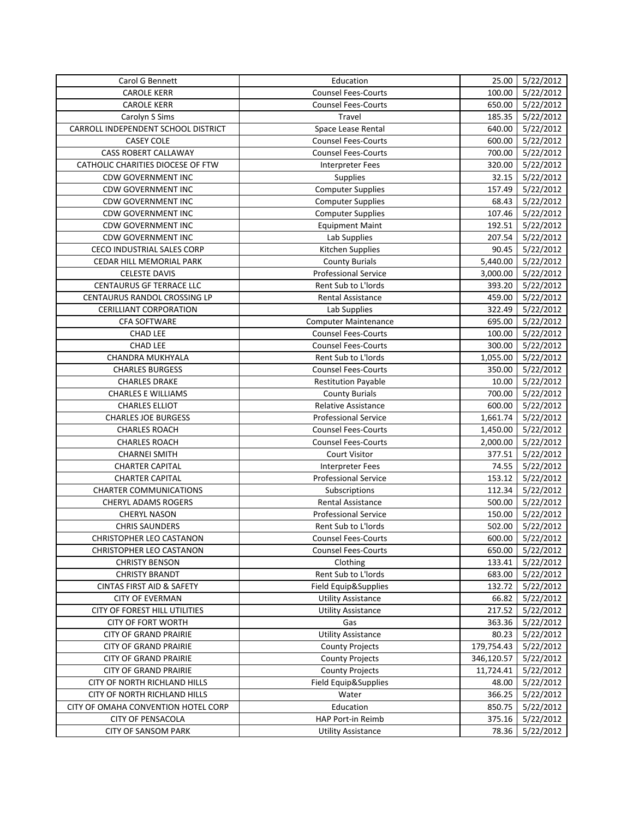| Carol G Bennett                      | Education                   | 25.00      | 5/22/2012        |
|--------------------------------------|-----------------------------|------------|------------------|
| <b>CAROLE KERR</b>                   | <b>Counsel Fees-Courts</b>  | 100.00     | 5/22/2012        |
| <b>CAROLE KERR</b>                   | <b>Counsel Fees-Courts</b>  | 650.00     | 5/22/2012        |
| Carolyn S Sims                       | Travel                      | 185.35     | 5/22/2012        |
| CARROLL INDEPENDENT SCHOOL DISTRICT  | Space Lease Rental          | 640.00     | 5/22/2012        |
| <b>CASEY COLE</b>                    | <b>Counsel Fees-Courts</b>  | 600.00     | 5/22/2012        |
| CASS ROBERT CALLAWAY                 | <b>Counsel Fees-Courts</b>  | 700.00     | 5/22/2012        |
| CATHOLIC CHARITIES DIOCESE OF FTW    | <b>Interpreter Fees</b>     | 320.00     | 5/22/2012        |
| <b>CDW GOVERNMENT INC</b>            | Supplies                    | 32.15      | 5/22/2012        |
| <b>CDW GOVERNMENT INC</b>            | <b>Computer Supplies</b>    | 157.49     | 5/22/2012        |
| <b>CDW GOVERNMENT INC</b>            | <b>Computer Supplies</b>    | 68.43      | 5/22/2012        |
| <b>CDW GOVERNMENT INC</b>            | <b>Computer Supplies</b>    | 107.46     | 5/22/2012        |
| <b>CDW GOVERNMENT INC</b>            | <b>Equipment Maint</b>      | 192.51     | 5/22/2012        |
| <b>CDW GOVERNMENT INC</b>            | Lab Supplies                | 207.54     | 5/22/2012        |
| CECO INDUSTRIAL SALES CORP           | Kitchen Supplies            | 90.45      | 5/22/2012        |
| CEDAR HILL MEMORIAL PARK             | <b>County Burials</b>       | 5,440.00   | 5/22/2012        |
| <b>CELESTE DAVIS</b>                 | <b>Professional Service</b> | 3,000.00   | 5/22/2012        |
| <b>CENTAURUS GF TERRACE LLC</b>      | Rent Sub to L'Iords         | 393.20     | 5/22/2012        |
| CENTAURUS RANDOL CROSSING LP         | <b>Rental Assistance</b>    | 459.00     | 5/22/2012        |
| <b>CERILLIANT CORPORATION</b>        | Lab Supplies                | 322.49     | 5/22/2012        |
| CFA SOFTWARE                         | <b>Computer Maintenance</b> | 695.00     | 5/22/2012        |
| <b>CHAD LEE</b>                      | <b>Counsel Fees-Courts</b>  | 100.00     | 5/22/2012        |
| <b>CHAD LEE</b>                      | <b>Counsel Fees-Courts</b>  | 300.00     | 5/22/2012        |
| CHANDRA MUKHYALA                     | Rent Sub to L'Iords         | 1,055.00   | 5/22/2012        |
| <b>CHARLES BURGESS</b>               | <b>Counsel Fees-Courts</b>  | 350.00     | 5/22/2012        |
| <b>CHARLES DRAKE</b>                 | <b>Restitution Payable</b>  | 10.00      | 5/22/2012        |
| <b>CHARLES E WILLIAMS</b>            | <b>County Burials</b>       | 700.00     | 5/22/2012        |
| <b>CHARLES ELLIOT</b>                | <b>Relative Assistance</b>  | 600.00     | 5/22/2012        |
| <b>CHARLES JOE BURGESS</b>           | <b>Professional Service</b> | 1,661.74   | 5/22/2012        |
| <b>CHARLES ROACH</b>                 | <b>Counsel Fees-Courts</b>  | 1,450.00   | 5/22/2012        |
| <b>CHARLES ROACH</b>                 | <b>Counsel Fees-Courts</b>  | 2,000.00   | 5/22/2012        |
| <b>CHARNEI SMITH</b>                 | <b>Court Visitor</b>        | 377.51     | 5/22/2012        |
| <b>CHARTER CAPITAL</b>               | <b>Interpreter Fees</b>     | 74.55      | 5/22/2012        |
| <b>CHARTER CAPITAL</b>               | <b>Professional Service</b> | 153.12     | 5/22/2012        |
| <b>CHARTER COMMUNICATIONS</b>        | Subscriptions               | 112.34     | 5/22/2012        |
| <b>CHERYL ADAMS ROGERS</b>           | Rental Assistance           | 500.00     | 5/22/2012        |
| <b>CHERYL NASON</b>                  | <b>Professional Service</b> | 150.00     | 5/22/2012        |
| <b>CHRIS SAUNDERS</b>                | Rent Sub to L'Iords         | 502.00     | 5/22/2012        |
| CHRISTOPHER LEO CASTANON             | <b>Counsel Fees-Courts</b>  |            | 600.00 5/22/2012 |
| CHRISTOPHER LEO CASTANON             | <b>Counsel Fees-Courts</b>  | 650.00     | 5/22/2012        |
| <b>CHRISTY BENSON</b>                | Clothing                    | 133.41     | 5/22/2012        |
| <b>CHRISTY BRANDT</b>                | Rent Sub to L'Iords         | 683.00     | 5/22/2012        |
| <b>CINTAS FIRST AID &amp; SAFETY</b> | Field Equip&Supplies        | 132.72     | 5/22/2012        |
| <b>CITY OF EVERMAN</b>               | <b>Utility Assistance</b>   | 66.82      | 5/22/2012        |
| CITY OF FOREST HILL UTILITIES        | <b>Utility Assistance</b>   | 217.52     | 5/22/2012        |
| <b>CITY OF FORT WORTH</b>            | Gas                         | 363.36     | 5/22/2012        |
| <b>CITY OF GRAND PRAIRIE</b>         | <b>Utility Assistance</b>   | 80.23      | 5/22/2012        |
| <b>CITY OF GRAND PRAIRIE</b>         | <b>County Projects</b>      | 179,754.43 | 5/22/2012        |
| <b>CITY OF GRAND PRAIRIE</b>         | <b>County Projects</b>      | 346,120.57 | 5/22/2012        |
| <b>CITY OF GRAND PRAIRIE</b>         | <b>County Projects</b>      | 11,724.41  | 5/22/2012        |
| CITY OF NORTH RICHLAND HILLS         | Field Equip&Supplies        | 48.00      | 5/22/2012        |
| CITY OF NORTH RICHLAND HILLS         | Water                       | 366.25     | 5/22/2012        |
| CITY OF OMAHA CONVENTION HOTEL CORP  | Education                   | 850.75     | 5/22/2012        |
| <b>CITY OF PENSACOLA</b>             | HAP Port-in Reimb           | 375.16     | 5/22/2012        |
| <b>CITY OF SANSOM PARK</b>           | <b>Utility Assistance</b>   | 78.36      | 5/22/2012        |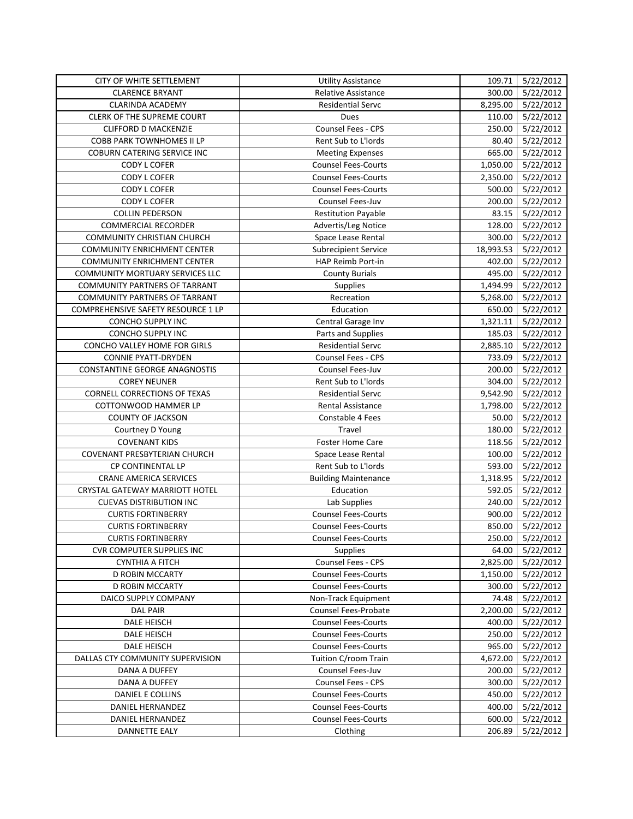| CITY OF WHITE SETTLEMENT              | <b>Utility Assistance</b>   | 109.71    | 5/22/2012             |
|---------------------------------------|-----------------------------|-----------|-----------------------|
| <b>CLARENCE BRYANT</b>                | Relative Assistance         | 300.00    | $\frac{1}{5}/22/2012$ |
| <b>CLARINDA ACADEMY</b>               | <b>Residential Servc</b>    | 8,295.00  | 5/22/2012             |
| CLERK OF THE SUPREME COURT            | Dues                        | 110.00    | 5/22/2012             |
| <b>CLIFFORD D MACKENZIE</b>           | <b>Counsel Fees - CPS</b>   | 250.00    | 5/22/2012             |
| <b>COBB PARK TOWNHOMES II LP</b>      | Rent Sub to L'Iords         | 80.40     | 5/22/2012             |
| COBURN CATERING SERVICE INC           | <b>Meeting Expenses</b>     | 665.00    | 5/22/2012             |
| CODY L COFER                          | <b>Counsel Fees-Courts</b>  | 1,050.00  | 5/22/2012             |
| CODY L COFER                          | <b>Counsel Fees-Courts</b>  | 2,350.00  | 5/22/2012             |
| CODY L COFER                          | <b>Counsel Fees-Courts</b>  | 500.00    | 5/22/2012             |
| CODY L COFER                          | Counsel Fees-Juv            | 200.00    | 5/22/2012             |
| <b>COLLIN PEDERSON</b>                | <b>Restitution Payable</b>  | 83.15     | 5/22/2012             |
| <b>COMMERCIAL RECORDER</b>            | Advertis/Leg Notice         | 128.00    | 5/22/2012             |
| <b>COMMUNITY CHRISTIAN CHURCH</b>     | Space Lease Rental          | 300.00    | 5/22/2012             |
| <b>COMMUNITY ENRICHMENT CENTER</b>    | <b>Subrecipient Service</b> | 18,993.53 | 5/22/2012             |
| <b>COMMUNITY ENRICHMENT CENTER</b>    | HAP Reimb Port-in           | 402.00    | 5/22/2012             |
| COMMUNITY MORTUARY SERVICES LLC       | <b>County Burials</b>       | 495.00    | 5/22/2012             |
| <b>COMMUNITY PARTNERS OF TARRANT</b>  | Supplies                    | 1,494.99  | 5/22/2012             |
| <b>COMMUNITY PARTNERS OF TARRANT</b>  | Recreation                  | 5,268.00  | 5/22/2012             |
| COMPREHENSIVE SAFETY RESOURCE 1 LP    | Education                   | 650.00    | 5/22/2012             |
| CONCHO SUPPLY INC                     | Central Garage Inv          | 1,321.11  | 5/22/2012             |
| CONCHO SUPPLY INC                     | Parts and Supplies          | 185.03    | 5/22/2012             |
| CONCHO VALLEY HOME FOR GIRLS          | <b>Residential Servc</b>    | 2,885.10  | 5/22/2012             |
| <b>CONNIE PYATT-DRYDEN</b>            | Counsel Fees - CPS          | 733.09    | 5/22/2012             |
| <b>CONSTANTINE GEORGE ANAGNOSTIS</b>  | Counsel Fees-Juv            | 200.00    | 5/22/2012             |
| <b>COREY NEUNER</b>                   | Rent Sub to L'Iords         | 304.00    | 5/22/2012             |
| CORNELL CORRECTIONS OF TEXAS          | <b>Residential Servc</b>    | 9,542.90  | 5/22/2012             |
| COTTONWOOD HAMMER LP                  | Rental Assistance           | 1,798.00  | 5/22/2012             |
| <b>COUNTY OF JACKSON</b>              | Constable 4 Fees            | 50.00     | 5/22/2012             |
| Courtney D Young                      | Travel                      | 180.00    | 5/22/2012             |
| <b>COVENANT KIDS</b>                  | Foster Home Care            | 118.56    | 5/22/2012             |
| COVENANT PRESBYTERIAN CHURCH          | Space Lease Rental          | 100.00    | 5/22/2012             |
| CP CONTINENTAL LP                     | Rent Sub to L'Iords         | 593.00    | 5/22/2012             |
| <b>CRANE AMERICA SERVICES</b>         | <b>Building Maintenance</b> | 1,318.95  | 5/22/2012             |
| <b>CRYSTAL GATEWAY MARRIOTT HOTEL</b> | Education                   | 592.05    | 5/22/2012             |
| <b>CUEVAS DISTRIBUTION INC</b>        | Lab Supplies                | 240.00    | 5/22/2012             |
| <b>CURTIS FORTINBERRY</b>             | <b>Counsel Fees-Courts</b>  | 900.00    | 5/22/2012             |
| <b>CURTIS FORTINBERRY</b>             | <b>Counsel Fees-Courts</b>  | 850.00    | 5/22/2012             |
| <b>CURTIS FORTINBERRY</b>             | <b>Counsel Fees-Courts</b>  |           | 250.00 5/22/2012      |
| <b>CVR COMPUTER SUPPLIES INC</b>      | <b>Supplies</b>             | 64.00     | 5/22/2012             |
| <b>CYNTHIA A FITCH</b>                | Counsel Fees - CPS          | 2,825.00  | 5/22/2012             |
| D ROBIN MCCARTY                       | <b>Counsel Fees-Courts</b>  | 1,150.00  | 5/22/2012             |
| D ROBIN MCCARTY                       | <b>Counsel Fees-Courts</b>  | 300.00    | 5/22/2012             |
| DAICO SUPPLY COMPANY                  | Non-Track Equipment         | 74.48     | 5/22/2012             |
| <b>DAL PAIR</b>                       | Counsel Fees-Probate        | 2,200.00  | 5/22/2012             |
| DALE HEISCH                           | <b>Counsel Fees-Courts</b>  | 400.00    | 5/22/2012             |
| DALE HEISCH                           | <b>Counsel Fees-Courts</b>  | 250.00    | 5/22/2012             |
| DALE HEISCH                           | <b>Counsel Fees-Courts</b>  | 965.00    | 5/22/2012             |
| DALLAS CTY COMMUNITY SUPERVISION      | Tuition C/room Train        | 4,672.00  | 5/22/2012             |
| DANA A DUFFEY                         | Counsel Fees-Juv            | 200.00    | 5/22/2012             |
| <b>DANA A DUFFEY</b>                  | Counsel Fees - CPS          | 300.00    | 5/22/2012             |
| DANIEL E COLLINS                      | <b>Counsel Fees-Courts</b>  | 450.00    | 5/22/2012             |
| DANIEL HERNANDEZ                      | <b>Counsel Fees-Courts</b>  | 400.00    | 5/22/2012             |
| DANIEL HERNANDEZ                      | <b>Counsel Fees-Courts</b>  | 600.00    | 5/22/2012             |
| DANNETTE EALY                         | Clothing                    | 206.89    | 5/22/2012             |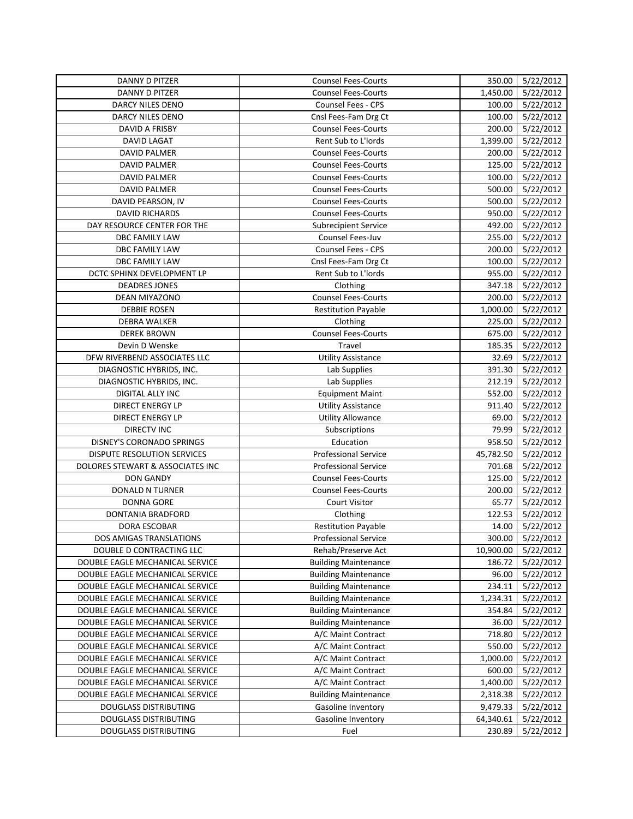| DANNY D PITZER                   | <b>Counsel Fees-Courts</b>  | 350.00    | 5/22/2012        |
|----------------------------------|-----------------------------|-----------|------------------|
| <b>DANNY D PITZER</b>            | <b>Counsel Fees-Courts</b>  | 1,450.00  | 5/22/2012        |
| <b>DARCY NILES DENO</b>          | <b>Counsel Fees - CPS</b>   | 100.00    | 5/22/2012        |
| DARCY NILES DENO                 | Cnsl Fees-Fam Drg Ct        | 100.00    | 5/22/2012        |
| DAVID A FRISBY                   | <b>Counsel Fees-Courts</b>  | 200.00    | 5/22/2012        |
| <b>DAVID LAGAT</b>               | Rent Sub to L'Iords         | 1,399.00  | 5/22/2012        |
| <b>DAVID PALMER</b>              | <b>Counsel Fees-Courts</b>  | 200.00    | 5/22/2012        |
| <b>DAVID PALMER</b>              | <b>Counsel Fees-Courts</b>  | 125.00    | 5/22/2012        |
| <b>DAVID PALMER</b>              | <b>Counsel Fees-Courts</b>  | 100.00    | 5/22/2012        |
| <b>DAVID PALMER</b>              | <b>Counsel Fees-Courts</b>  | 500.00    | 5/22/2012        |
| DAVID PEARSON, IV                | <b>Counsel Fees-Courts</b>  | 500.00    | 5/22/2012        |
| <b>DAVID RICHARDS</b>            | <b>Counsel Fees-Courts</b>  | 950.00    | 5/22/2012        |
| DAY RESOURCE CENTER FOR THE      | <b>Subrecipient Service</b> | 492.00    | 5/22/2012        |
| DBC FAMILY LAW                   | Counsel Fees-Juv            | 255.00    | 5/22/2012        |
| DBC FAMILY LAW                   | <b>Counsel Fees - CPS</b>   | 200.00    | 5/22/2012        |
| DBC FAMILY LAW                   | Cnsl Fees-Fam Drg Ct        | 100.00    | 5/22/2012        |
| DCTC SPHINX DEVELOPMENT LP       | Rent Sub to L'Iords         | 955.00    | 5/22/2012        |
| <b>DEADRES JONES</b>             | Clothing                    | 347.18    | 5/22/2012        |
| DEAN MIYAZONO                    | <b>Counsel Fees-Courts</b>  | 200.00    | 5/22/2012        |
| <b>DEBBIE ROSEN</b>              | <b>Restitution Payable</b>  | 1,000.00  | 5/22/2012        |
| <b>DEBRA WALKER</b>              | Clothing                    | 225.00    | 5/22/2012        |
| <b>DEREK BROWN</b>               | <b>Counsel Fees-Courts</b>  | 675.00    | 5/22/2012        |
| Devin D Wenske                   | Travel                      | 185.35    | 5/22/2012        |
| DFW RIVERBEND ASSOCIATES LLC     | <b>Utility Assistance</b>   | 32.69     | 5/22/2012        |
| DIAGNOSTIC HYBRIDS, INC.         | Lab Supplies                | 391.30    | 5/22/2012        |
| DIAGNOSTIC HYBRIDS, INC.         | Lab Supplies                | 212.19    | 5/22/2012        |
| DIGITAL ALLY INC                 | <b>Equipment Maint</b>      | 552.00    | 5/22/2012        |
| DIRECT ENERGY LP                 | <b>Utility Assistance</b>   | 911.40    | 5/22/2012        |
| DIRECT ENERGY LP                 | <b>Utility Allowance</b>    | 69.00     | 5/22/2012        |
| <b>DIRECTV INC</b>               | Subscriptions               | 79.99     | 5/22/2012        |
| DISNEY'S CORONADO SPRINGS        | Education                   | 958.50    | 5/22/2012        |
| DISPUTE RESOLUTION SERVICES      | Professional Service        | 45,782.50 | 5/22/2012        |
| DOLORES STEWART & ASSOCIATES INC | <b>Professional Service</b> | 701.68    | 5/22/2012        |
| <b>DON GANDY</b>                 | <b>Counsel Fees-Courts</b>  | 125.00    | 5/22/2012        |
| <b>DONALD N TURNER</b>           | <b>Counsel Fees-Courts</b>  | 200.00    | 5/22/2012        |
| <b>DONNA GORE</b>                | <b>Court Visitor</b>        | 65.77     | 5/22/2012        |
| DONTANIA BRADFORD                | Clothing                    | 122.53    | 5/22/2012        |
| DORA ESCOBAR                     | <b>Restitution Payable</b>  | 14.00     | 5/22/2012        |
| DOS AMIGAS TRANSLATIONS          | Professional Service        |           | 300.00 5/22/2012 |
| DOUBLE D CONTRACTING LLC         | Rehab/Preserve Act          | 10,900.00 | 5/22/2012        |
| DOUBLE EAGLE MECHANICAL SERVICE  | <b>Building Maintenance</b> | 186.72    | 5/22/2012        |
| DOUBLE EAGLE MECHANICAL SERVICE  | <b>Building Maintenance</b> | 96.00     | 5/22/2012        |
| DOUBLE EAGLE MECHANICAL SERVICE  | <b>Building Maintenance</b> | 234.11    | 5/22/2012        |
| DOUBLE EAGLE MECHANICAL SERVICE  | <b>Building Maintenance</b> | 1,234.31  | 5/22/2012        |
| DOUBLE EAGLE MECHANICAL SERVICE  | <b>Building Maintenance</b> | 354.84    | 5/22/2012        |
| DOUBLE EAGLE MECHANICAL SERVICE  | <b>Building Maintenance</b> | 36.00     | 5/22/2012        |
| DOUBLE EAGLE MECHANICAL SERVICE  | A/C Maint Contract          | 718.80    | 5/22/2012        |
| DOUBLE EAGLE MECHANICAL SERVICE  | A/C Maint Contract          | 550.00    | 5/22/2012        |
| DOUBLE EAGLE MECHANICAL SERVICE  | A/C Maint Contract          | 1,000.00  | 5/22/2012        |
| DOUBLE EAGLE MECHANICAL SERVICE  | A/C Maint Contract          | 600.00    | 5/22/2012        |
| DOUBLE EAGLE MECHANICAL SERVICE  | A/C Maint Contract          | 1,400.00  | 5/22/2012        |
| DOUBLE EAGLE MECHANICAL SERVICE  | <b>Building Maintenance</b> | 2,318.38  | 5/22/2012        |
| DOUGLASS DISTRIBUTING            | Gasoline Inventory          | 9,479.33  | 5/22/2012        |
| DOUGLASS DISTRIBUTING            | Gasoline Inventory          | 64,340.61 | 5/22/2012        |
| DOUGLASS DISTRIBUTING            | Fuel                        | 230.89    | 5/22/2012        |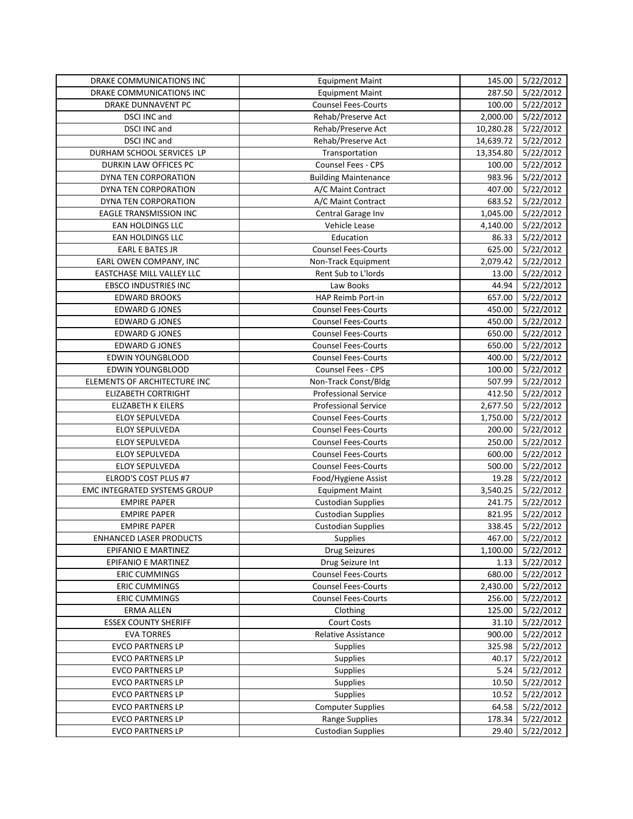| DRAKE COMMUNICATIONS INC        | <b>Equipment Maint</b>      | 145.00    | 5/22/2012        |
|---------------------------------|-----------------------------|-----------|------------------|
| <b>DRAKE COMMUNICATIONS INC</b> | <b>Equipment Maint</b>      | 287.50    | 5/22/2012        |
| DRAKE DUNNAVENT PC              | <b>Counsel Fees-Courts</b>  | 100.00    | 5/22/2012        |
| <b>DSCI INC and</b>             | Rehab/Preserve Act          | 2,000.00  | 5/22/2012        |
| DSCI INC and                    | Rehab/Preserve Act          | 10,280.28 | 5/22/2012        |
| DSCI INC and                    | Rehab/Preserve Act          | 14,639.72 | 5/22/2012        |
| DURHAM SCHOOL SERVICES LP       | Transportation              | 13,354.80 | 5/22/2012        |
| DURKIN LAW OFFICES PC           | <b>Counsel Fees - CPS</b>   | 100.00    | 5/22/2012        |
| DYNA TEN CORPORATION            | <b>Building Maintenance</b> | 983.96    | 5/22/2012        |
| DYNA TEN CORPORATION            | A/C Maint Contract          | 407.00    | 5/22/2012        |
| DYNA TEN CORPORATION            | A/C Maint Contract          | 683.52    | 5/22/2012        |
| EAGLE TRANSMISSION INC          | Central Garage Inv          | 1,045.00  | 5/22/2012        |
| EAN HOLDINGS LLC                | Vehicle Lease               | 4,140.00  | 5/22/2012        |
| EAN HOLDINGS LLC                | Education                   | 86.33     | 5/22/2012        |
| <b>EARL E BATES JR</b>          | <b>Counsel Fees-Courts</b>  | 625.00    | 5/22/2012        |
| EARL OWEN COMPANY, INC          | Non-Track Equipment         | 2,079.42  | 5/22/2012        |
| EASTCHASE MILL VALLEY LLC       | Rent Sub to L'Iords         | 13.00     | 5/22/2012        |
| <b>EBSCO INDUSTRIES INC</b>     | Law Books                   | 44.94     | 5/22/2012        |
| <b>EDWARD BROOKS</b>            | HAP Reimb Port-in           | 657.00    | 5/22/2012        |
| <b>EDWARD G JONES</b>           | <b>Counsel Fees-Courts</b>  | 450.00    | 5/22/2012        |
| <b>EDWARD G JONES</b>           | <b>Counsel Fees-Courts</b>  | 450.00    | 5/22/2012        |
| <b>EDWARD G JONES</b>           | <b>Counsel Fees-Courts</b>  | 650.00    | 5/22/2012        |
| <b>EDWARD G JONES</b>           | <b>Counsel Fees-Courts</b>  | 650.00    | 5/22/2012        |
| <b>EDWIN YOUNGBLOOD</b>         | <b>Counsel Fees-Courts</b>  | 400.00    | 5/22/2012        |
| EDWIN YOUNGBLOOD                | <b>Counsel Fees - CPS</b>   | 100.00    | 5/22/2012        |
| ELEMENTS OF ARCHITECTURE INC    | Non-Track Const/Bldg        | 507.99    | 5/22/2012        |
| ELIZABETH CORTRIGHT             | <b>Professional Service</b> | 412.50    | 5/22/2012        |
| <b>ELIZABETH K EILERS</b>       | Professional Service        | 2,677.50  | 5/22/2012        |
| <b>ELOY SEPULVEDA</b>           | <b>Counsel Fees-Courts</b>  | 1,750.00  | 5/22/2012        |
| <b>ELOY SEPULVEDA</b>           | <b>Counsel Fees-Courts</b>  | 200.00    | 5/22/2012        |
| <b>ELOY SEPULVEDA</b>           | <b>Counsel Fees-Courts</b>  | 250.00    | 5/22/2012        |
| ELOY SEPULVEDA                  | <b>Counsel Fees-Courts</b>  | 600.00    | 5/22/2012        |
| <b>ELOY SEPULVEDA</b>           | <b>Counsel Fees-Courts</b>  | 500.00    | 5/22/2012        |
| ELROD'S COST PLUS #7            | Food/Hygiene Assist         | 19.28     | 5/22/2012        |
| EMC INTEGRATED SYSTEMS GROUP    | <b>Equipment Maint</b>      | 3,540.25  | 5/22/2012        |
| <b>EMPIRE PAPER</b>             | <b>Custodian Supplies</b>   | 241.75    | 5/22/2012        |
| <b>EMPIRE PAPER</b>             | <b>Custodian Supplies</b>   | 821.95    | 5/22/2012        |
| <b>EMPIRE PAPER</b>             | <b>Custodian Supplies</b>   | 338.45    | 5/22/2012        |
| <b>ENHANCED LASER PRODUCTS</b>  | Supplies                    |           | 467.00 5/22/2012 |
| EPIFANIO E MARTINEZ             | <b>Drug Seizures</b>        | 1,100.00  | 5/22/2012        |
| EPIFANIO E MARTINEZ             | Drug Seizure Int            | 1.13      | 5/22/2012        |
| <b>ERIC CUMMINGS</b>            | <b>Counsel Fees-Courts</b>  | 680.00    | 5/22/2012        |
| <b>ERIC CUMMINGS</b>            | <b>Counsel Fees-Courts</b>  | 2,430.00  | 5/22/2012        |
| <b>ERIC CUMMINGS</b>            | <b>Counsel Fees-Courts</b>  | 256.00    | 5/22/2012        |
| ERMA ALLEN                      | Clothing                    | 125.00    | 5/22/2012        |
| <b>ESSEX COUNTY SHERIFF</b>     | Court Costs                 | 31.10     | 5/22/2012        |
| <b>EVA TORRES</b>               | <b>Relative Assistance</b>  | 900.00    | 5/22/2012        |
| <b>EVCO PARTNERS LP</b>         | <b>Supplies</b>             | 325.98    | 5/22/2012        |
| <b>EVCO PARTNERS LP</b>         | Supplies                    | 40.17     | 5/22/2012        |
| <b>EVCO PARTNERS LP</b>         | Supplies                    | 5.24      | 5/22/2012        |
| <b>EVCO PARTNERS LP</b>         | Supplies                    | 10.50     | 5/22/2012        |
| <b>EVCO PARTNERS LP</b>         | Supplies                    | 10.52     | 5/22/2012        |
| <b>EVCO PARTNERS LP</b>         | <b>Computer Supplies</b>    | 64.58     | 5/22/2012        |
| <b>EVCO PARTNERS LP</b>         | Range Supplies              | 178.34    | 5/22/2012        |
| <b>EVCO PARTNERS LP</b>         | <b>Custodian Supplies</b>   | 29.40     | 5/22/2012        |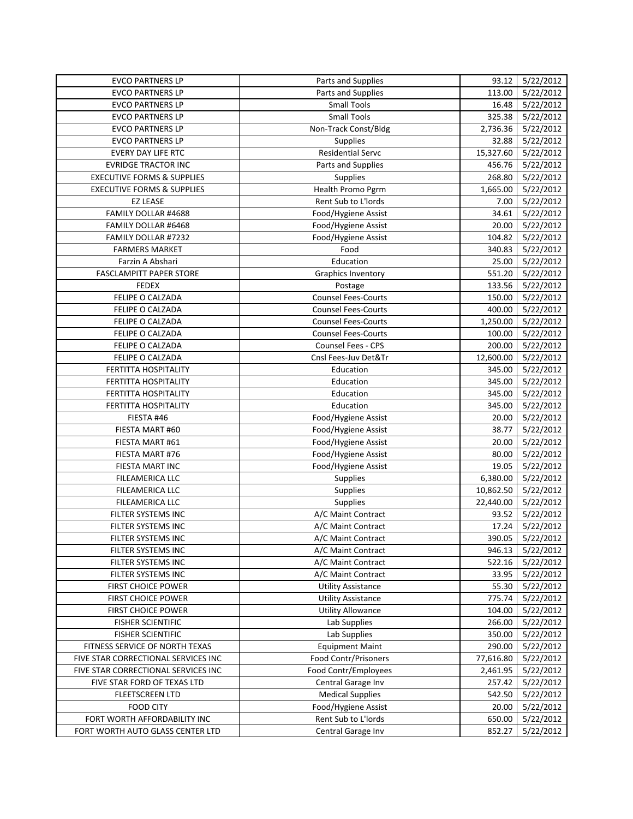| <b>EVCO PARTNERS LP</b>               | Parts and Supplies         | 93.12     | 5/22/2012        |
|---------------------------------------|----------------------------|-----------|------------------|
| <b>EVCO PARTNERS LP</b>               | Parts and Supplies         | 113.00    | 5/22/2012        |
| <b>EVCO PARTNERS LP</b>               | <b>Small Tools</b>         | 16.48     | 5/22/2012        |
| <b>EVCO PARTNERS LP</b>               | <b>Small Tools</b>         | 325.38    | 5/22/2012        |
| <b>EVCO PARTNERS LP</b>               | Non-Track Const/Bldg       | 2,736.36  | 5/22/2012        |
| <b>EVCO PARTNERS LP</b>               | Supplies                   | 32.88     | 5/22/2012        |
| <b>EVERY DAY LIFE RTC</b>             | <b>Residential Servc</b>   | 15,327.60 | 5/22/2012        |
| <b>EVRIDGE TRACTOR INC</b>            | Parts and Supplies         | 456.76    | 5/22/2012        |
| <b>EXECUTIVE FORMS &amp; SUPPLIES</b> | Supplies                   | 268.80    | 5/22/2012        |
| <b>EXECUTIVE FORMS &amp; SUPPLIES</b> | Health Promo Pgrm          | 1,665.00  | 5/22/2012        |
| <b>EZ LEASE</b>                       | Rent Sub to L'Iords        | 7.00      | 5/22/2012        |
| FAMILY DOLLAR #4688                   | Food/Hygiene Assist        | 34.61     | 5/22/2012        |
| FAMILY DOLLAR #6468                   | Food/Hygiene Assist        | 20.00     | 5/22/2012        |
| FAMILY DOLLAR #7232                   | Food/Hygiene Assist        | 104.82    | 5/22/2012        |
| <b>FARMERS MARKET</b>                 | Food                       | 340.83    | 5/22/2012        |
| Farzin A Abshari                      | Education                  | 25.00     | 5/22/2012        |
| FASCLAMPITT PAPER STORE               | Graphics Inventory         | 551.20    | 5/22/2012        |
| <b>FEDEX</b>                          | Postage                    | 133.56    | 5/22/2012        |
| FELIPE O CALZADA                      | <b>Counsel Fees-Courts</b> | 150.00    | 5/22/2012        |
| FELIPE O CALZADA                      | <b>Counsel Fees-Courts</b> | 400.00    | 5/22/2012        |
| FELIPE O CALZADA                      | <b>Counsel Fees-Courts</b> | 1,250.00  | 5/22/2012        |
| FELIPE O CALZADA                      | <b>Counsel Fees-Courts</b> | 100.00    | 5/22/2012        |
| FELIPE O CALZADA                      | <b>Counsel Fees - CPS</b>  | 200.00    | 5/22/2012        |
| FELIPE O CALZADA                      | Cnsl Fees-Juv Det&Tr       | 12,600.00 | 5/22/2012        |
| FERTITTA HOSPITALITY                  | Education                  | 345.00    | 5/22/2012        |
| FERTITTA HOSPITALITY                  | Education                  | 345.00    | 5/22/2012        |
| FERTITTA HOSPITALITY                  | Education                  | 345.00    | 5/22/2012        |
| FERTITTA HOSPITALITY                  | Education                  | 345.00    | 5/22/2012        |
| FIESTA #46                            | Food/Hygiene Assist        | 20.00     | 5/22/2012        |
| FIESTA MART #60                       | Food/Hygiene Assist        | 38.77     | 5/22/2012        |
| FIESTA MART #61                       | Food/Hygiene Assist        | 20.00     | 5/22/2012        |
| FIESTA MART #76                       | Food/Hygiene Assist        | 80.00     | 5/22/2012        |
| FIESTA MART INC                       | Food/Hygiene Assist        | 19.05     | 5/22/2012        |
| <b>FILEAMERICA LLC</b>                | Supplies                   | 6,380.00  | 5/22/2012        |
| FILEAMERICA LLC                       | Supplies                   | 10,862.50 | 5/22/2012        |
| FILEAMERICA LLC                       | Supplies                   | 22,440.00 | 5/22/2012        |
| FILTER SYSTEMS INC                    | A/C Maint Contract         | 93.52     | 5/22/2012        |
| FILTER SYSTEMS INC                    | A/C Maint Contract         | 17.24     | 5/22/2012        |
| FILTER SYSTEMS INC                    | A/C Maint Contract         |           | 390.05 5/22/2012 |
| FILTER SYSTEMS INC                    | A/C Maint Contract         | 946.13    | 5/22/2012        |
| FILTER SYSTEMS INC                    | A/C Maint Contract         | 522.16    | 5/22/2012        |
| FILTER SYSTEMS INC                    | A/C Maint Contract         | 33.95     | 5/22/2012        |
| FIRST CHOICE POWER                    | <b>Utility Assistance</b>  | 55.30     | 5/22/2012        |
| FIRST CHOICE POWER                    | <b>Utility Assistance</b>  | 775.74    | 5/22/2012        |
| <b>FIRST CHOICE POWER</b>             | <b>Utility Allowance</b>   | 104.00    | 5/22/2012        |
| <b>FISHER SCIENTIFIC</b>              | Lab Supplies               | 266.00    | 5/22/2012        |
| <b>FISHER SCIENTIFIC</b>              | Lab Supplies               | 350.00    | 5/22/2012        |
| FITNESS SERVICE OF NORTH TEXAS        | <b>Equipment Maint</b>     | 290.00    | 5/22/2012        |
| FIVE STAR CORRECTIONAL SERVICES INC   | Food Contr/Prisoners       | 77,616.80 | 5/22/2012        |
| FIVE STAR CORRECTIONAL SERVICES INC   | Food Contr/Employees       | 2,461.95  | 5/22/2012        |
| FIVE STAR FORD OF TEXAS LTD           | Central Garage Inv         | 257.42    | 5/22/2012        |
| <b>FLEETSCREEN LTD</b>                | <b>Medical Supplies</b>    | 542.50    | 5/22/2012        |
| <b>FOOD CITY</b>                      | Food/Hygiene Assist        | 20.00     | 5/22/2012        |
| FORT WORTH AFFORDABILITY INC          | Rent Sub to L'Iords        | 650.00    | 5/22/2012        |
| FORT WORTH AUTO GLASS CENTER LTD      | Central Garage Inv         | 852.27    | 5/22/2012        |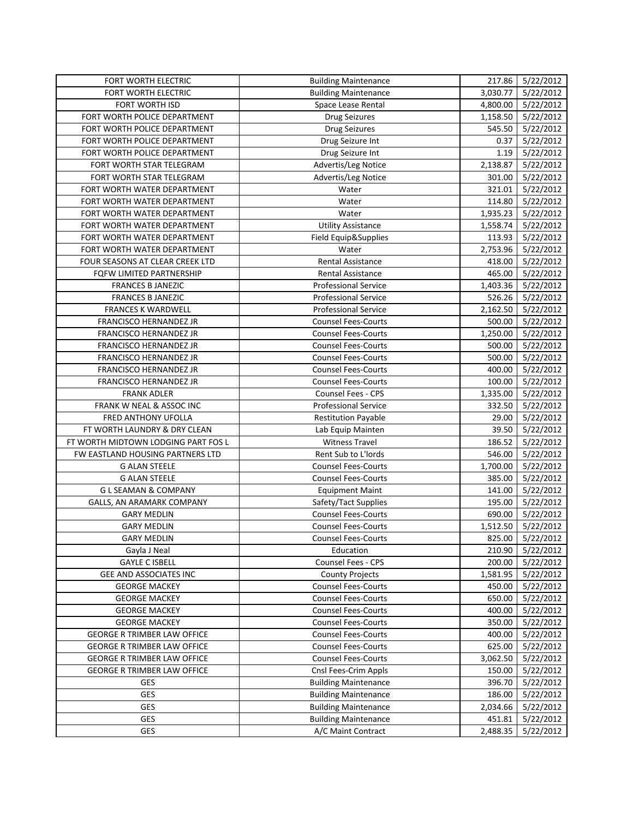| FORT WORTH ELECTRIC                 | <b>Building Maintenance</b> |          | 217.86 5/22/2012 |
|-------------------------------------|-----------------------------|----------|------------------|
| FORT WORTH ELECTRIC                 | <b>Building Maintenance</b> | 3,030.77 | 5/22/2012        |
| <b>FORT WORTH ISD</b>               | Space Lease Rental          | 4,800.00 | 5/22/2012        |
| FORT WORTH POLICE DEPARTMENT        | <b>Drug Seizures</b>        | 1,158.50 | 5/22/2012        |
| FORT WORTH POLICE DEPARTMENT        | <b>Drug Seizures</b>        | 545.50   | 5/22/2012        |
| FORT WORTH POLICE DEPARTMENT        | Drug Seizure Int            | 0.37     | 5/22/2012        |
| FORT WORTH POLICE DEPARTMENT        | Drug Seizure Int            | 1.19     | 5/22/2012        |
| FORT WORTH STAR TELEGRAM            | Advertis/Leg Notice         | 2,138.87 | 5/22/2012        |
| FORT WORTH STAR TELEGRAM            | Advertis/Leg Notice         | 301.00   | 5/22/2012        |
| FORT WORTH WATER DEPARTMENT         | Water                       | 321.01   | 5/22/2012        |
| FORT WORTH WATER DEPARTMENT         | Water                       | 114.80   | 5/22/2012        |
| FORT WORTH WATER DEPARTMENT         | Water                       | 1,935.23 | 5/22/2012        |
| FORT WORTH WATER DEPARTMENT         | <b>Utility Assistance</b>   | 1,558.74 | 5/22/2012        |
| FORT WORTH WATER DEPARTMENT         | Field Equip&Supplies        | 113.93   | 5/22/2012        |
| FORT WORTH WATER DEPARTMENT         | Water                       | 2,753.96 | 5/22/2012        |
| FOUR SEASONS AT CLEAR CREEK LTD     | Rental Assistance           | 418.00   | 5/22/2012        |
| FQFW LIMITED PARTNERSHIP            | Rental Assistance           | 465.00   | 5/22/2012        |
| <b>FRANCES B JANEZIC</b>            | <b>Professional Service</b> | 1,403.36 | 5/22/2012        |
| <b>FRANCES B JANEZIC</b>            | <b>Professional Service</b> | 526.26   | 5/22/2012        |
| <b>FRANCES K WARDWELL</b>           | <b>Professional Service</b> | 2,162.50 | 5/22/2012        |
| FRANCISCO HERNANDEZ JR              | <b>Counsel Fees-Courts</b>  | 500.00   | 5/22/2012        |
| FRANCISCO HERNANDEZ JR              | <b>Counsel Fees-Courts</b>  | 1,250.00 | 5/22/2012        |
| FRANCISCO HERNANDEZ JR              | <b>Counsel Fees-Courts</b>  | 500.00   | 5/22/2012        |
| FRANCISCO HERNANDEZ JR              | <b>Counsel Fees-Courts</b>  | 500.00   | 5/22/2012        |
| FRANCISCO HERNANDEZ JR              | <b>Counsel Fees-Courts</b>  | 400.00   | 5/22/2012        |
| FRANCISCO HERNANDEZ JR              | <b>Counsel Fees-Courts</b>  | 100.00   | 5/22/2012        |
| <b>FRANK ADLER</b>                  | Counsel Fees - CPS          | 1,335.00 | 5/22/2012        |
| FRANK W NEAL & ASSOC INC            | <b>Professional Service</b> | 332.50   | 5/22/2012        |
| FRED ANTHONY UFOLLA                 | <b>Restitution Payable</b>  | 29.00    | 5/22/2012        |
| FT WORTH LAUNDRY & DRY CLEAN        | Lab Equip Mainten           | 39.50    | 5/22/2012        |
| FT WORTH MIDTOWN LODGING PART FOS L | <b>Witness Travel</b>       | 186.52   | 5/22/2012        |
| FW EASTLAND HOUSING PARTNERS LTD    | Rent Sub to L'Iords         | 546.00   | 5/22/2012        |
| <b>G ALAN STEELE</b>                | <b>Counsel Fees-Courts</b>  | 1,700.00 | 5/22/2012        |
| <b>G ALAN STEELE</b>                | <b>Counsel Fees-Courts</b>  | 385.00   | 5/22/2012        |
| <b>GL SEAMAN &amp; COMPANY</b>      | <b>Equipment Maint</b>      | 141.00   | 5/22/2012        |
| GALLS, AN ARAMARK COMPANY           | Safety/Tact Supplies        | 195.00   | 5/22/2012        |
| <b>GARY MEDLIN</b>                  | <b>Counsel Fees-Courts</b>  | 690.00   | 5/22/2012        |
| <b>GARY MEDLIN</b>                  | <b>Counsel Fees-Courts</b>  | 1,512.50 | 5/22/2012        |
| <b>GARY MEDLIN</b>                  | Counsel Fees-Courts         |          | 825.00 5/22/2012 |
| Gayla J Neal                        | Education                   | 210.90   | 5/22/2012        |
| <b>GAYLE C ISBELL</b>               | <b>Counsel Fees - CPS</b>   | 200.00   | 5/22/2012        |
| GEE AND ASSOCIATES INC              | <b>County Projects</b>      | 1,581.95 | 5/22/2012        |
| <b>GEORGE MACKEY</b>                | <b>Counsel Fees-Courts</b>  | 450.00   | 5/22/2012        |
| <b>GEORGE MACKEY</b>                | <b>Counsel Fees-Courts</b>  | 650.00   | 5/22/2012        |
| <b>GEORGE MACKEY</b>                | <b>Counsel Fees-Courts</b>  | 400.00   | 5/22/2012        |
| <b>GEORGE MACKEY</b>                | <b>Counsel Fees-Courts</b>  | 350.00   | 5/22/2012        |
| <b>GEORGE R TRIMBER LAW OFFICE</b>  | <b>Counsel Fees-Courts</b>  | 400.00   | 5/22/2012        |
| <b>GEORGE R TRIMBER LAW OFFICE</b>  | <b>Counsel Fees-Courts</b>  | 625.00   | 5/22/2012        |
| <b>GEORGE R TRIMBER LAW OFFICE</b>  | <b>Counsel Fees-Courts</b>  | 3,062.50 | 5/22/2012        |
| <b>GEORGE R TRIMBER LAW OFFICE</b>  | Cnsl Fees-Crim Appls        | 150.00   | 5/22/2012        |
| <b>GES</b>                          | <b>Building Maintenance</b> | 396.70   | 5/22/2012        |
| GES                                 | <b>Building Maintenance</b> | 186.00   | 5/22/2012        |
| GES                                 | <b>Building Maintenance</b> | 2,034.66 | 5/22/2012        |
| GES                                 | <b>Building Maintenance</b> | 451.81   | 5/22/2012        |
| <b>GES</b>                          | A/C Maint Contract          | 2,488.35 | 5/22/2012        |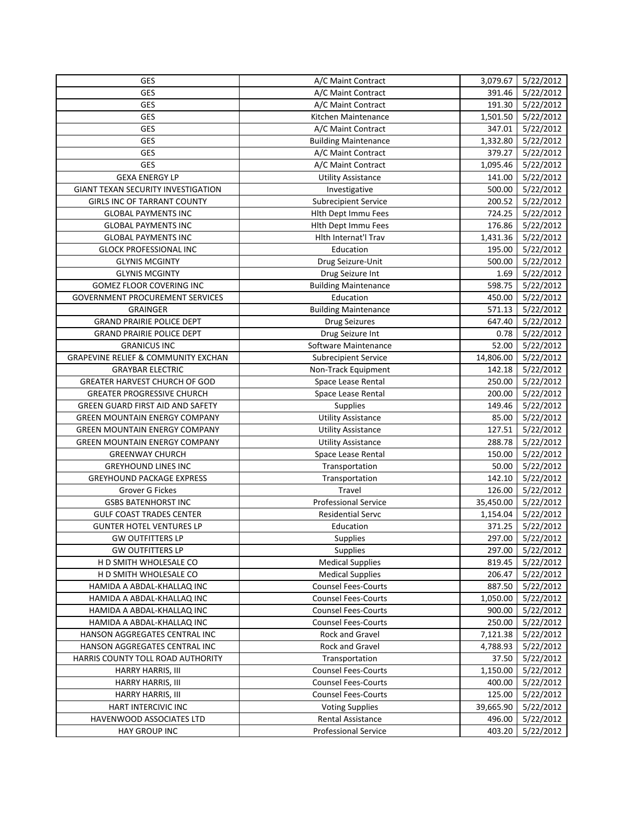| <b>GES</b>                                | A/C Maint Contract          | 3,079.67  | 5/22/2012        |
|-------------------------------------------|-----------------------------|-----------|------------------|
| GES                                       | A/C Maint Contract          | 391.46    | 5/22/2012        |
| GES                                       | A/C Maint Contract          | 191.30    | 5/22/2012        |
| GES                                       | Kitchen Maintenance         | 1,501.50  | 5/22/2012        |
| GES                                       | A/C Maint Contract          | 347.01    | 5/22/2012        |
| GES                                       | <b>Building Maintenance</b> | 1,332.80  | 5/22/2012        |
| <b>GES</b>                                | A/C Maint Contract          | 379.27    | 5/22/2012        |
| GES                                       | A/C Maint Contract          | 1,095.46  | 5/22/2012        |
| <b>GEXA ENERGY LP</b>                     | <b>Utility Assistance</b>   | 141.00    | 5/22/2012        |
| <b>GIANT TEXAN SECURITY INVESTIGATION</b> | Investigative               | 500.00    | 5/22/2012        |
| <b>GIRLS INC OF TARRANT COUNTY</b>        | <b>Subrecipient Service</b> | 200.52    | 5/22/2012        |
| <b>GLOBAL PAYMENTS INC</b>                | Hith Dept Immu Fees         | 724.25    | 5/22/2012        |
| <b>GLOBAL PAYMENTS INC</b>                | Hith Dept Immu Fees         | 176.86    | 5/22/2012        |
| <b>GLOBAL PAYMENTS INC</b>                | Hlth Internat'l Trav        | 1,431.36  | 5/22/2012        |
| <b>GLOCK PROFESSIONAL INC</b>             | Education                   | 195.00    | 5/22/2012        |
| <b>GLYNIS MCGINTY</b>                     | Drug Seizure-Unit           | 500.00    | 5/22/2012        |
| <b>GLYNIS MCGINTY</b>                     | Drug Seizure Int            | 1.69      | 5/22/2012        |
| GOMEZ FLOOR COVERING INC                  | <b>Building Maintenance</b> | 598.75    | 5/22/2012        |
| <b>GOVERNMENT PROCUREMENT SERVICES</b>    | Education                   | 450.00    | 5/22/2012        |
| GRAINGER                                  | <b>Building Maintenance</b> | 571.13    | 5/22/2012        |
| <b>GRAND PRAIRIE POLICE DEPT</b>          | <b>Drug Seizures</b>        | 647.40    | 5/22/2012        |
| <b>GRAND PRAIRIE POLICE DEPT</b>          | Drug Seizure Int            | 0.78      | 5/22/2012        |
| <b>GRANICUS INC</b>                       | Software Maintenance        | 52.00     | 5/22/2012        |
| GRAPEVINE RELIEF & COMMUNITY EXCHAN       | <b>Subrecipient Service</b> | 14,806.00 | 5/22/2012        |
| <b>GRAYBAR ELECTRIC</b>                   | Non-Track Equipment         | 142.18    | 5/22/2012        |
| GREATER HARVEST CHURCH OF GOD             | Space Lease Rental          | 250.00    | 5/22/2012        |
| <b>GREATER PROGRESSIVE CHURCH</b>         | Space Lease Rental          | 200.00    | 5/22/2012        |
| GREEN GUARD FIRST AID AND SAFETY          | <b>Supplies</b>             | 149.46    | 5/22/2012        |
| <b>GREEN MOUNTAIN ENERGY COMPANY</b>      | <b>Utility Assistance</b>   | 85.00     | 5/22/2012        |
| <b>GREEN MOUNTAIN ENERGY COMPANY</b>      | <b>Utility Assistance</b>   | 127.51    | 5/22/2012        |
| <b>GREEN MOUNTAIN ENERGY COMPANY</b>      | <b>Utility Assistance</b>   | 288.78    | 5/22/2012        |
| <b>GREENWAY CHURCH</b>                    | Space Lease Rental          | 150.00    | 5/22/2012        |
| <b>GREYHOUND LINES INC</b>                | Transportation              | 50.00     | 5/22/2012        |
| <b>GREYHOUND PACKAGE EXPRESS</b>          | Transportation              | 142.10    | 5/22/2012        |
| Grover G Fickes                           | <b>Travel</b>               | 126.00    | 5/22/2012        |
| <b>GSBS BATENHORST INC</b>                | <b>Professional Service</b> | 35,450.00 | 5/22/2012        |
| <b>GULF COAST TRADES CENTER</b>           | <b>Residential Servc</b>    | 1,154.04  | 5/22/2012        |
| <b>GUNTER HOTEL VENTURES LP</b>           | Education                   | 371.25    | 5/22/2012        |
| <b>GW OUTFITTERS LP</b>                   | Supplies                    |           | 297.00 5/22/2012 |
| <b>GW OUTFITTERS LP</b>                   | <b>Supplies</b>             | 297.00    | 5/22/2012        |
| H D SMITH WHOLESALE CO                    | <b>Medical Supplies</b>     | 819.45    | 5/22/2012        |
| H D SMITH WHOLESALE CO                    | <b>Medical Supplies</b>     | 206.47    | 5/22/2012        |
| HAMIDA A ABDAL-KHALLAQ INC                | <b>Counsel Fees-Courts</b>  | 887.50    | 5/22/2012        |
| HAMIDA A ABDAL-KHALLAQ INC                | <b>Counsel Fees-Courts</b>  | 1,050.00  | 5/22/2012        |
| HAMIDA A ABDAL-KHALLAQ INC                | <b>Counsel Fees-Courts</b>  | 900.00    | 5/22/2012        |
| HAMIDA A ABDAL-KHALLAQ INC                | <b>Counsel Fees-Courts</b>  | 250.00    | 5/22/2012        |
| HANSON AGGREGATES CENTRAL INC             | Rock and Gravel             | 7,121.38  | 5/22/2012        |
| HANSON AGGREGATES CENTRAL INC             | <b>Rock and Gravel</b>      | 4,788.93  | 5/22/2012        |
| HARRIS COUNTY TOLL ROAD AUTHORITY         | Transportation              | 37.50     | 5/22/2012        |
| <b>HARRY HARRIS, III</b>                  | <b>Counsel Fees-Courts</b>  | 1,150.00  | 5/22/2012        |
| <b>HARRY HARRIS, III</b>                  | <b>Counsel Fees-Courts</b>  | 400.00    | 5/22/2012        |
| <b>HARRY HARRIS, III</b>                  | <b>Counsel Fees-Courts</b>  | 125.00    | 5/22/2012        |
| HART INTERCIVIC INC                       | <b>Voting Supplies</b>      | 39,665.90 | 5/22/2012        |
| HAVENWOOD ASSOCIATES LTD                  | Rental Assistance           | 496.00    | 5/22/2012        |
| HAY GROUP INC                             | Professional Service        | 403.20    | 5/22/2012        |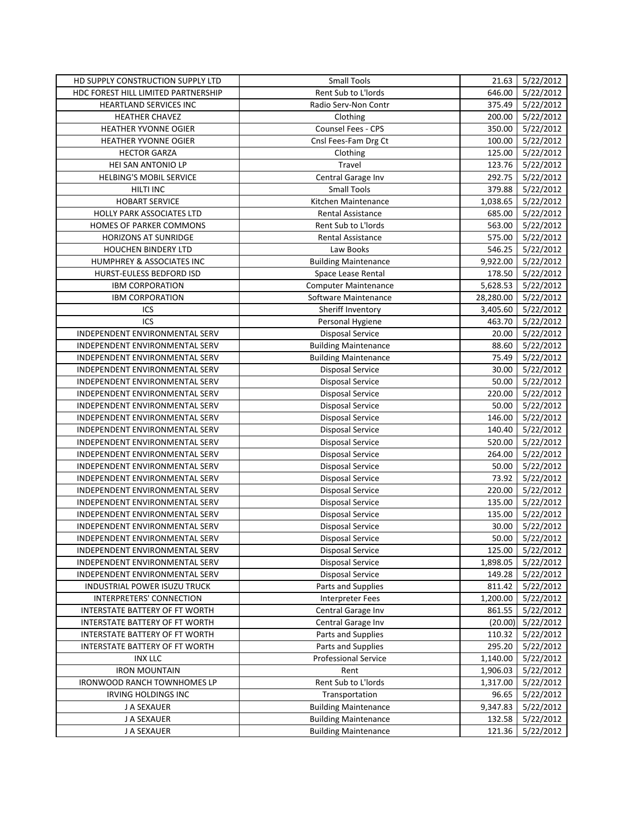| HD SUPPLY CONSTRUCTION SUPPLY LTD   | <b>Small Tools</b>          | 21.63     | 5/22/2012              |
|-------------------------------------|-----------------------------|-----------|------------------------|
| HDC FOREST HILL LIMITED PARTNERSHIP | Rent Sub to L'Iords         | 646.00    | $\frac{1}{5}$ /22/2012 |
| HEARTLAND SERVICES INC              | Radio Serv-Non Contr        | 375.49    | 5/22/2012              |
| <b>HEATHER CHAVEZ</b>               | Clothing                    | 200.00    | 5/22/2012              |
| HEATHER YVONNE OGIER                | Counsel Fees - CPS          | 350.00    | 5/22/2012              |
| HEATHER YVONNE OGIER                | Cnsl Fees-Fam Drg Ct        | 100.00    | 5/22/2012              |
| <b>HECTOR GARZA</b>                 | Clothing                    | 125.00    | 5/22/2012              |
| HEI SAN ANTONIO LP                  | Travel                      | 123.76    | 5/22/2012              |
| HELBING'S MOBIL SERVICE             | Central Garage Inv          | 292.75    | 5/22/2012              |
| HILTI INC                           | <b>Small Tools</b>          | 379.88    | 5/22/2012              |
| <b>HOBART SERVICE</b>               | Kitchen Maintenance         | 1,038.65  | 5/22/2012              |
| HOLLY PARK ASSOCIATES LTD           | Rental Assistance           | 685.00    | 5/22/2012              |
| HOMES OF PARKER COMMONS             | <b>Rent Sub to L'Iords</b>  | 563.00    | 5/22/2012              |
| <b>HORIZONS AT SUNRIDGE</b>         | <b>Rental Assistance</b>    | 575.00    | 5/22/2012              |
| HOUCHEN BINDERY LTD                 | Law Books                   | 546.25    | 5/22/2012              |
| HUMPHREY & ASSOCIATES INC           | <b>Building Maintenance</b> | 9,922.00  | 5/22/2012              |
| HURST-EULESS BEDFORD ISD            | Space Lease Rental          | 178.50    | 5/22/2012              |
| <b>IBM CORPORATION</b>              | <b>Computer Maintenance</b> | 5,628.53  | 5/22/2012              |
| <b>IBM CORPORATION</b>              | Software Maintenance        | 28,280.00 | 5/22/2012              |
| ICS                                 | Sheriff Inventory           | 3,405.60  | 5/22/2012              |
| ICS                                 | Personal Hygiene            | 463.70    | 5/22/2012              |
| INDEPENDENT ENVIRONMENTAL SERV      | <b>Disposal Service</b>     | 20.00     | 5/22/2012              |
| INDEPENDENT ENVIRONMENTAL SERV      | <b>Building Maintenance</b> | 88.60     | 5/22/2012              |
| INDEPENDENT ENVIRONMENTAL SERV      | <b>Building Maintenance</b> | 75.49     | 5/22/2012              |
| INDEPENDENT ENVIRONMENTAL SERV      | Disposal Service            | 30.00     | 5/22/2012              |
| INDEPENDENT ENVIRONMENTAL SERV      | <b>Disposal Service</b>     | 50.00     | 5/22/2012              |
| INDEPENDENT ENVIRONMENTAL SERV      | <b>Disposal Service</b>     | 220.00    | 5/22/2012              |
| INDEPENDENT ENVIRONMENTAL SERV      | <b>Disposal Service</b>     | 50.00     | 5/22/2012              |
| INDEPENDENT ENVIRONMENTAL SERV      | <b>Disposal Service</b>     | 146.00    | 5/22/2012              |
| INDEPENDENT ENVIRONMENTAL SERV      | <b>Disposal Service</b>     | 140.40    | 5/22/2012              |
| INDEPENDENT ENVIRONMENTAL SERV      | <b>Disposal Service</b>     | 520.00    | 5/22/2012              |
| INDEPENDENT ENVIRONMENTAL SERV      | <b>Disposal Service</b>     | 264.00    | 5/22/2012              |
| INDEPENDENT ENVIRONMENTAL SERV      | <b>Disposal Service</b>     | 50.00     | 5/22/2012              |
| INDEPENDENT ENVIRONMENTAL SERV      | <b>Disposal Service</b>     | 73.92     | 5/22/2012              |
| INDEPENDENT ENVIRONMENTAL SERV      | Disposal Service            | 220.00    | 5/22/2012              |
| INDEPENDENT ENVIRONMENTAL SERV      | <b>Disposal Service</b>     | 135.00    | 5/22/2012              |
| INDEPENDENT ENVIRONMENTAL SERV      | <b>Disposal Service</b>     | 135.00    | 5/22/2012              |
| INDEPENDENT ENVIRONMENTAL SERV      | <b>Disposal Service</b>     | 30.00     | 5/22/2012              |
| INDEPENDENT ENVIRONMENTAL SERV      | <b>Disposal Service</b>     |           | 50.00 5/22/2012        |
| INDEPENDENT ENVIRONMENTAL SERV      | <b>Disposal Service</b>     | 125.00    | 5/22/2012              |
| INDEPENDENT ENVIRONMENTAL SERV      | <b>Disposal Service</b>     | 1,898.05  | 5/22/2012              |
| INDEPENDENT ENVIRONMENTAL SERV      | <b>Disposal Service</b>     | 149.28    | 5/22/2012              |
| INDUSTRIAL POWER ISUZU TRUCK        | Parts and Supplies          | 811.42    | 5/22/2012              |
| INTERPRETERS' CONNECTION            | <b>Interpreter Fees</b>     | 1,200.00  | 5/22/2012              |
| INTERSTATE BATTERY OF FT WORTH      | Central Garage Inv          | 861.55    | 5/22/2012              |
| INTERSTATE BATTERY OF FT WORTH      | Central Garage Inv          | (20.00)   | 5/22/2012              |
| INTERSTATE BATTERY OF FT WORTH      | Parts and Supplies          | 110.32    | 5/22/2012              |
| INTERSTATE BATTERY OF FT WORTH      | Parts and Supplies          | 295.20    | 5/22/2012              |
| <b>INX LLC</b>                      | <b>Professional Service</b> | 1,140.00  | 5/22/2012              |
| <b>IRON MOUNTAIN</b>                | Rent                        | 1,906.03  | 5/22/2012              |
| IRONWOOD RANCH TOWNHOMES LP         | Rent Sub to L'Iords         | 1,317.00  | 5/22/2012              |
| IRVING HOLDINGS INC                 | Transportation              | 96.65     | 5/22/2012              |
| J A SEXAUER                         | <b>Building Maintenance</b> | 9,347.83  | 5/22/2012              |
| J A SEXAUER                         | <b>Building Maintenance</b> | 132.58    | 5/22/2012              |
| J A SEXAUER                         | <b>Building Maintenance</b> | 121.36    | 5/22/2012              |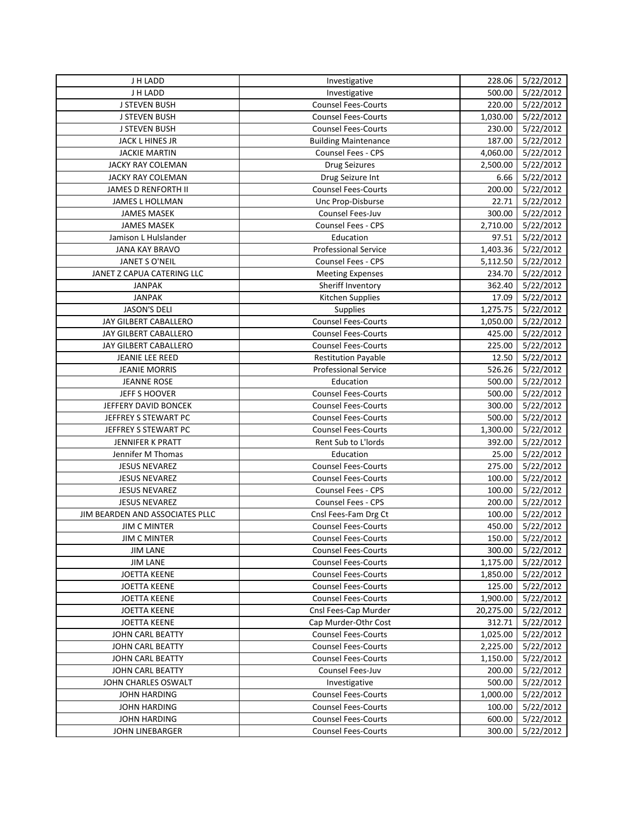| J H LADD                        | Investigative                                            | 228.06    | 5/22/2012              |
|---------------------------------|----------------------------------------------------------|-----------|------------------------|
| J H LADD                        | Investigative                                            | 500.00    | 5/22/2012              |
| <b>J STEVEN BUSH</b>            | <b>Counsel Fees-Courts</b>                               | 220.00    | 5/22/2012              |
| <b>J STEVEN BUSH</b>            | <b>Counsel Fees-Courts</b>                               | 1,030.00  | 5/22/2012              |
| <b>J STEVEN BUSH</b>            | <b>Counsel Fees-Courts</b>                               | 230.00    | 5/22/2012              |
| JACK L HINES JR                 | <b>Building Maintenance</b>                              | 187.00    | 5/22/2012              |
| <b>JACKIE MARTIN</b>            | Counsel Fees - CPS                                       | 4,060.00  | 5/22/2012              |
| JACKY RAY COLEMAN               | <b>Drug Seizures</b>                                     | 2,500.00  | 5/22/2012              |
| <b>JACKY RAY COLEMAN</b>        | Drug Seizure Int                                         | 6.66      | 5/22/2012              |
| JAMES D RENFORTH II             | <b>Counsel Fees-Courts</b>                               | 200.00    | 5/22/2012              |
| <b>JAMES L HOLLMAN</b>          | Unc Prop-Disburse                                        | 22.71     | 5/22/2012              |
| <b>JAMES MASEK</b>              | Counsel Fees-Juv                                         | 300.00    | 5/22/2012              |
| <b>JAMES MASEK</b>              | Counsel Fees - CPS                                       | 2,710.00  | 5/22/2012              |
| Jamison L Hulslander            | Education                                                | 97.51     | 5/22/2012              |
| JANA KAY BRAVO                  | <b>Professional Service</b>                              | 1,403.36  | 5/22/2012              |
| JANET S O'NEIL                  | <b>Counsel Fees - CPS</b>                                | 5,112.50  | 5/22/2012              |
| JANET Z CAPUA CATERING LLC      | <b>Meeting Expenses</b>                                  | 234.70    | 5/22/2012              |
| <b>JANPAK</b>                   | Sheriff Inventory                                        | 362.40    | 5/22/2012              |
| <b>JANPAK</b>                   | Kitchen Supplies                                         | 17.09     | 5/22/2012              |
| <b>JASON'S DELI</b>             | Supplies                                                 | 1,275.75  | 5/22/2012              |
| JAY GILBERT CABALLERO           | <b>Counsel Fees-Courts</b>                               | 1,050.00  | 5/22/2012              |
| JAY GILBERT CABALLERO           | <b>Counsel Fees-Courts</b>                               | 425.00    | 5/22/2012              |
| JAY GILBERT CABALLERO           | <b>Counsel Fees-Courts</b>                               | 225.00    | 5/22/2012              |
| JEANIE LEE REED                 | <b>Restitution Payable</b>                               | 12.50     | 5/22/2012              |
| <b>JEANIE MORRIS</b>            | <b>Professional Service</b>                              | 526.26    | 5/22/2012              |
| <b>JEANNE ROSE</b>              | Education                                                | 500.00    | 5/22/2012              |
| JEFF S HOOVER                   | <b>Counsel Fees-Courts</b>                               | 500.00    | 5/22/2012              |
| JEFFERY DAVID BONCEK            | <b>Counsel Fees-Courts</b>                               | 300.00    | 5/22/2012              |
| JEFFREY S STEWART PC            | <b>Counsel Fees-Courts</b>                               | 500.00    | 5/22/2012              |
| JEFFREY S STEWART PC            | <b>Counsel Fees-Courts</b>                               | 1,300.00  | 5/22/2012              |
| JENNIFER K PRATT                | Rent Sub to L'Iords                                      | 392.00    | 5/22/2012              |
| Jennifer M Thomas               | Education                                                | 25.00     | 5/22/2012              |
| <b>JESUS NEVAREZ</b>            | <b>Counsel Fees-Courts</b>                               | 275.00    | 5/22/2012              |
| <b>JESUS NEVAREZ</b>            | <b>Counsel Fees-Courts</b>                               | 100.00    | 5/22/2012              |
| <b>JESUS NEVAREZ</b>            | Counsel Fees - CPS                                       | 100.00    | 5/22/2012              |
| <b>JESUS NEVAREZ</b>            | Counsel Fees - CPS                                       | 200.00    |                        |
| JIM BEARDEN AND ASSOCIATES PLLC | Cnsl Fees-Fam Drg Ct                                     | 100.00    | 5/22/2012<br>5/22/2012 |
| <b>JIM C MINTER</b>             | <b>Counsel Fees-Courts</b>                               | 450.00    | 5/22/2012              |
|                                 |                                                          |           | 150.00   5/22/2012     |
| <b>JIM C MINTER</b>             | <b>Counsel Fees-Courts</b>                               |           |                        |
| <b>JIM LANE</b>                 | <b>Counsel Fees-Courts</b>                               | 300.00    | 5/22/2012              |
| <b>JIM LANE</b>                 | <b>Counsel Fees-Courts</b><br><b>Counsel Fees-Courts</b> | 1,175.00  | 5/22/2012              |
| <b>JOETTA KEENE</b>             | <b>Counsel Fees-Courts</b>                               | 1,850.00  | 5/22/2012<br>5/22/2012 |
| <b>JOETTA KEENE</b>             |                                                          | 125.00    |                        |
| <b>JOETTA KEENE</b>             | <b>Counsel Fees-Courts</b>                               | 1,900.00  | 5/22/2012              |
| <b>JOETTA KEENE</b>             | Cnsl Fees-Cap Murder                                     | 20,275.00 | 5/22/2012              |
| <b>JOETTA KEENE</b>             | Cap Murder-Othr Cost                                     | 312.71    | 5/22/2012              |
| JOHN CARL BEATTY                | <b>Counsel Fees-Courts</b>                               | 1,025.00  | 5/22/2012              |
| JOHN CARL BEATTY                | <b>Counsel Fees-Courts</b>                               | 2,225.00  | 5/22/2012              |
| JOHN CARL BEATTY                | <b>Counsel Fees-Courts</b>                               | 1,150.00  | 5/22/2012              |
| JOHN CARL BEATTY                | <b>Counsel Fees-Juv</b>                                  | 200.00    | 5/22/2012              |
| JOHN CHARLES OSWALT             | Investigative                                            | 500.00    | 5/22/2012              |
| <b>JOHN HARDING</b>             | <b>Counsel Fees-Courts</b>                               | 1,000.00  | 5/22/2012              |
| <b>JOHN HARDING</b>             | <b>Counsel Fees-Courts</b>                               | 100.00    | 5/22/2012              |
| <b>JOHN HARDING</b>             | <b>Counsel Fees-Courts</b>                               | 600.00    | 5/22/2012              |
| <b>JOHN LINEBARGER</b>          | <b>Counsel Fees-Courts</b>                               | 300.00    | 5/22/2012              |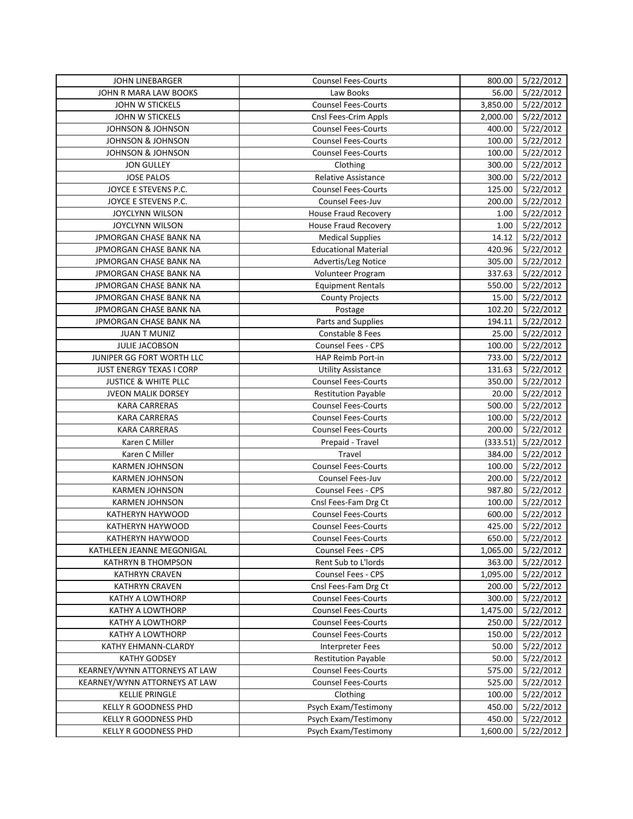| <b>JOHN LINEBARGER</b>        | <b>Counsel Fees-Courts</b>  | 800.00   | 5/22/2012              |
|-------------------------------|-----------------------------|----------|------------------------|
| JOHN R MARA LAW BOOKS         | Law Books                   | 56.00    | 5/22/2012              |
| <b>JOHN W STICKELS</b>        | <b>Counsel Fees-Courts</b>  | 3,850.00 | 5/22/2012              |
| JOHN W STICKELS               | Cnsl Fees-Crim Appls        | 2,000.00 | 5/22/2012              |
| <b>JOHNSON &amp; JOHNSON</b>  | <b>Counsel Fees-Courts</b>  | 400.00   | 5/22/2012              |
| <b>JOHNSON &amp; JOHNSON</b>  | <b>Counsel Fees-Courts</b>  | 100.00   | 5/22/2012              |
| <b>JOHNSON &amp; JOHNSON</b>  | <b>Counsel Fees-Courts</b>  | 100.00   | 5/22/2012              |
| <b>JON GULLEY</b>             | Clothing                    | 300.00   | 5/22/2012              |
| <b>JOSE PALOS</b>             | Relative Assistance         | 300.00   | 5/22/2012              |
| JOYCE E STEVENS P.C.          | <b>Counsel Fees-Courts</b>  | 125.00   | 5/22/2012              |
| JOYCE E STEVENS P.C.          | Counsel Fees-Juv            | 200.00   | 5/22/2012              |
| <b>JOYCLYNN WILSON</b>        | <b>House Fraud Recovery</b> | 1.00     | 5/22/2012              |
| <b>JOYCLYNN WILSON</b>        | House Fraud Recovery        | 1.00     | 5/22/2012              |
| JPMORGAN CHASE BANK NA        | <b>Medical Supplies</b>     | 14.12    | 5/22/2012              |
| JPMORGAN CHASE BANK NA        | <b>Educational Material</b> | 420.96   | 5/22/2012              |
| JPMORGAN CHASE BANK NA        | Advertis/Leg Notice         | 305.00   | 5/22/2012              |
| JPMORGAN CHASE BANK NA        | Volunteer Program           | 337.63   | 5/22/2012              |
| JPMORGAN CHASE BANK NA        | <b>Equipment Rentals</b>    | 550.00   | 5/22/2012              |
| JPMORGAN CHASE BANK NA        | <b>County Projects</b>      | 15.00    | 5/22/2012              |
| JPMORGAN CHASE BANK NA        | Postage                     | 102.20   | 5/22/2012              |
| JPMORGAN CHASE BANK NA        | Parts and Supplies          | 194.11   | 5/22/2012              |
| <b>JUAN T MUNIZ</b>           | Constable 8 Fees            | 25.00    | 5/22/2012              |
| JULIE JACOBSON                | <b>Counsel Fees - CPS</b>   | 100.00   | 5/22/2012              |
| JUNIPER GG FORT WORTH LLC     | <b>HAP Reimb Port-in</b>    | 733.00   | 5/22/2012              |
| JUST ENERGY TEXAS I CORP      | <b>Utility Assistance</b>   | 131.63   | 5/22/2012              |
| JUSTICE & WHITE PLLC          | <b>Counsel Fees-Courts</b>  | 350.00   | 5/22/2012              |
| JVEON MALIK DORSEY            | <b>Restitution Payable</b>  | 20.00    | 5/22/2012              |
| <b>KARA CARRERAS</b>          | <b>Counsel Fees-Courts</b>  | 500.00   | 5/22/2012              |
| <b>KARA CARRERAS</b>          | <b>Counsel Fees-Courts</b>  | 100.00   | 5/22/2012              |
| <b>KARA CARRERAS</b>          | <b>Counsel Fees-Courts</b>  | 200.00   | 5/22/2012              |
| Karen C Miller                | Prepaid - Travel            | (333.51) | 5/22/2012              |
| Karen C Miller                | Travel                      | 384.00   | 5/22/2012              |
| <b>KARMEN JOHNSON</b>         | <b>Counsel Fees-Courts</b>  | 100.00   | 5/22/2012              |
| <b>KARMEN JOHNSON</b>         | Counsel Fees-Juv            | 200.00   | 5/22/2012              |
| <b>KARMEN JOHNSON</b>         | Counsel Fees - CPS          | 987.80   | 5/22/2012              |
| <b>KARMEN JOHNSON</b>         | Cnsl Fees-Fam Drg Ct        | 100.00   | 5/22/2012              |
| KATHERYN HAYWOOD              | <b>Counsel Fees-Courts</b>  | 600.00   | 5/22/2012              |
| KATHERYN HAYWOOD              | <b>Counsel Fees-Courts</b>  | 425.00   | 5/22/2012              |
| KATHERYN HAYWOOD              | Counsel Fees-Courts         |          | 650.00 5/22/2012       |
| KATHLEEN JEANNE MEGONIGAL     | Counsel Fees - CPS          | 1,065.00 | 5/22/2012              |
| <b>KATHRYN B THOMPSON</b>     | Rent Sub to L'Iords         | 363.00   | 5/22/2012              |
| <b>KATHRYN CRAVEN</b>         | Counsel Fees - CPS          | 1,095.00 | 5/22/2012              |
| <b>KATHRYN CRAVEN</b>         | Cnsl Fees-Fam Drg Ct        | 200.00   | 5/22/2012              |
| <b>KATHY A LOWTHORP</b>       | <b>Counsel Fees-Courts</b>  | 300.00   | 5/22/2012              |
| <b>KATHY A LOWTHORP</b>       | <b>Counsel Fees-Courts</b>  | 1,475.00 | 5/22/2012              |
| KATHY A LOWTHORP              | <b>Counsel Fees-Courts</b>  | 250.00   | 5/22/2012              |
| <b>KATHY A LOWTHORP</b>       | <b>Counsel Fees-Courts</b>  | 150.00   | 5/22/2012              |
| KATHY EHMANN-CLARDY           | <b>Interpreter Fees</b>     | 50.00    | 5/22/2012              |
| <b>KATHY GODSEY</b>           | <b>Restitution Payable</b>  | 50.00    |                        |
| KEARNEY/WYNN ATTORNEYS AT LAW | <b>Counsel Fees-Courts</b>  | 575.00   | 5/22/2012<br>5/22/2012 |
| KEARNEY/WYNN ATTORNEYS AT LAW | <b>Counsel Fees-Courts</b>  | 525.00   |                        |
| <b>KELLIE PRINGLE</b>         | Clothing                    | 100.00   | 5/22/2012              |
| KELLY R GOODNESS PHD          | Psych Exam/Testimony        | 450.00   | 5/22/2012<br>5/22/2012 |
| KELLY R GOODNESS PHD          | Psych Exam/Testimony        | 450.00   |                        |
|                               |                             |          | 5/22/2012              |
| KELLY R GOODNESS PHD          | Psych Exam/Testimony        | 1,600.00 | 5/22/2012              |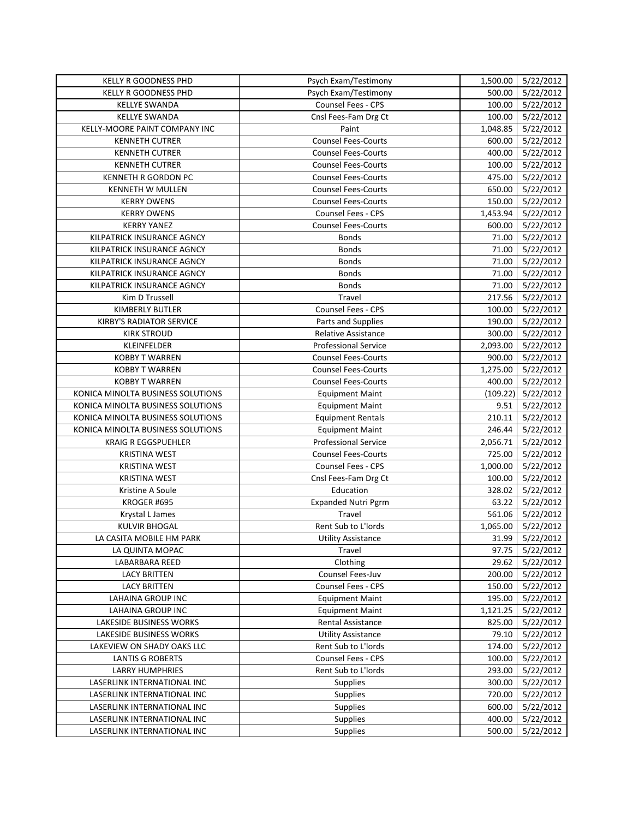| Psych Exam/Testimony<br>1,500.00<br><b>KELLY R GOODNESS PHD</b>          | 5/22/2012 |
|--------------------------------------------------------------------------|-----------|
| Psych Exam/Testimony<br>500.00<br><b>KELLY R GOODNESS PHD</b>            | 5/22/2012 |
| Counsel Fees - CPS<br>100.00<br><b>KELLYE SWANDA</b>                     | 5/22/2012 |
| <b>KELLYE SWANDA</b><br>Cnsl Fees-Fam Drg Ct<br>100.00                   | 5/22/2012 |
| KELLY-MOORE PAINT COMPANY INC<br>Paint<br>1,048.85                       | 5/22/2012 |
| <b>KENNETH CUTRER</b><br><b>Counsel Fees-Courts</b><br>600.00            | 5/22/2012 |
| <b>KENNETH CUTRER</b><br>400.00<br><b>Counsel Fees-Courts</b>            | 5/22/2012 |
| <b>KENNETH CUTRER</b><br><b>Counsel Fees-Courts</b><br>100.00            | 5/22/2012 |
| <b>KENNETH R GORDON PC</b><br><b>Counsel Fees-Courts</b><br>475.00       | 5/22/2012 |
| <b>Counsel Fees-Courts</b><br>650.00<br><b>KENNETH W MULLEN</b>          | 5/22/2012 |
| <b>KERRY OWENS</b><br><b>Counsel Fees-Courts</b><br>150.00               | 5/22/2012 |
| Counsel Fees - CPS<br>1,453.94<br><b>KERRY OWENS</b>                     | 5/22/2012 |
| <b>Counsel Fees-Courts</b><br><b>KERRY YANEZ</b><br>600.00               | 5/22/2012 |
| KILPATRICK INSURANCE AGNCY<br><b>Bonds</b><br>71.00                      | 5/22/2012 |
| KILPATRICK INSURANCE AGNCY<br><b>Bonds</b><br>71.00                      | 5/22/2012 |
| KILPATRICK INSURANCE AGNCY<br><b>Bonds</b><br>71.00                      | 5/22/2012 |
| KILPATRICK INSURANCE AGNCY<br><b>Bonds</b><br>71.00                      | 5/22/2012 |
| <b>Bonds</b><br>KILPATRICK INSURANCE AGNCY<br>71.00                      | 5/22/2012 |
| Kim D Trussell<br>Travel<br>217.56                                       | 5/22/2012 |
| <b>KIMBERLY BUTLER</b><br><b>Counsel Fees - CPS</b><br>100.00            | 5/22/2012 |
| <b>KIRBY'S RADIATOR SERVICE</b><br>190.00<br>Parts and Supplies          | 5/22/2012 |
| 300.00<br><b>KIRK STROUD</b><br><b>Relative Assistance</b>               | 5/22/2012 |
| KLEINFELDER<br><b>Professional Service</b><br>2,093.00                   | 5/22/2012 |
| <b>Counsel Fees-Courts</b><br>900.00<br><b>KOBBY T WARREN</b>            | 5/22/2012 |
| <b>Counsel Fees-Courts</b><br>1,275.00<br><b>KOBBY T WARREN</b>          | 5/22/2012 |
| <b>KOBBY T WARREN</b><br><b>Counsel Fees-Courts</b><br>400.00            | 5/22/2012 |
| KONICA MINOLTA BUSINESS SOLUTIONS<br>(109.22)<br><b>Equipment Maint</b>  | 5/22/2012 |
| KONICA MINOLTA BUSINESS SOLUTIONS<br><b>Equipment Maint</b><br>9.51      | 5/22/2012 |
| KONICA MINOLTA BUSINESS SOLUTIONS<br><b>Equipment Rentals</b><br>210.11  | 5/22/2012 |
| KONICA MINOLTA BUSINESS SOLUTIONS<br><b>Equipment Maint</b><br>246.44    | 5/22/2012 |
| <b>Professional Service</b><br><b>KRAIG R EGGSPUEHLER</b><br>2,056.71    | 5/22/2012 |
| <b>Counsel Fees-Courts</b><br>725.00<br><b>KRISTINA WEST</b>             | 5/22/2012 |
| Counsel Fees - CPS<br>1,000.00<br><b>KRISTINA WEST</b>                   | 5/22/2012 |
| Cnsl Fees-Fam Drg Ct<br>100.00<br><b>KRISTINA WEST</b>                   | 5/22/2012 |
| Education<br>328.02<br>Kristine A Soule                                  | 5/22/2012 |
| KROGER #695<br><b>Expanded Nutri Pgrm</b><br>63.22                       | 5/22/2012 |
| 561.06<br>Krystal L James<br>Travel                                      | 5/22/2012 |
| <b>KULVIR BHOGAL</b><br>Rent Sub to L'Iords<br>1,065.00                  | 5/22/2012 |
| 31.99 5/22/2012<br>LA CASITA MOBILE HM PARK<br><b>Utility Assistance</b> |           |
| 97.75<br>LA QUINTA MOPAC<br>Travel                                       | 5/22/2012 |
| Clothing<br>LABARBARA REED<br>29.62                                      | 5/22/2012 |
| Counsel Fees-Juv<br><b>LACY BRITTEN</b><br>200.00                        | 5/22/2012 |
| Counsel Fees - CPS<br>150.00<br><b>LACY BRITTEN</b>                      | 5/22/2012 |
| 195.00<br><b>LAHAINA GROUP INC</b><br><b>Equipment Maint</b>             | 5/22/2012 |
| LAHAINA GROUP INC<br><b>Equipment Maint</b><br>1,121.25                  | 5/22/2012 |
| LAKESIDE BUSINESS WORKS<br>Rental Assistance<br>825.00                   | 5/22/2012 |
| LAKESIDE BUSINESS WORKS<br><b>Utility Assistance</b><br>79.10            | 5/22/2012 |
| Rent Sub to L'Iords<br>LAKEVIEW ON SHADY OAKS LLC<br>174.00              | 5/22/2012 |
| Counsel Fees - CPS<br><b>LANTIS G ROBERTS</b><br>100.00                  | 5/22/2012 |
| Rent Sub to L'Iords<br><b>LARRY HUMPHRIES</b><br>293.00                  | 5/22/2012 |
| LASERLINK INTERNATIONAL INC<br><b>Supplies</b><br>300.00                 | 5/22/2012 |
| Supplies<br>720.00<br>LASERLINK INTERNATIONAL INC                        | 5/22/2012 |
| LASERLINK INTERNATIONAL INC<br>Supplies<br>600.00                        | 5/22/2012 |
| Supplies<br>400.00<br>LASERLINK INTERNATIONAL INC                        | 5/22/2012 |
| Supplies<br>500.00<br>LASERLINK INTERNATIONAL INC                        | 5/22/2012 |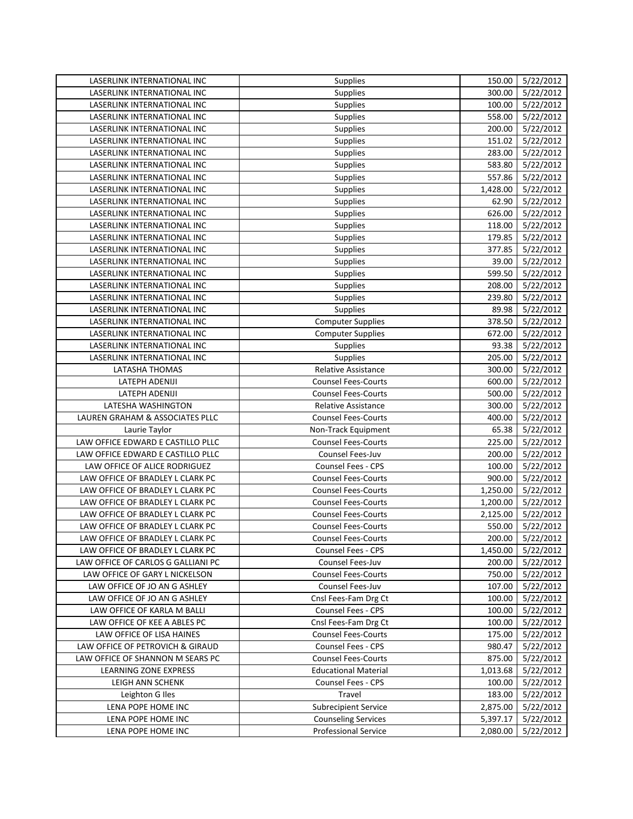| LASERLINK INTERNATIONAL INC        | Supplies                    | 150.00   | 5/22/2012        |
|------------------------------------|-----------------------------|----------|------------------|
| LASERLINK INTERNATIONAL INC        | <b>Supplies</b>             | 300.00   | 5/22/2012        |
| <b>LASERLINK INTERNATIONAL INC</b> | Supplies                    | 100.00   | 5/22/2012        |
| LASERLINK INTERNATIONAL INC        | <b>Supplies</b>             | 558.00   | 5/22/2012        |
| LASERLINK INTERNATIONAL INC        | Supplies                    | 200.00   | 5/22/2012        |
| LASERLINK INTERNATIONAL INC        | Supplies                    | 151.02   | 5/22/2012        |
| LASERLINK INTERNATIONAL INC        | <b>Supplies</b>             | 283.00   | 5/22/2012        |
| LASERLINK INTERNATIONAL INC        | Supplies                    | 583.80   | 5/22/2012        |
| LASERLINK INTERNATIONAL INC        | <b>Supplies</b>             | 557.86   | 5/22/2012        |
| <b>LASERLINK INTERNATIONAL INC</b> | Supplies                    | 1,428.00 | 5/22/2012        |
| LASERLINK INTERNATIONAL INC        | <b>Supplies</b>             | 62.90    | 5/22/2012        |
| LASERLINK INTERNATIONAL INC        | <b>Supplies</b>             | 626.00   | 5/22/2012        |
| LASERLINK INTERNATIONAL INC        | Supplies                    | 118.00   | 5/22/2012        |
| LASERLINK INTERNATIONAL INC        | Supplies                    | 179.85   | 5/22/2012        |
| LASERLINK INTERNATIONAL INC        | Supplies                    | 377.85   | 5/22/2012        |
| LASERLINK INTERNATIONAL INC        | <b>Supplies</b>             | 39.00    | 5/22/2012        |
| LASERLINK INTERNATIONAL INC        | Supplies                    | 599.50   | 5/22/2012        |
| LASERLINK INTERNATIONAL INC        | Supplies                    | 208.00   | 5/22/2012        |
| LASERLINK INTERNATIONAL INC        | <b>Supplies</b>             | 239.80   | 5/22/2012        |
| LASERLINK INTERNATIONAL INC        | Supplies                    | 89.98    | 5/22/2012        |
| LASERLINK INTERNATIONAL INC        | <b>Computer Supplies</b>    | 378.50   | 5/22/2012        |
| LASERLINK INTERNATIONAL INC        | <b>Computer Supplies</b>    | 672.00   | 5/22/2012        |
| LASERLINK INTERNATIONAL INC        | Supplies                    | 93.38    | 5/22/2012        |
| LASERLINK INTERNATIONAL INC        | Supplies                    | 205.00   | 5/22/2012        |
| LATASHA THOMAS                     | <b>Relative Assistance</b>  | 300.00   | 5/22/2012        |
| LATEPH ADENIJI                     | <b>Counsel Fees-Courts</b>  | 600.00   | 5/22/2012        |
| <b>LATEPH ADENIJI</b>              | <b>Counsel Fees-Courts</b>  | 500.00   | 5/22/2012        |
| LATESHA WASHINGTON                 | <b>Relative Assistance</b>  | 300.00   | 5/22/2012        |
| LAUREN GRAHAM & ASSOCIATES PLLC    | <b>Counsel Fees-Courts</b>  | 400.00   | 5/22/2012        |
| Laurie Taylor                      | Non-Track Equipment         | 65.38    | 5/22/2012        |
| LAW OFFICE EDWARD E CASTILLO PLLC  | <b>Counsel Fees-Courts</b>  | 225.00   | 5/22/2012        |
| LAW OFFICE EDWARD E CASTILLO PLLC  | Counsel Fees-Juv            | 200.00   | 5/22/2012        |
| LAW OFFICE OF ALICE RODRIGUEZ      | <b>Counsel Fees - CPS</b>   | 100.00   | 5/22/2012        |
| LAW OFFICE OF BRADLEY L CLARK PC   | <b>Counsel Fees-Courts</b>  | 900.00   | 5/22/2012        |
| LAW OFFICE OF BRADLEY L CLARK PC   | <b>Counsel Fees-Courts</b>  | 1,250.00 | 5/22/2012        |
| LAW OFFICE OF BRADLEY L CLARK PC   | <b>Counsel Fees-Courts</b>  | 1,200.00 | 5/22/2012        |
| LAW OFFICE OF BRADLEY L CLARK PC   | <b>Counsel Fees-Courts</b>  | 2,125.00 | 5/22/2012        |
| LAW OFFICE OF BRADLEY L CLARK PC   | <b>Counsel Fees-Courts</b>  | 550.00   | 5/22/2012        |
| LAW OFFICE OF BRADLEY L CLARK PC   | <b>Counsel Fees-Courts</b>  |          | 200.00 5/22/2012 |
| LAW OFFICE OF BRADLEY L CLARK PC   | Counsel Fees - CPS          | 1,450.00 | 5/22/2012        |
| LAW OFFICE OF CARLOS G GALLIANI PC | Counsel Fees-Juv            | 200.00   | 5/22/2012        |
| LAW OFFICE OF GARY L NICKELSON     | <b>Counsel Fees-Courts</b>  | 750.00   | 5/22/2012        |
| LAW OFFICE OF JO AN G ASHLEY       | Counsel Fees-Juv            | 107.00   | 5/22/2012        |
| LAW OFFICE OF JO AN G ASHLEY       | Cnsl Fees-Fam Drg Ct        | 100.00   | 5/22/2012        |
| LAW OFFICE OF KARLA M BALLI        | Counsel Fees - CPS          | 100.00   | 5/22/2012        |
| LAW OFFICE OF KEE A ABLES PC       | Cnsl Fees-Fam Drg Ct        | 100.00   | 5/22/2012        |
| LAW OFFICE OF LISA HAINES          | <b>Counsel Fees-Courts</b>  | 175.00   | 5/22/2012        |
| LAW OFFICE OF PETROVICH & GIRAUD   | Counsel Fees - CPS          | 980.47   | 5/22/2012        |
| LAW OFFICE OF SHANNON M SEARS PC   | <b>Counsel Fees-Courts</b>  | 875.00   | 5/22/2012        |
| LEARNING ZONE EXPRESS              | <b>Educational Material</b> | 1,013.68 | 5/22/2012        |
| LEIGH ANN SCHENK                   | Counsel Fees - CPS          | 100.00   | 5/22/2012        |
| Leighton G Iles                    | Travel                      | 183.00   | 5/22/2012        |
| LENA POPE HOME INC                 | <b>Subrecipient Service</b> | 2,875.00 | 5/22/2012        |
| LENA POPE HOME INC                 | <b>Counseling Services</b>  | 5,397.17 | 5/22/2012        |
| LENA POPE HOME INC                 | Professional Service        | 2,080.00 | 5/22/2012        |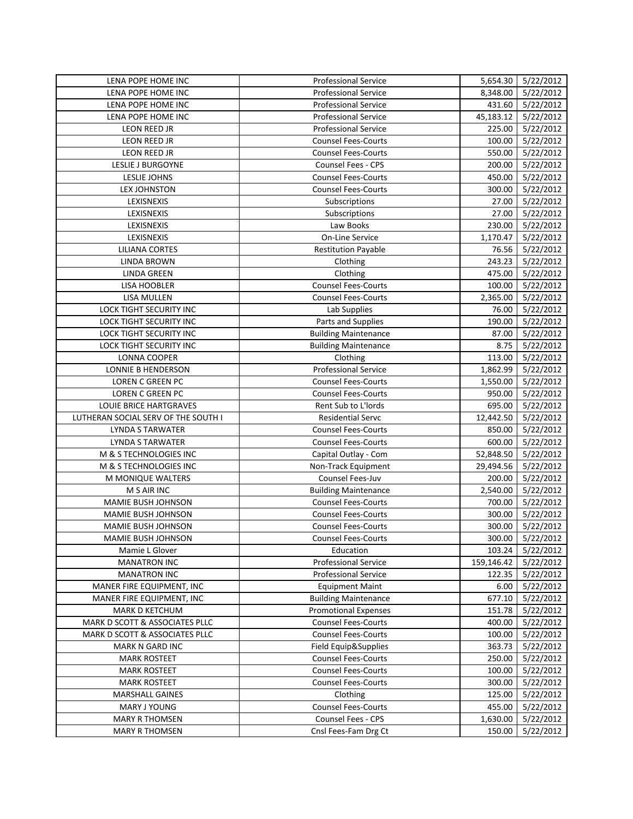| LENA POPE HOME INC                  | <b>Professional Service</b> | 5,654.30   | 5/22/2012        |
|-------------------------------------|-----------------------------|------------|------------------|
| LENA POPE HOME INC                  | <b>Professional Service</b> | 8,348.00   | 5/22/2012        |
| LENA POPE HOME INC                  | <b>Professional Service</b> | 431.60     | 5/22/2012        |
| LENA POPE HOME INC                  | <b>Professional Service</b> | 45,183.12  | 5/22/2012        |
| LEON REED JR                        | <b>Professional Service</b> | 225.00     | 5/22/2012        |
| LEON REED JR                        | <b>Counsel Fees-Courts</b>  | 100.00     | 5/22/2012        |
| LEON REED JR                        | <b>Counsel Fees-Courts</b>  | 550.00     | 5/22/2012        |
| LESLIE J BURGOYNE                   | Counsel Fees - CPS          | 200.00     | 5/22/2012        |
| <b>LESLIE JOHNS</b>                 | <b>Counsel Fees-Courts</b>  | 450.00     | 5/22/2012        |
| LEX JOHNSTON                        | <b>Counsel Fees-Courts</b>  | 300.00     | 5/22/2012        |
| LEXISNEXIS                          | Subscriptions               | 27.00      | 5/22/2012        |
| LEXISNEXIS                          | Subscriptions               | 27.00      | 5/22/2012        |
| LEXISNEXIS                          | Law Books                   | 230.00     | 5/22/2012        |
| LEXISNEXIS                          | <b>On-Line Service</b>      | 1,170.47   | 5/22/2012        |
| <b>LILIANA CORTES</b>               | <b>Restitution Payable</b>  | 76.56      | 5/22/2012        |
| <b>LINDA BROWN</b>                  | Clothing                    | 243.23     | 5/22/2012        |
| LINDA GREEN                         | Clothing                    | 475.00     | 5/22/2012        |
| LISA HOOBLER                        | <b>Counsel Fees-Courts</b>  | 100.00     | 5/22/2012        |
| LISA MULLEN                         | <b>Counsel Fees-Courts</b>  | 2,365.00   | 5/22/2012        |
| <b>LOCK TIGHT SECURITY INC</b>      | Lab Supplies                | 76.00      | 5/22/2012        |
| LOCK TIGHT SECURITY INC             | Parts and Supplies          | 190.00     | 5/22/2012        |
| LOCK TIGHT SECURITY INC             | <b>Building Maintenance</b> | 87.00      | 5/22/2012        |
| LOCK TIGHT SECURITY INC             | <b>Building Maintenance</b> | 8.75       | 5/22/2012        |
| LONNA COOPER                        | Clothing                    | 113.00     | 5/22/2012        |
| LONNIE B HENDERSON                  | Professional Service        | 1,862.99   | 5/22/2012        |
| LOREN C GREEN PC                    | <b>Counsel Fees-Courts</b>  | 1,550.00   | 5/22/2012        |
| LOREN C GREEN PC                    | <b>Counsel Fees-Courts</b>  | 950.00     | 5/22/2012        |
| LOUIE BRICE HARTGRAVES              | Rent Sub to L'Iords         | 695.00     | 5/22/2012        |
| LUTHERAN SOCIAL SERV OF THE SOUTH I | Residential Servc           | 12,442.50  | 5/22/2012        |
| LYNDA S TARWATER                    | <b>Counsel Fees-Courts</b>  | 850.00     | 5/22/2012        |
| LYNDA S TARWATER                    | <b>Counsel Fees-Courts</b>  | 600.00     | 5/22/2012        |
| M & S TECHNOLOGIES INC              | Capital Outlay - Com        | 52,848.50  | 5/22/2012        |
| M & S TECHNOLOGIES INC              | Non-Track Equipment         | 29,494.56  | 5/22/2012        |
| M MONIQUE WALTERS                   | Counsel Fees-Juv            | 200.00     | 5/22/2012        |
| M S AIR INC                         | <b>Building Maintenance</b> | 2,540.00   | 5/22/2012        |
| MAMIE BUSH JOHNSON                  | <b>Counsel Fees-Courts</b>  | 700.00     | 5/22/2012        |
| MAMIE BUSH JOHNSON                  | <b>Counsel Fees-Courts</b>  | 300.00     | 5/22/2012        |
| MAMIE BUSH JOHNSON                  | <b>Counsel Fees-Courts</b>  | 300.00     | 5/22/2012        |
| MAMIE BUSH JOHNSON                  | Counsel Fees-Courts         |            | 300.00 5/22/2012 |
| Mamie L Glover                      | Education                   | 103.24     | 5/22/2012        |
| <b>MANATRON INC</b>                 | <b>Professional Service</b> | 159,146.42 | 5/22/2012        |
| <b>MANATRON INC</b>                 | Professional Service        | 122.35     | 5/22/2012        |
| MANER FIRE EQUIPMENT, INC           | <b>Equipment Maint</b>      | 6.00       | 5/22/2012        |
| MANER FIRE EQUIPMENT, INC           | <b>Building Maintenance</b> | 677.10     | 5/22/2012        |
| MARK D KETCHUM                      | <b>Promotional Expenses</b> | 151.78     | 5/22/2012        |
| MARK D SCOTT & ASSOCIATES PLLC      | <b>Counsel Fees-Courts</b>  | 400.00     | 5/22/2012        |
| MARK D SCOTT & ASSOCIATES PLLC      | <b>Counsel Fees-Courts</b>  | 100.00     | 5/22/2012        |
| MARK N GARD INC                     | Field Equip&Supplies        | 363.73     | 5/22/2012        |
| <b>MARK ROSTEET</b>                 | <b>Counsel Fees-Courts</b>  | 250.00     | 5/22/2012        |
| <b>MARK ROSTEET</b>                 | <b>Counsel Fees-Courts</b>  | 100.00     | 5/22/2012        |
| <b>MARK ROSTEET</b>                 | <b>Counsel Fees-Courts</b>  | 300.00     | 5/22/2012        |
| <b>MARSHALL GAINES</b>              | Clothing                    | 125.00     | 5/22/2012        |
| MARY J YOUNG                        | <b>Counsel Fees-Courts</b>  | 455.00     | 5/22/2012        |
| <b>MARY R THOMSEN</b>               | Counsel Fees - CPS          | 1,630.00   | 5/22/2012        |
| <b>MARY R THOMSEN</b>               | Cnsl Fees-Fam Drg Ct        | 150.00     | 5/22/2012        |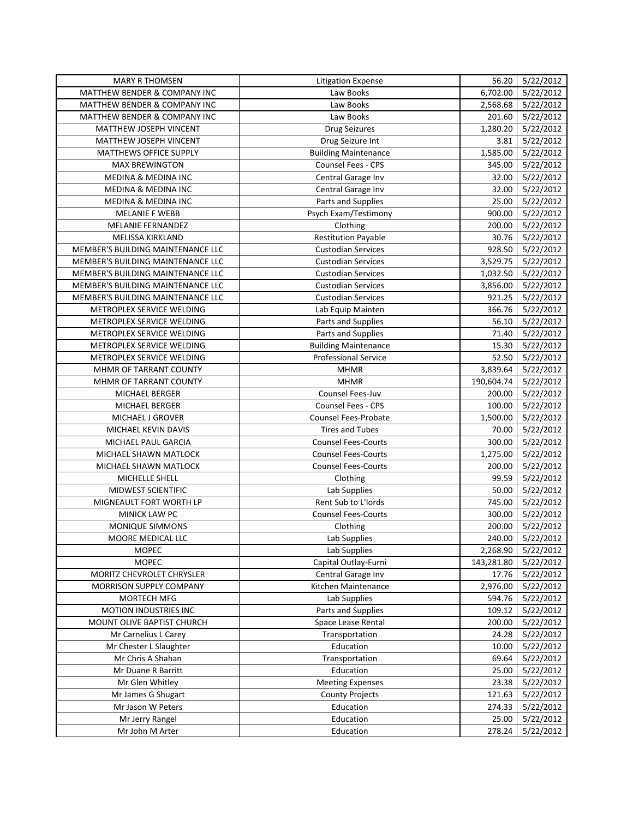| <b>MARY R THOMSEN</b>                   | <b>Litigation Expense</b>   | 56.20      | 5/22/2012        |
|-----------------------------------------|-----------------------------|------------|------------------|
| <b>MATTHEW BENDER &amp; COMPANY INC</b> | Law Books                   | 6,702.00   | 5/22/2012        |
| MATTHEW BENDER & COMPANY INC            | Law Books                   | 2,568.68   | 5/22/2012        |
| MATTHEW BENDER & COMPANY INC            | Law Books                   | 201.60     | 5/22/2012        |
| MATTHEW JOSEPH VINCENT                  | <b>Drug Seizures</b>        | 1,280.20   | 5/22/2012        |
| <b>MATTHEW JOSEPH VINCENT</b>           | Drug Seizure Int            | 3.81       | 5/22/2012        |
| MATTHEWS OFFICE SUPPLY                  | <b>Building Maintenance</b> | 1,585.00   | 5/22/2012        |
| <b>MAX BREWINGTON</b>                   | Counsel Fees - CPS          | 345.00     | 5/22/2012        |
| MEDINA & MEDINA INC                     | Central Garage Inv          | 32.00      | 5/22/2012        |
| MEDINA & MEDINA INC                     | Central Garage Inv          | 32.00      | 5/22/2012        |
| <b>MEDINA &amp; MEDINA INC</b>          | Parts and Supplies          | 25.00      | 5/22/2012        |
| MELANIE F WEBB                          | Psych Exam/Testimony        | 900.00     | 5/22/2012        |
| <b>MELANIE FERNANDEZ</b>                | Clothing                    | 200.00     | 5/22/2012        |
| MELISSA KIRKLAND                        | <b>Restitution Payable</b>  | 30.76      | 5/22/2012        |
| MEMBER'S BUILDING MAINTENANCE LLC       | <b>Custodian Services</b>   | 928.50     | 5/22/2012        |
| MEMBER'S BUILDING MAINTENANCE LLC       | <b>Custodian Services</b>   | 3,529.75   | 5/22/2012        |
| MEMBER'S BUILDING MAINTENANCE LLC       | <b>Custodian Services</b>   | 1,032.50   | 5/22/2012        |
| MEMBER'S BUILDING MAINTENANCE LLC       | <b>Custodian Services</b>   | 3,856.00   | 5/22/2012        |
| MEMBER'S BUILDING MAINTENANCE LLC       | <b>Custodian Services</b>   | 921.25     | 5/22/2012        |
| METROPLEX SERVICE WELDING               | Lab Equip Mainten           | 366.76     | 5/22/2012        |
| METROPLEX SERVICE WELDING               | Parts and Supplies          | 56.10      | 5/22/2012        |
| METROPLEX SERVICE WELDING               | Parts and Supplies          | 71.40      | 5/22/2012        |
| METROPLEX SERVICE WELDING               | <b>Building Maintenance</b> | 15.30      | 5/22/2012        |
| METROPLEX SERVICE WELDING               | <b>Professional Service</b> | 52.50      | 5/22/2012        |
| MHMR OF TARRANT COUNTY                  | <b>MHMR</b>                 | 3,839.64   | 5/22/2012        |
| MHMR OF TARRANT COUNTY                  | <b>MHMR</b>                 | 190,604.74 | 5/22/2012        |
| MICHAEL BERGER                          | Counsel Fees-Juv            | 200.00     | 5/22/2012        |
| MICHAEL BERGER                          | <b>Counsel Fees - CPS</b>   | 100.00     | 5/22/2012        |
| MICHAEL J GROVER                        | <b>Counsel Fees-Probate</b> | 1,500.00   | 5/22/2012        |
| MICHAEL KEVIN DAVIS                     | <b>Tires and Tubes</b>      | 70.00      | 5/22/2012        |
| MICHAEL PAUL GARCIA                     | <b>Counsel Fees-Courts</b>  | 300.00     | 5/22/2012        |
| MICHAEL SHAWN MATLOCK                   | <b>Counsel Fees-Courts</b>  | 1,275.00   | 5/22/2012        |
| MICHAEL SHAWN MATLOCK                   | <b>Counsel Fees-Courts</b>  | 200.00     | 5/22/2012        |
| MICHELLE SHELL                          | Clothing                    | 99.59      | 5/22/2012        |
| MIDWEST SCIENTIFIC                      | Lab Supplies                | 50.00      | 5/22/2012        |
| MIGNEAULT FORT WORTH LP                 | Rent Sub to L'Iords         | 745.00     | 5/22/2012        |
| MINICK LAW PC                           | <b>Counsel Fees-Courts</b>  | 300.00     | 5/22/2012        |
| <b>MONIQUE SIMMONS</b>                  | Clothing                    | 200.00     | 5/22/2012        |
| MOORE MEDICAL LLC                       | Lab Supplies                |            | 240.00 5/22/2012 |
| <b>MOPEC</b>                            | Lab Supplies                | 2,268.90   | 5/22/2012        |
| <b>MOPEC</b>                            | Capital Outlay-Furni        | 143,281.80 | 5/22/2012        |
| MORITZ CHEVROLET CHRYSLER               | Central Garage Inv          | 17.76      | 5/22/2012        |
| MORRISON SUPPLY COMPANY                 | Kitchen Maintenance         | 2,976.00   | 5/22/2012        |
| MORTECH MFG                             | Lab Supplies                | 594.76     | 5/22/2012        |
| MOTION INDUSTRIES INC                   | Parts and Supplies          | 109.12     | 5/22/2012        |
| MOUNT OLIVE BAPTIST CHURCH              | Space Lease Rental          | 200.00     | 5/22/2012        |
| Mr Carnelius L Carey                    | Transportation              | 24.28      | 5/22/2012        |
| Mr Chester L Slaughter                  | Education                   | 10.00      | 5/22/2012        |
| Mr Chris A Shahan                       | Transportation              | 69.64      | 5/22/2012        |
| Mr Duane R Barritt                      | Education                   | 25.00      | 5/22/2012        |
| Mr Glen Whitley                         | <b>Meeting Expenses</b>     | 23.38      | 5/22/2012        |
| Mr James G Shugart                      | <b>County Projects</b>      | 121.63     | 5/22/2012        |
| Mr Jason W Peters                       | Education                   | 274.33     | 5/22/2012        |
| Mr Jerry Rangel                         | Education                   | 25.00      | 5/22/2012        |
| Mr John M Arter                         | Education                   | 278.24     | 5/22/2012        |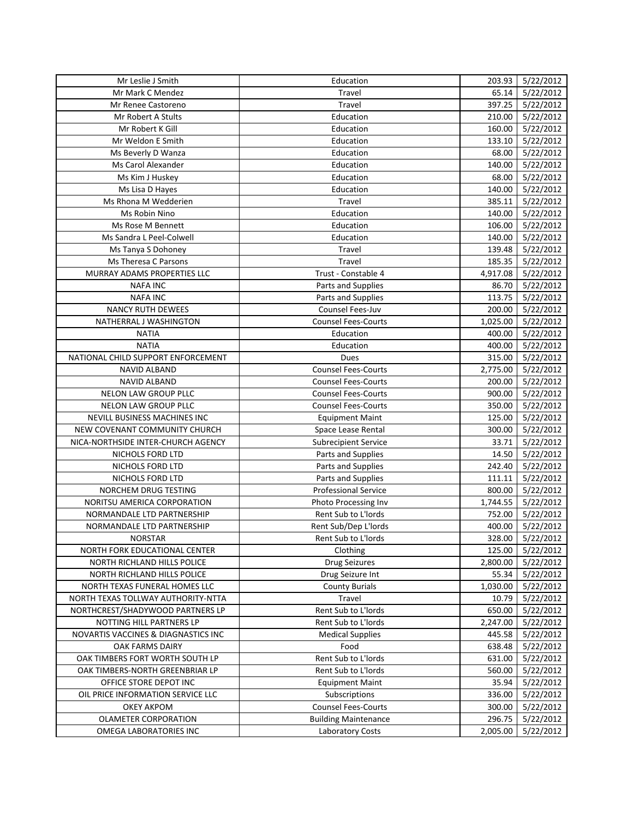| Mr Leslie J Smith                   | Education                   | 203.93   | 5/22/2012        |
|-------------------------------------|-----------------------------|----------|------------------|
| Mr Mark C Mendez                    | Travel                      | 65.14    | 5/22/2012        |
| Mr Renee Castoreno                  | Travel                      | 397.25   | 5/22/2012        |
| Mr Robert A Stults                  | Education                   | 210.00   | 5/22/2012        |
| Mr Robert K Gill                    | Education                   | 160.00   | 5/22/2012        |
| Mr Weldon E Smith                   | Education                   | 133.10   | 5/22/2012        |
| Ms Beverly D Wanza                  | Education                   | 68.00    | 5/22/2012        |
| Ms Carol Alexander                  | Education                   | 140.00   | 5/22/2012        |
| Ms Kim J Huskey                     | Education                   | 68.00    | 5/22/2012        |
| Ms Lisa D Hayes                     | Education                   | 140.00   | 5/22/2012        |
| Ms Rhona M Wedderien                | Travel                      | 385.11   | 5/22/2012        |
| Ms Robin Nino                       | Education                   | 140.00   | 5/22/2012        |
| Ms Rose M Bennett                   | Education                   | 106.00   | 5/22/2012        |
| Ms Sandra L Peel-Colwell            | Education                   | 140.00   | 5/22/2012        |
| Ms Tanya S Dohoney                  | Travel                      | 139.48   | 5/22/2012        |
| Ms Theresa C Parsons                | Travel                      | 185.35   | 5/22/2012        |
| MURRAY ADAMS PROPERTIES LLC         | Trust - Constable 4         | 4,917.08 | 5/22/2012        |
| <b>NAFA INC</b>                     | Parts and Supplies          | 86.70    | 5/22/2012        |
| <b>NAFA INC</b>                     | Parts and Supplies          | 113.75   | 5/22/2012        |
| <b>NANCY RUTH DEWEES</b>            | Counsel Fees-Juv            | 200.00   | 5/22/2012        |
| NATHERRAL J WASHINGTON              | <b>Counsel Fees-Courts</b>  | 1,025.00 | 5/22/2012        |
| <b>NATIA</b>                        | Education                   | 400.00   | 5/22/2012        |
| <b>NATIA</b>                        | Education                   | 400.00   | 5/22/2012        |
| NATIONAL CHILD SUPPORT ENFORCEMENT  | Dues                        | 315.00   | 5/22/2012        |
| <b>NAVID ALBAND</b>                 | <b>Counsel Fees-Courts</b>  | 2,775.00 | 5/22/2012        |
| <b>NAVID ALBAND</b>                 | <b>Counsel Fees-Courts</b>  | 200.00   | 5/22/2012        |
| NELON LAW GROUP PLLC                | <b>Counsel Fees-Courts</b>  | 900.00   | 5/22/2012        |
| NELON LAW GROUP PLLC                | <b>Counsel Fees-Courts</b>  | 350.00   | 5/22/2012        |
| NEVILL BUSINESS MACHINES INC        | <b>Equipment Maint</b>      | 125.00   | 5/22/2012        |
| NEW COVENANT COMMUNITY CHURCH       | Space Lease Rental          | 300.00   | 5/22/2012        |
| NICA-NORTHSIDE INTER-CHURCH AGENCY  | <b>Subrecipient Service</b> | 33.71    | 5/22/2012        |
| NICHOLS FORD LTD                    | Parts and Supplies          | 14.50    | 5/22/2012        |
| NICHOLS FORD LTD                    | Parts and Supplies          | 242.40   | 5/22/2012        |
| NICHOLS FORD LTD                    | Parts and Supplies          | 111.11   | 5/22/2012        |
| NORCHEM DRUG TESTING                | Professional Service        | 800.00   | 5/22/2012        |
| NORITSU AMERICA CORPORATION         | Photo Processing Inv        | 1,744.55 | 5/22/2012        |
| NORMANDALE LTD PARTNERSHIP          | Rent Sub to L'Iords         | 752.00   | 5/22/2012        |
| NORMANDALE LTD PARTNERSHIP          | Rent Sub/Dep L'Iords        | 400.00   | 5/22/2012        |
| <b>NORSTAR</b>                      | Rent Sub to L'Iords         |          | 328.00 5/22/2012 |
| NORTH FORK EDUCATIONAL CENTER       | Clothing                    | 125.00   | 5/22/2012        |
| NORTH RICHLAND HILLS POLICE         | <b>Drug Seizures</b>        | 2,800.00 | 5/22/2012        |
| NORTH RICHLAND HILLS POLICE         | Drug Seizure Int            | 55.34    | 5/22/2012        |
| NORTH TEXAS FUNERAL HOMES LLC       | <b>County Burials</b>       | 1,030.00 | 5/22/2012        |
| NORTH TEXAS TOLLWAY AUTHORITY-NTTA  | Travel                      | 10.79    | 5/22/2012        |
| NORTHCREST/SHADYWOOD PARTNERS LP    | Rent Sub to L'Iords         | 650.00   | 5/22/2012        |
| NOTTING HILL PARTNERS LP            | Rent Sub to L'Iords         | 2,247.00 | 5/22/2012        |
| NOVARTIS VACCINES & DIAGNASTICS INC | <b>Medical Supplies</b>     | 445.58   | 5/22/2012        |
| OAK FARMS DAIRY                     | Food                        | 638.48   | 5/22/2012        |
| OAK TIMBERS FORT WORTH SOUTH LP     | Rent Sub to L'Iords         | 631.00   | 5/22/2012        |
| OAK TIMBERS-NORTH GREENBRIAR LP     | Rent Sub to L'Iords         | 560.00   | 5/22/2012        |
| OFFICE STORE DEPOT INC              | <b>Equipment Maint</b>      | 35.94    | 5/22/2012        |
| OIL PRICE INFORMATION SERVICE LLC   | Subscriptions               | 336.00   | 5/22/2012        |
| <b>OKEY AKPOM</b>                   | <b>Counsel Fees-Courts</b>  | 300.00   | 5/22/2012        |
| OLAMETER CORPORATION                | <b>Building Maintenance</b> | 296.75   | 5/22/2012        |
| OMEGA LABORATORIES INC              | Laboratory Costs            | 2,005.00 | 5/22/2012        |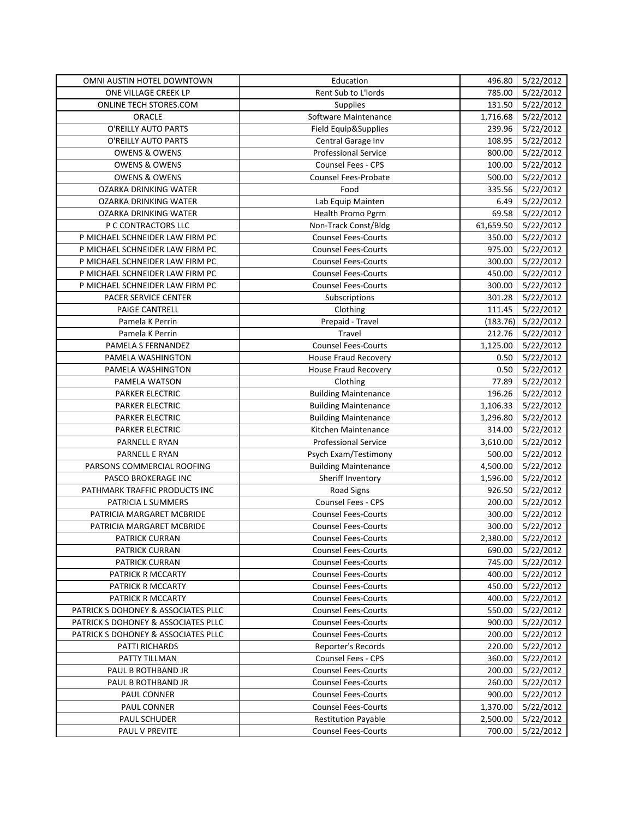| OMNI AUSTIN HOTEL DOWNTOWN          | Education                   | 496.80    | 5/22/2012          |
|-------------------------------------|-----------------------------|-----------|--------------------|
| ONE VILLAGE CREEK LP                | Rent Sub to L'Iords         | 785.00    | 5/22/2012          |
| ONLINE TECH STORES.COM              | Supplies                    | 131.50    | 5/22/2012          |
| ORACLE                              | Software Maintenance        | 1,716.68  | 5/22/2012          |
| O'REILLY AUTO PARTS                 | Field Equip&Supplies        | 239.96    | 5/22/2012          |
| O'REILLY AUTO PARTS                 | Central Garage Inv          | 108.95    | 5/22/2012          |
| <b>OWENS &amp; OWENS</b>            | Professional Service        | 800.00    | 5/22/2012          |
| <b>OWENS &amp; OWENS</b>            | Counsel Fees - CPS          | 100.00    | 5/22/2012          |
| <b>OWENS &amp; OWENS</b>            | Counsel Fees-Probate        | 500.00    | 5/22/2012          |
| <b>OZARKA DRINKING WATER</b>        | Food                        | 335.56    | 5/22/2012          |
| OZARKA DRINKING WATER               | Lab Equip Mainten           | 6.49      | 5/22/2012          |
| OZARKA DRINKING WATER               | Health Promo Pgrm           | 69.58     | 5/22/2012          |
| P C CONTRACTORS LLC                 | Non-Track Const/Bldg        | 61,659.50 | 5/22/2012          |
| P MICHAEL SCHNEIDER LAW FIRM PC     | <b>Counsel Fees-Courts</b>  | 350.00    | 5/22/2012          |
| P MICHAEL SCHNEIDER LAW FIRM PC     | <b>Counsel Fees-Courts</b>  | 975.00    | 5/22/2012          |
| P MICHAEL SCHNEIDER LAW FIRM PC     | <b>Counsel Fees-Courts</b>  | 300.00    | 5/22/2012          |
| P MICHAEL SCHNEIDER LAW FIRM PC     | <b>Counsel Fees-Courts</b>  | 450.00    | 5/22/2012          |
| P MICHAEL SCHNEIDER LAW FIRM PC     | <b>Counsel Fees-Courts</b>  | 300.00    | 5/22/2012          |
| PACER SERVICE CENTER                | Subscriptions               | 301.28    | 5/22/2012          |
| PAIGE CANTRELL                      | Clothing                    | 111.45    | 5/22/2012          |
| Pamela K Perrin                     | Prepaid - Travel            | (183.76)  | 5/22/2012          |
| Pamela K Perrin                     | Travel                      | 212.76    | 5/22/2012          |
| PAMELA S FERNANDEZ                  | <b>Counsel Fees-Courts</b>  | 1,125.00  | 5/22/2012          |
| PAMELA WASHINGTON                   | House Fraud Recovery        | 0.50      | 5/22/2012          |
| PAMELA WASHINGTON                   | <b>House Fraud Recovery</b> | 0.50      | 5/22/2012          |
| PAMELA WATSON                       | Clothing                    | 77.89     | 5/22/2012          |
| PARKER ELECTRIC                     | <b>Building Maintenance</b> | 196.26    | 5/22/2012          |
| PARKER ELECTRIC                     | <b>Building Maintenance</b> | 1,106.33  | 5/22/2012          |
| <b>PARKER ELECTRIC</b>              | <b>Building Maintenance</b> | 1,296.80  | 5/22/2012          |
| <b>PARKER ELECTRIC</b>              | Kitchen Maintenance         | 314.00    | 5/22/2012          |
| PARNELL E RYAN                      | <b>Professional Service</b> | 3,610.00  | 5/22/2012          |
| PARNELL E RYAN                      | Psych Exam/Testimony        | 500.00    | 5/22/2012          |
| PARSONS COMMERCIAL ROOFING          | <b>Building Maintenance</b> | 4,500.00  | 5/22/2012          |
| PASCO BROKERAGE INC                 | Sheriff Inventory           | 1,596.00  | 5/22/2012          |
| PATHMARK TRAFFIC PRODUCTS INC       | <b>Road Signs</b>           | 926.50    | 5/22/2012          |
| PATRICIA L SUMMERS                  | Counsel Fees - CPS          | 200.00    | 5/22/2012          |
| PATRICIA MARGARET MCBRIDE           | <b>Counsel Fees-Courts</b>  | 300.00    | 5/22/2012          |
| PATRICIA MARGARET MCBRIDE           | <b>Counsel Fees-Courts</b>  | 300.00    | 5/22/2012          |
| PATRICK CURRAN                      | Counsel Fees-Courts         |           | 2,380.00 5/22/2012 |
| <b>PATRICK CURRAN</b>               | <b>Counsel Fees-Courts</b>  | 690.00    | 5/22/2012          |
| PATRICK CURRAN                      | <b>Counsel Fees-Courts</b>  | 745.00    | 5/22/2012          |
| PATRICK R MCCARTY                   | <b>Counsel Fees-Courts</b>  | 400.00    | 5/22/2012          |
| PATRICK R MCCARTY                   | <b>Counsel Fees-Courts</b>  | 450.00    | 5/22/2012          |
| PATRICK R MCCARTY                   | <b>Counsel Fees-Courts</b>  | 400.00    | 5/22/2012          |
| PATRICK S DOHONEY & ASSOCIATES PLLC | <b>Counsel Fees-Courts</b>  | 550.00    | 5/22/2012          |
| PATRICK S DOHONEY & ASSOCIATES PLLC | <b>Counsel Fees-Courts</b>  | 900.00    | 5/22/2012          |
| PATRICK S DOHONEY & ASSOCIATES PLLC | <b>Counsel Fees-Courts</b>  | 200.00    | 5/22/2012          |
| PATTI RICHARDS                      | Reporter's Records          | 220.00    | 5/22/2012          |
| PATTY TILLMAN                       | Counsel Fees - CPS          | 360.00    | 5/22/2012          |
| PAUL B ROTHBAND JR                  | <b>Counsel Fees-Courts</b>  | 200.00    | 5/22/2012          |
| PAUL B ROTHBAND JR                  | <b>Counsel Fees-Courts</b>  | 260.00    | 5/22/2012          |
| PAUL CONNER                         | <b>Counsel Fees-Courts</b>  | 900.00    | 5/22/2012          |
| PAUL CONNER                         | <b>Counsel Fees-Courts</b>  | 1,370.00  | 5/22/2012          |
| PAUL SCHUDER                        | <b>Restitution Payable</b>  | 2,500.00  | 5/22/2012          |
| PAUL V PREVITE                      | <b>Counsel Fees-Courts</b>  | 700.00    | 5/22/2012          |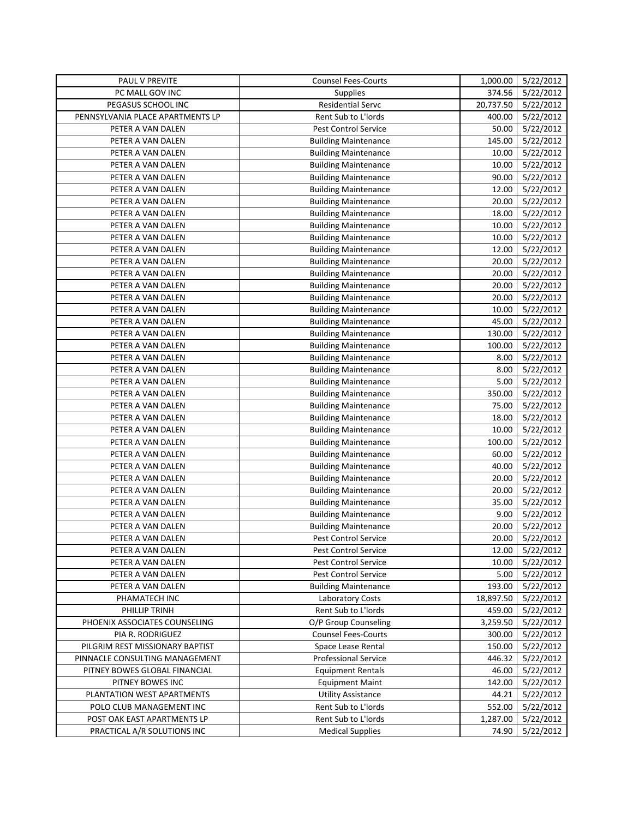| PAUL V PREVITE                   | <b>Counsel Fees-Courts</b>  | 1,000.00  | 5/22/2012       |
|----------------------------------|-----------------------------|-----------|-----------------|
| PC MALL GOV INC                  | <b>Supplies</b>             | 374.56    | 5/22/2012       |
| PEGASUS SCHOOL INC               | Residential Servc           | 20,737.50 | 5/22/2012       |
| PENNSYLVANIA PLACE APARTMENTS LP | Rent Sub to L'Iords         | 400.00    | 5/22/2012       |
| PETER A VAN DALEN                | Pest Control Service        | 50.00     | 5/22/2012       |
| PETER A VAN DALEN                | <b>Building Maintenance</b> | 145.00    | 5/22/2012       |
| PETER A VAN DALEN                | <b>Building Maintenance</b> | 10.00     | 5/22/2012       |
| PETER A VAN DALEN                | <b>Building Maintenance</b> | 10.00     | 5/22/2012       |
| PETER A VAN DALEN                | <b>Building Maintenance</b> | 90.00     | 5/22/2012       |
| PETER A VAN DALEN                | <b>Building Maintenance</b> | 12.00     | 5/22/2012       |
| PETER A VAN DALEN                | <b>Building Maintenance</b> | 20.00     | 5/22/2012       |
| PETER A VAN DALEN                | <b>Building Maintenance</b> | 18.00     | 5/22/2012       |
| PETER A VAN DALEN                | <b>Building Maintenance</b> | 10.00     | 5/22/2012       |
| PETER A VAN DALEN                | <b>Building Maintenance</b> | 10.00     | 5/22/2012       |
| PETER A VAN DALEN                | <b>Building Maintenance</b> | 12.00     | 5/22/2012       |
| PETER A VAN DALEN                | <b>Building Maintenance</b> | 20.00     | 5/22/2012       |
| PETER A VAN DALEN                | <b>Building Maintenance</b> | 20.00     | 5/22/2012       |
| PETER A VAN DALEN                | <b>Building Maintenance</b> | 20.00     | 5/22/2012       |
| PETER A VAN DALEN                | <b>Building Maintenance</b> | 20.00     | 5/22/2012       |
| PETER A VAN DALEN                | <b>Building Maintenance</b> | 10.00     | 5/22/2012       |
| PETER A VAN DALEN                | <b>Building Maintenance</b> | 45.00     | 5/22/2012       |
| PETER A VAN DALEN                | <b>Building Maintenance</b> | 130.00    | 5/22/2012       |
| PETER A VAN DALEN                | <b>Building Maintenance</b> | 100.00    | 5/22/2012       |
| PETER A VAN DALEN                | <b>Building Maintenance</b> | 8.00      | 5/22/2012       |
| PETER A VAN DALEN                | <b>Building Maintenance</b> | 8.00      | 5/22/2012       |
| PETER A VAN DALEN                | <b>Building Maintenance</b> | 5.00      | 5/22/2012       |
| PETER A VAN DALEN                | <b>Building Maintenance</b> | 350.00    | 5/22/2012       |
| PETER A VAN DALEN                | <b>Building Maintenance</b> | 75.00     | 5/22/2012       |
| PETER A VAN DALEN                | <b>Building Maintenance</b> | 18.00     | 5/22/2012       |
| PETER A VAN DALEN                | <b>Building Maintenance</b> | 10.00     | 5/22/2012       |
| PETER A VAN DALEN                | <b>Building Maintenance</b> | 100.00    | 5/22/2012       |
| PETER A VAN DALEN                | <b>Building Maintenance</b> | 60.00     | 5/22/2012       |
| PETER A VAN DALEN                | <b>Building Maintenance</b> | 40.00     | 5/22/2012       |
| PETER A VAN DALEN                | <b>Building Maintenance</b> | 20.00     | 5/22/2012       |
| PETER A VAN DALEN                | <b>Building Maintenance</b> | 20.00     | 5/22/2012       |
| PETER A VAN DALEN                | <b>Building Maintenance</b> | 35.00     | 5/22/2012       |
| PETER A VAN DALEN                | <b>Building Maintenance</b> | 9.00      | 5/22/2012       |
| PETER A VAN DALEN                | <b>Building Maintenance</b> | 20.00     | 5/22/2012       |
| PETER A VAN DALEN                | Pest Control Service        |           | 20.00 5/22/2012 |
| PETER A VAN DALEN                | <b>Pest Control Service</b> | 12.00     | 5/22/2012       |
| PETER A VAN DALEN                | Pest Control Service        | 10.00     | 5/22/2012       |
| PETER A VAN DALEN                | Pest Control Service        | 5.00      | 5/22/2012       |
| PETER A VAN DALEN                | <b>Building Maintenance</b> | 193.00    | 5/22/2012       |
| PHAMATECH INC                    | Laboratory Costs            | 18,897.50 | 5/22/2012       |
| PHILLIP TRINH                    | Rent Sub to L'Iords         | 459.00    | 5/22/2012       |
| PHOENIX ASSOCIATES COUNSELING    | O/P Group Counseling        | 3,259.50  | 5/22/2012       |
| PIA R. RODRIGUEZ                 | <b>Counsel Fees-Courts</b>  | 300.00    | 5/22/2012       |
| PILGRIM REST MISSIONARY BAPTIST  | Space Lease Rental          | 150.00    | 5/22/2012       |
| PINNACLE CONSULTING MANAGEMENT   | Professional Service        | 446.32    | 5/22/2012       |
| PITNEY BOWES GLOBAL FINANCIAL    | <b>Equipment Rentals</b>    | 46.00     | 5/22/2012       |
| PITNEY BOWES INC                 | <b>Equipment Maint</b>      | 142.00    | 5/22/2012       |
| PLANTATION WEST APARTMENTS       | <b>Utility Assistance</b>   | 44.21     | 5/22/2012       |
| POLO CLUB MANAGEMENT INC         | Rent Sub to L'Iords         | 552.00    | 5/22/2012       |
| POST OAK EAST APARTMENTS LP      | Rent Sub to L'Iords         | 1,287.00  | 5/22/2012       |
| PRACTICAL A/R SOLUTIONS INC      | <b>Medical Supplies</b>     | 74.90     | 5/22/2012       |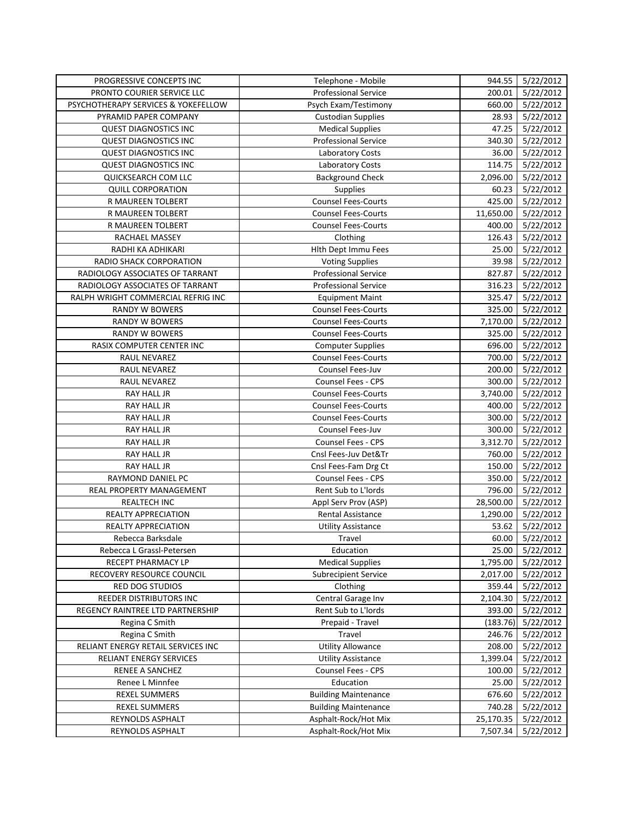| PROGRESSIVE CONCEPTS INC            | Telephone - Mobile          |           | 944.55 5/22/2012 |
|-------------------------------------|-----------------------------|-----------|------------------|
| PRONTO COURIER SERVICE LLC          | Professional Service        | 200.01    | 5/22/2012        |
| PSYCHOTHERAPY SERVICES & YOKEFELLOW | Psych Exam/Testimony        | 660.00    | 5/22/2012        |
| PYRAMID PAPER COMPANY               | <b>Custodian Supplies</b>   | 28.93     | 5/22/2012        |
| <b>QUEST DIAGNOSTICS INC</b>        | <b>Medical Supplies</b>     | 47.25     | 5/22/2012        |
| <b>QUEST DIAGNOSTICS INC</b>        | Professional Service        | 340.30    | 5/22/2012        |
| <b>QUEST DIAGNOSTICS INC</b>        | Laboratory Costs            | 36.00     | 5/22/2012        |
| <b>QUEST DIAGNOSTICS INC</b>        | Laboratory Costs            | 114.75    | 5/22/2012        |
| QUICKSEARCH COM LLC                 | <b>Background Check</b>     | 2,096.00  | 5/22/2012        |
| <b>QUILL CORPORATION</b>            | Supplies                    | 60.23     | 5/22/2012        |
| R MAUREEN TOLBERT                   | <b>Counsel Fees-Courts</b>  | 425.00    | 5/22/2012        |
| R MAUREEN TOLBERT                   | <b>Counsel Fees-Courts</b>  | 11,650.00 | 5/22/2012        |
| R MAUREEN TOLBERT                   | <b>Counsel Fees-Courts</b>  | 400.00    | 5/22/2012        |
| RACHAEL MASSEY                      | Clothing                    | 126.43    | 5/22/2012        |
| RADHI KA ADHIKARI                   | Hith Dept Immu Fees         | 25.00     | 5/22/2012        |
| RADIO SHACK CORPORATION             | <b>Voting Supplies</b>      | 39.98     | 5/22/2012        |
| RADIOLOGY ASSOCIATES OF TARRANT     | <b>Professional Service</b> | 827.87    | 5/22/2012        |
| RADIOLOGY ASSOCIATES OF TARRANT     | <b>Professional Service</b> | 316.23    | 5/22/2012        |
| RALPH WRIGHT COMMERCIAL REFRIG INC  | <b>Equipment Maint</b>      | 325.47    | 5/22/2012        |
| <b>RANDY W BOWERS</b>               | <b>Counsel Fees-Courts</b>  | 325.00    | 5/22/2012        |
| <b>RANDY W BOWERS</b>               | <b>Counsel Fees-Courts</b>  | 7,170.00  | 5/22/2012        |
| RANDY W BOWERS                      | <b>Counsel Fees-Courts</b>  | 325.00    | 5/22/2012        |
| RASIX COMPUTER CENTER INC           | <b>Computer Supplies</b>    | 696.00    | 5/22/2012        |
| RAUL NEVAREZ                        | <b>Counsel Fees-Courts</b>  | 700.00    | 5/22/2012        |
| RAUL NEVAREZ                        | Counsel Fees-Juv            | 200.00    | 5/22/2012        |
| RAUL NEVAREZ                        | Counsel Fees - CPS          | 300.00    | 5/22/2012        |
| <b>RAY HALL JR</b>                  | <b>Counsel Fees-Courts</b>  | 3,740.00  | 5/22/2012        |
| RAY HALL JR                         | <b>Counsel Fees-Courts</b>  | 400.00    | 5/22/2012        |
| RAY HALL JR                         | <b>Counsel Fees-Courts</b>  | 300.00    | 5/22/2012        |
| RAY HALL JR                         | Counsel Fees-Juv            | 300.00    | 5/22/2012        |
| RAY HALL JR                         | <b>Counsel Fees - CPS</b>   | 3,312.70  | 5/22/2012        |
| <b>RAY HALL JR</b>                  | Cnsl Fees-Juv Det&Tr        | 760.00    | 5/22/2012        |
| <b>RAY HALL JR</b>                  | Cnsl Fees-Fam Drg Ct        | 150.00    | 5/22/2012        |
| RAYMOND DANIEL PC                   | Counsel Fees - CPS          | 350.00    | 5/22/2012        |
| REAL PROPERTY MANAGEMENT            | Rent Sub to L'Iords         | 796.00    | 5/22/2012        |
| REALTECH INC                        | Appl Serv Prov (ASP)        | 28,500.00 | 5/22/2012        |
| REALTY APPRECIATION                 | Rental Assistance           | 1,290.00  | 5/22/2012        |
| REALTY APPRECIATION                 | <b>Utility Assistance</b>   | 53.62     | 5/22/2012        |
| Rebecca Barksdale                   | Travel                      |           | 60.00 5/22/2012  |
| Rebecca L Grassl-Petersen           | Education                   | 25.00     | 5/22/2012        |
| RECEPT PHARMACY LP                  | <b>Medical Supplies</b>     | 1,795.00  | 5/22/2012        |
| RECOVERY RESOURCE COUNCIL           | <b>Subrecipient Service</b> | 2,017.00  | 5/22/2012        |
| RED DOG STUDIOS                     | Clothing                    | 359.44    | 5/22/2012        |
| REEDER DISTRIBUTORS INC             | Central Garage Inv          | 2,104.30  | 5/22/2012        |
| REGENCY RAINTREE LTD PARTNERSHIP    | Rent Sub to L'Iords         | 393.00    | 5/22/2012        |
| Regina C Smith                      | Prepaid - Travel            | (183.76)  | 5/22/2012        |
| Regina C Smith                      | Travel                      | 246.76    | 5/22/2012        |
| RELIANT ENERGY RETAIL SERVICES INC  | <b>Utility Allowance</b>    | 208.00    | 5/22/2012        |
| RELIANT ENERGY SERVICES             | <b>Utility Assistance</b>   | 1,399.04  | 5/22/2012        |
| RENEE A SANCHEZ                     | Counsel Fees - CPS          | 100.00    | 5/22/2012        |
| Renee L Minnfee                     | Education                   | 25.00     | 5/22/2012        |
| <b>REXEL SUMMERS</b>                | <b>Building Maintenance</b> | 676.60    | 5/22/2012        |
| <b>REXEL SUMMERS</b>                | <b>Building Maintenance</b> | 740.28    | 5/22/2012        |
| REYNOLDS ASPHALT                    | Asphalt-Rock/Hot Mix        | 25,170.35 | 5/22/2012        |
| REYNOLDS ASPHALT                    | Asphalt-Rock/Hot Mix        | 7,507.34  | 5/22/2012        |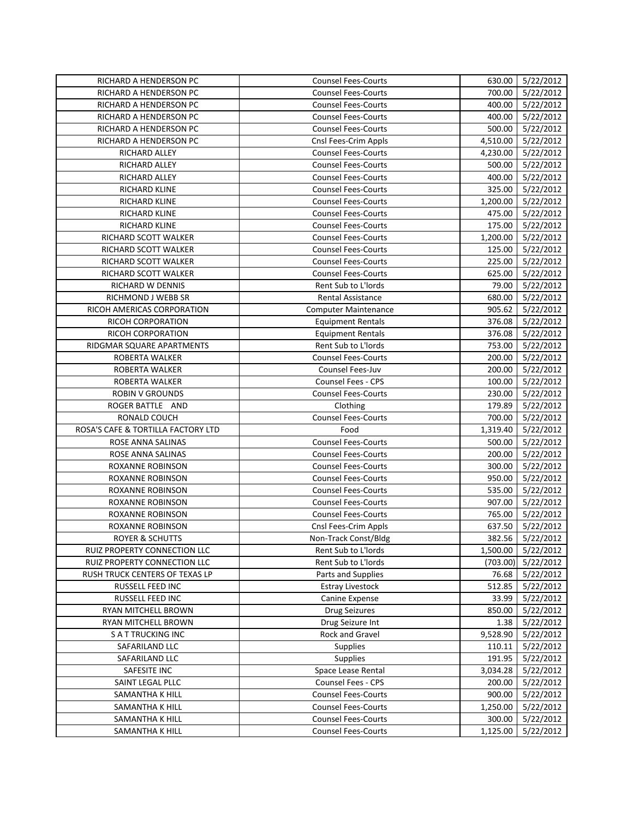| RICHARD A HENDERSON PC             | <b>Counsel Fees-Courts</b>  | 630.00   | 5/22/2012        |
|------------------------------------|-----------------------------|----------|------------------|
| RICHARD A HENDERSON PC             | <b>Counsel Fees-Courts</b>  | 700.00   | 5/22/2012        |
| RICHARD A HENDERSON PC             | <b>Counsel Fees-Courts</b>  | 400.00   | 5/22/2012        |
| RICHARD A HENDERSON PC             | <b>Counsel Fees-Courts</b>  | 400.00   | 5/22/2012        |
| RICHARD A HENDERSON PC             | <b>Counsel Fees-Courts</b>  | 500.00   | 5/22/2012        |
| RICHARD A HENDERSON PC             | Cnsl Fees-Crim Appls        | 4,510.00 | 5/22/2012        |
| RICHARD ALLEY                      | <b>Counsel Fees-Courts</b>  | 4,230.00 | 5/22/2012        |
| RICHARD ALLEY                      | <b>Counsel Fees-Courts</b>  | 500.00   | 5/22/2012        |
| RICHARD ALLEY                      | <b>Counsel Fees-Courts</b>  | 400.00   | 5/22/2012        |
| <b>RICHARD KLINE</b>               | <b>Counsel Fees-Courts</b>  | 325.00   | 5/22/2012        |
| RICHARD KLINE                      | <b>Counsel Fees-Courts</b>  | 1,200.00 | 5/22/2012        |
| RICHARD KLINE                      | <b>Counsel Fees-Courts</b>  | 475.00   | 5/22/2012        |
| <b>RICHARD KLINE</b>               | <b>Counsel Fees-Courts</b>  | 175.00   | 5/22/2012        |
| RICHARD SCOTT WALKER               | <b>Counsel Fees-Courts</b>  | 1,200.00 | 5/22/2012        |
| RICHARD SCOTT WALKER               | <b>Counsel Fees-Courts</b>  | 125.00   | 5/22/2012        |
| RICHARD SCOTT WALKER               | <b>Counsel Fees-Courts</b>  | 225.00   | 5/22/2012        |
| RICHARD SCOTT WALKER               | <b>Counsel Fees-Courts</b>  | 625.00   | 5/22/2012        |
| RICHARD W DENNIS                   | Rent Sub to L'Iords         | 79.00    | 5/22/2012        |
| RICHMOND J WEBB SR                 | <b>Rental Assistance</b>    | 680.00   | 5/22/2012        |
| RICOH AMERICAS CORPORATION         | <b>Computer Maintenance</b> | 905.62   | 5/22/2012        |
| RICOH CORPORATION                  | <b>Equipment Rentals</b>    | 376.08   | 5/22/2012        |
| RICOH CORPORATION                  | <b>Equipment Rentals</b>    | 376.08   | 5/22/2012        |
| RIDGMAR SQUARE APARTMENTS          | Rent Sub to L'Iords         | 753.00   | 5/22/2012        |
| ROBERTA WALKER                     | <b>Counsel Fees-Courts</b>  | 200.00   | 5/22/2012        |
| ROBERTA WALKER                     | Counsel Fees-Juv            | 200.00   | 5/22/2012        |
| ROBERTA WALKER                     | <b>Counsel Fees - CPS</b>   | 100.00   | 5/22/2012        |
| <b>ROBIN V GROUNDS</b>             | <b>Counsel Fees-Courts</b>  | 230.00   | 5/22/2012        |
| ROGER BATTLE AND                   | Clothing                    | 179.89   | 5/22/2012        |
| RONALD COUCH                       | <b>Counsel Fees-Courts</b>  | 700.00   | 5/22/2012        |
| ROSA'S CAFE & TORTILLA FACTORY LTD | Food                        | 1,319.40 | 5/22/2012        |
| ROSE ANNA SALINAS                  | <b>Counsel Fees-Courts</b>  | 500.00   | 5/22/2012        |
| ROSE ANNA SALINAS                  | <b>Counsel Fees-Courts</b>  | 200.00   | 5/22/2012        |
| ROXANNE ROBINSON                   | <b>Counsel Fees-Courts</b>  | 300.00   | 5/22/2012        |
| ROXANNE ROBINSON                   | <b>Counsel Fees-Courts</b>  | 950.00   | 5/22/2012        |
| <b>ROXANNE ROBINSON</b>            | <b>Counsel Fees-Courts</b>  | 535.00   | 5/22/2012        |
| ROXANNE ROBINSON                   | <b>Counsel Fees-Courts</b>  | 907.00   | 5/22/2012        |
| ROXANNE ROBINSON                   | <b>Counsel Fees-Courts</b>  | 765.00   | 5/22/2012        |
| <b>ROXANNE ROBINSON</b>            | Cnsl Fees-Crim Appls        | 637.50   | 5/22/2012        |
| <b>ROYER &amp; SCHUTTS</b>         | Non-Track Const/Bldg        |          | 382.56 5/22/2012 |
| RUIZ PROPERTY CONNECTION LLC       | Rent Sub to L'Iords         | 1,500.00 | 5/22/2012        |
| RUIZ PROPERTY CONNECTION LLC       | Rent Sub to L'Iords         | (703.00) | 5/22/2012        |
| RUSH TRUCK CENTERS OF TEXAS LP     | Parts and Supplies          | 76.68    | 5/22/2012        |
| RUSSELL FEED INC                   | <b>Estray Livestock</b>     | 512.85   | 5/22/2012        |
| RUSSELL FEED INC                   | Canine Expense              | 33.99    | 5/22/2012        |
| RYAN MITCHELL BROWN                | <b>Drug Seizures</b>        | 850.00   | 5/22/2012        |
| RYAN MITCHELL BROWN                | Drug Seizure Int            | 1.38     | 5/22/2012        |
| <b>SATTRUCKING INC</b>             | Rock and Gravel             | 9,528.90 | 5/22/2012        |
| SAFARILAND LLC                     | Supplies                    | 110.11   | 5/22/2012        |
| SAFARILAND LLC                     | <b>Supplies</b>             | 191.95   | 5/22/2012        |
| SAFESITE INC                       | Space Lease Rental          | 3,034.28 | 5/22/2012        |
| SAINT LEGAL PLLC                   | Counsel Fees - CPS          | 200.00   | 5/22/2012        |
| SAMANTHA K HILL                    | <b>Counsel Fees-Courts</b>  | 900.00   | 5/22/2012        |
| SAMANTHA K HILL                    | <b>Counsel Fees-Courts</b>  | 1,250.00 | 5/22/2012        |
| SAMANTHA K HILL                    | <b>Counsel Fees-Courts</b>  | 300.00   | 5/22/2012        |
| SAMANTHA K HILL                    | <b>Counsel Fees-Courts</b>  | 1,125.00 | 5/22/2012        |
|                                    |                             |          |                  |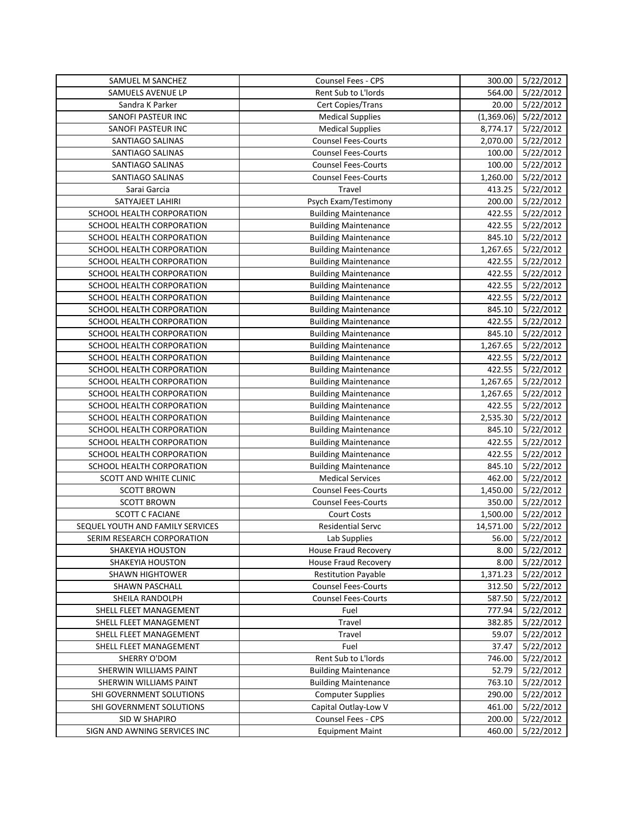| SAMUEL M SANCHEZ                 | <b>Counsel Fees - CPS</b>   | 300.00     | 5/22/2012 |
|----------------------------------|-----------------------------|------------|-----------|
| SAMUELS AVENUE LP                | Rent Sub to L'Iords         | 564.00     | 5/22/2012 |
| Sandra K Parker                  | Cert Copies/Trans           | 20.00      | 5/22/2012 |
| SANOFI PASTEUR INC               | <b>Medical Supplies</b>     | (1,369.06) | 5/22/2012 |
| SANOFI PASTEUR INC               | <b>Medical Supplies</b>     | 8,774.17   | 5/22/2012 |
| SANTIAGO SALINAS                 | <b>Counsel Fees-Courts</b>  | 2,070.00   | 5/22/2012 |
| SANTIAGO SALINAS                 | <b>Counsel Fees-Courts</b>  | 100.00     | 5/22/2012 |
| SANTIAGO SALINAS                 | <b>Counsel Fees-Courts</b>  | 100.00     | 5/22/2012 |
| SANTIAGO SALINAS                 | <b>Counsel Fees-Courts</b>  | 1,260.00   | 5/22/2012 |
| Sarai Garcia                     | Travel                      | 413.25     | 5/22/2012 |
| SATYAJEET LAHIRI                 | Psych Exam/Testimony        | 200.00     | 5/22/2012 |
| SCHOOL HEALTH CORPORATION        | <b>Building Maintenance</b> | 422.55     | 5/22/2012 |
| SCHOOL HEALTH CORPORATION        | <b>Building Maintenance</b> | 422.55     | 5/22/2012 |
| SCHOOL HEALTH CORPORATION        | <b>Building Maintenance</b> | 845.10     | 5/22/2012 |
| SCHOOL HEALTH CORPORATION        | <b>Building Maintenance</b> | 1,267.65   | 5/22/2012 |
| SCHOOL HEALTH CORPORATION        | <b>Building Maintenance</b> | 422.55     | 5/22/2012 |
| SCHOOL HEALTH CORPORATION        | <b>Building Maintenance</b> | 422.55     | 5/22/2012 |
| SCHOOL HEALTH CORPORATION        | <b>Building Maintenance</b> | 422.55     | 5/22/2012 |
| SCHOOL HEALTH CORPORATION        | <b>Building Maintenance</b> | 422.55     | 5/22/2012 |
| SCHOOL HEALTH CORPORATION        | <b>Building Maintenance</b> | 845.10     | 5/22/2012 |
| SCHOOL HEALTH CORPORATION        | <b>Building Maintenance</b> | 422.55     | 5/22/2012 |
| SCHOOL HEALTH CORPORATION        | <b>Building Maintenance</b> | 845.10     | 5/22/2012 |
| SCHOOL HEALTH CORPORATION        | <b>Building Maintenance</b> | 1,267.65   | 5/22/2012 |
| SCHOOL HEALTH CORPORATION        | <b>Building Maintenance</b> | 422.55     | 5/22/2012 |
| SCHOOL HEALTH CORPORATION        | <b>Building Maintenance</b> | 422.55     | 5/22/2012 |
| SCHOOL HEALTH CORPORATION        | <b>Building Maintenance</b> | 1,267.65   | 5/22/2012 |
| SCHOOL HEALTH CORPORATION        | <b>Building Maintenance</b> | 1,267.65   | 5/22/2012 |
| SCHOOL HEALTH CORPORATION        | <b>Building Maintenance</b> | 422.55     | 5/22/2012 |
| SCHOOL HEALTH CORPORATION        | <b>Building Maintenance</b> | 2,535.30   | 5/22/2012 |
| SCHOOL HEALTH CORPORATION        | <b>Building Maintenance</b> | 845.10     | 5/22/2012 |
| SCHOOL HEALTH CORPORATION        | <b>Building Maintenance</b> | 422.55     | 5/22/2012 |
| SCHOOL HEALTH CORPORATION        | <b>Building Maintenance</b> | 422.55     | 5/22/2012 |
| SCHOOL HEALTH CORPORATION        | <b>Building Maintenance</b> | 845.10     | 5/22/2012 |
| SCOTT AND WHITE CLINIC           | <b>Medical Services</b>     | 462.00     | 5/22/2012 |
| <b>SCOTT BROWN</b>               | <b>Counsel Fees-Courts</b>  | 1,450.00   | 5/22/2012 |
| <b>SCOTT BROWN</b>               | Counsel Fees-Courts         | 350.00     | 5/22/2012 |
| <b>SCOTT C FACIANE</b>           | <b>Court Costs</b>          | 1,500.00   | 5/22/2012 |
| SEQUEL YOUTH AND FAMILY SERVICES | <b>Residential Servc</b>    | 14,571.00  | 5/22/2012 |
| SERIM RESEARCH CORPORATION       | Lab Supplies                | 56.00      | 5/22/2012 |
| SHAKEYIA HOUSTON                 | House Fraud Recovery        | 8.00       | 5/22/2012 |
| SHAKEYIA HOUSTON                 | <b>House Fraud Recovery</b> | 8.00       | 5/22/2012 |
| <b>SHAWN HIGHTOWER</b>           | <b>Restitution Payable</b>  | 1,371.23   | 5/22/2012 |
| SHAWN PASCHALL                   | <b>Counsel Fees-Courts</b>  | 312.50     | 5/22/2012 |
| SHEILA RANDOLPH                  | <b>Counsel Fees-Courts</b>  | 587.50     | 5/22/2012 |
| SHELL FLEET MANAGEMENT           | Fuel                        | 777.94     | 5/22/2012 |
| SHELL FLEET MANAGEMENT           | Travel                      | 382.85     | 5/22/2012 |
| SHELL FLEET MANAGEMENT           | Travel                      | 59.07      | 5/22/2012 |
| SHELL FLEET MANAGEMENT           | Fuel                        | 37.47      | 5/22/2012 |
| SHERRY O'DOM                     | Rent Sub to L'Iords         | 746.00     | 5/22/2012 |
| SHERWIN WILLIAMS PAINT           | <b>Building Maintenance</b> | 52.79      | 5/22/2012 |
| SHERWIN WILLIAMS PAINT           | <b>Building Maintenance</b> | 763.10     | 5/22/2012 |
| SHI GOVERNMENT SOLUTIONS         | <b>Computer Supplies</b>    | 290.00     | 5/22/2012 |
| SHI GOVERNMENT SOLUTIONS         | Capital Outlay-Low V        | 461.00     | 5/22/2012 |
| SID W SHAPIRO                    | Counsel Fees - CPS          | 200.00     | 5/22/2012 |
| SIGN AND AWNING SERVICES INC     | <b>Equipment Maint</b>      | 460.00     | 5/22/2012 |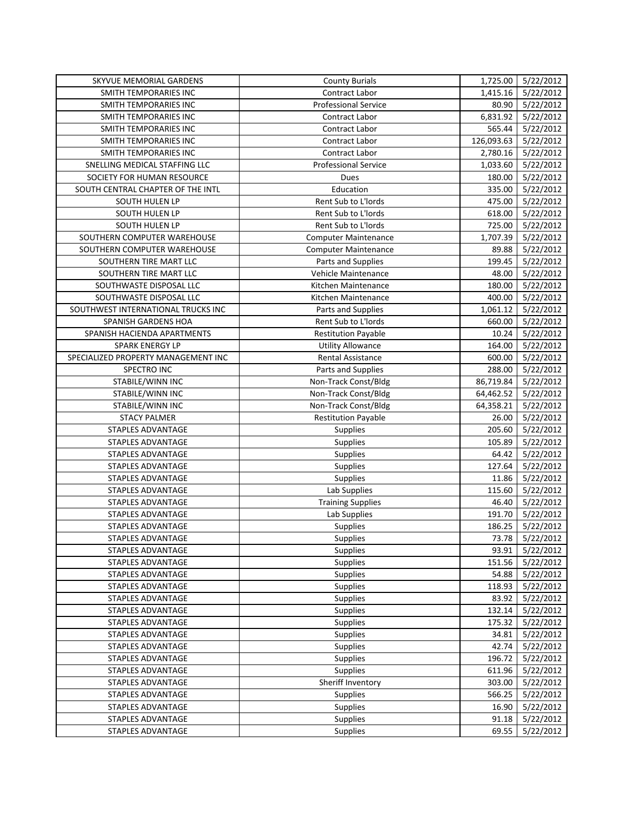| SKYVUE MEMORIAL GARDENS             | <b>County Burials</b>       | 1,725.00   | 5/22/2012       |
|-------------------------------------|-----------------------------|------------|-----------------|
| <b>SMITH TEMPORARIES INC</b>        | Contract Labor              | 1,415.16   | 5/22/2012       |
| SMITH TEMPORARIES INC               | <b>Professional Service</b> | 80.90      | 5/22/2012       |
| SMITH TEMPORARIES INC               | Contract Labor              | 6,831.92   | 5/22/2012       |
| SMITH TEMPORARIES INC               | <b>Contract Labor</b>       | 565.44     | 5/22/2012       |
| SMITH TEMPORARIES INC               | Contract Labor              | 126,093.63 | 5/22/2012       |
| SMITH TEMPORARIES INC               | Contract Labor              | 2,780.16   | 5/22/2012       |
| SNELLING MEDICAL STAFFING LLC       | Professional Service        | 1,033.60   | 5/22/2012       |
| SOCIETY FOR HUMAN RESOURCE          | Dues                        | 180.00     | 5/22/2012       |
| SOUTH CENTRAL CHAPTER OF THE INTL   | Education                   | 335.00     | 5/22/2012       |
| SOUTH HULEN LP                      | Rent Sub to L'Iords         | 475.00     | 5/22/2012       |
| SOUTH HULEN LP                      | Rent Sub to L'Iords         | 618.00     | 5/22/2012       |
| SOUTH HULEN LP                      | <b>Rent Sub to L'Iords</b>  | 725.00     | 5/22/2012       |
| SOUTHERN COMPUTER WAREHOUSE         | <b>Computer Maintenance</b> | 1,707.39   | 5/22/2012       |
| SOUTHERN COMPUTER WAREHOUSE         | <b>Computer Maintenance</b> | 89.88      | 5/22/2012       |
| SOUTHERN TIRE MART LLC              | Parts and Supplies          | 199.45     | 5/22/2012       |
| SOUTHERN TIRE MART LLC              | Vehicle Maintenance         | 48.00      | 5/22/2012       |
| SOUTHWASTE DISPOSAL LLC             | Kitchen Maintenance         | 180.00     | 5/22/2012       |
| SOUTHWASTE DISPOSAL LLC             | Kitchen Maintenance         | 400.00     | 5/22/2012       |
| SOUTHWEST INTERNATIONAL TRUCKS INC  | Parts and Supplies          | 1,061.12   | 5/22/2012       |
| SPANISH GARDENS HOA                 | Rent Sub to L'Iords         | 660.00     | 5/22/2012       |
| SPANISH HACIENDA APARTMENTS         | <b>Restitution Payable</b>  | 10.24      | 5/22/2012       |
| SPARK ENERGY LP                     | <b>Utility Allowance</b>    | 164.00     | 5/22/2012       |
| SPECIALIZED PROPERTY MANAGEMENT INC | Rental Assistance           | 600.00     | 5/22/2012       |
| SPECTRO INC                         | Parts and Supplies          | 288.00     | 5/22/2012       |
| STABILE/WINN INC                    | Non-Track Const/Bldg        | 86,719.84  | 5/22/2012       |
| STABILE/WINN INC                    | Non-Track Const/Bldg        | 64,462.52  | 5/22/2012       |
| STABILE/WINN INC                    | Non-Track Const/Bldg        | 64,358.21  | 5/22/2012       |
| <b>STACY PALMER</b>                 | <b>Restitution Payable</b>  | 26.00      | 5/22/2012       |
| STAPLES ADVANTAGE                   | <b>Supplies</b>             | 205.60     | 5/22/2012       |
| STAPLES ADVANTAGE                   | <b>Supplies</b>             | 105.89     | 5/22/2012       |
| STAPLES ADVANTAGE                   | Supplies                    | 64.42      | 5/22/2012       |
| STAPLES ADVANTAGE                   | Supplies                    | 127.64     | 5/22/2012       |
| STAPLES ADVANTAGE                   | Supplies                    | 11.86      | 5/22/2012       |
| STAPLES ADVANTAGE                   | Lab Supplies                | 115.60     | 5/22/2012       |
| STAPLES ADVANTAGE                   | <b>Training Supplies</b>    | 46.40      | 5/22/2012       |
| STAPLES ADVANTAGE                   | Lab Supplies                | 191.70     | 5/22/2012       |
| STAPLES ADVANTAGE                   | Supplies                    | 186.25     | 5/22/2012       |
| STAPLES ADVANTAGE                   | Supplies                    |            | 73.78 5/22/2012 |
| STAPLES ADVANTAGE                   | <b>Supplies</b>             | 93.91      | 5/22/2012       |
| STAPLES ADVANTAGE                   | Supplies                    | 151.56     | 5/22/2012       |
| STAPLES ADVANTAGE                   | Supplies                    | 54.88      | 5/22/2012       |
| STAPLES ADVANTAGE                   | Supplies                    | 118.93     | 5/22/2012       |
| STAPLES ADVANTAGE                   | <b>Supplies</b>             | 83.92      | 5/22/2012       |
| STAPLES ADVANTAGE                   | Supplies                    | 132.14     | 5/22/2012       |
| <b>STAPLES ADVANTAGE</b>            | Supplies                    | 175.32     | 5/22/2012       |
| STAPLES ADVANTAGE                   | Supplies                    | 34.81      | 5/22/2012       |
| STAPLES ADVANTAGE                   | <b>Supplies</b>             | 42.74      | 5/22/2012       |
| STAPLES ADVANTAGE                   | Supplies                    | 196.72     | 5/22/2012       |
| STAPLES ADVANTAGE                   | Supplies                    | 611.96     | 5/22/2012       |
| STAPLES ADVANTAGE                   | Sheriff Inventory           | 303.00     | 5/22/2012       |
| STAPLES ADVANTAGE                   | <b>Supplies</b>             | 566.25     | 5/22/2012       |
| STAPLES ADVANTAGE                   | Supplies                    | 16.90      | 5/22/2012       |
| STAPLES ADVANTAGE                   | Supplies                    | 91.18      | 5/22/2012       |
| STAPLES ADVANTAGE                   | Supplies                    | 69.55      | 5/22/2012       |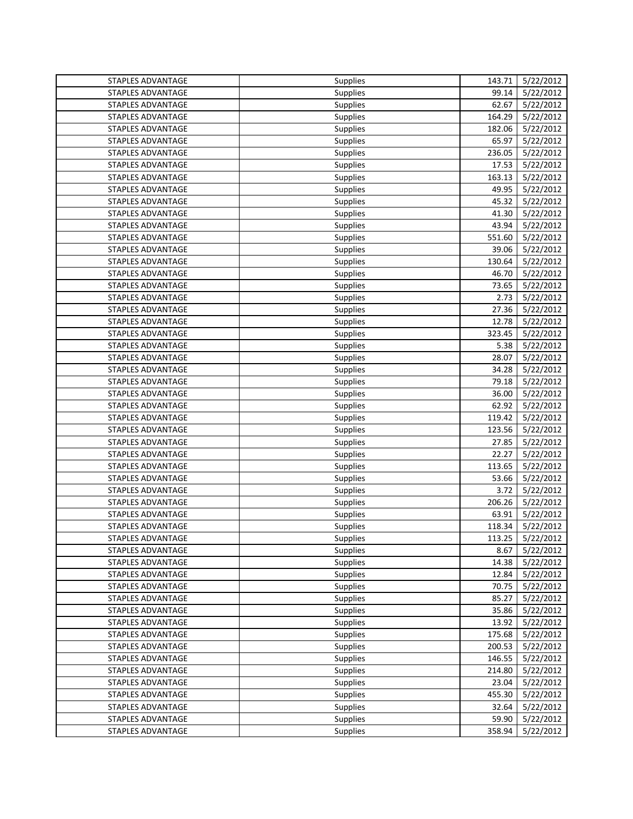| STAPLES ADVANTAGE        | Supplies        | 143.71 | 5/22/2012        |
|--------------------------|-----------------|--------|------------------|
| <b>STAPLES ADVANTAGE</b> | Supplies        | 99.14  | 5/22/2012        |
| <b>STAPLES ADVANTAGE</b> | Supplies        | 62.67  | 5/22/2012        |
| STAPLES ADVANTAGE        | <b>Supplies</b> | 164.29 | 5/22/2012        |
| STAPLES ADVANTAGE        | <b>Supplies</b> | 182.06 | 5/22/2012        |
| STAPLES ADVANTAGE        | Supplies        | 65.97  | 5/22/2012        |
| STAPLES ADVANTAGE        | Supplies        | 236.05 | 5/22/2012        |
| STAPLES ADVANTAGE        | Supplies        | 17.53  | 5/22/2012        |
| STAPLES ADVANTAGE        | Supplies        | 163.13 | 5/22/2012        |
| STAPLES ADVANTAGE        | Supplies        | 49.95  | 5/22/2012        |
| STAPLES ADVANTAGE        | Supplies        | 45.32  | 5/22/2012        |
| <b>STAPLES ADVANTAGE</b> | <b>Supplies</b> | 41.30  | 5/22/2012        |
| STAPLES ADVANTAGE        | Supplies        | 43.94  | 5/22/2012        |
| STAPLES ADVANTAGE        | Supplies        | 551.60 | 5/22/2012        |
| STAPLES ADVANTAGE        | Supplies        | 39.06  | 5/22/2012        |
| STAPLES ADVANTAGE        | Supplies        | 130.64 | 5/22/2012        |
| STAPLES ADVANTAGE        | <b>Supplies</b> | 46.70  | 5/22/2012        |
| STAPLES ADVANTAGE        | Supplies        | 73.65  | 5/22/2012        |
| STAPLES ADVANTAGE        | Supplies        | 2.73   | 5/22/2012        |
| STAPLES ADVANTAGE        | Supplies        | 27.36  | 5/22/2012        |
| STAPLES ADVANTAGE        | Supplies        | 12.78  | 5/22/2012        |
| <b>STAPLES ADVANTAGE</b> | <b>Supplies</b> | 323.45 | 5/22/2012        |
| STAPLES ADVANTAGE        | Supplies        | 5.38   | 5/22/2012        |
| STAPLES ADVANTAGE        | <b>Supplies</b> | 28.07  | 5/22/2012        |
| STAPLES ADVANTAGE        | Supplies        | 34.28  | 5/22/2012        |
| STAPLES ADVANTAGE        | Supplies        | 79.18  | 5/22/2012        |
| STAPLES ADVANTAGE        | Supplies        | 36.00  | 5/22/2012        |
| STAPLES ADVANTAGE        | Supplies        | 62.92  | 5/22/2012        |
| STAPLES ADVANTAGE        | Supplies        | 119.42 | 5/22/2012        |
| STAPLES ADVANTAGE        | Supplies        | 123.56 | 5/22/2012        |
| STAPLES ADVANTAGE        | Supplies        | 27.85  | 5/22/2012        |
| STAPLES ADVANTAGE        | Supplies        | 22.27  | 5/22/2012        |
| STAPLES ADVANTAGE        | Supplies        | 113.65 | 5/22/2012        |
| STAPLES ADVANTAGE        | Supplies        | 53.66  | 5/22/2012        |
| STAPLES ADVANTAGE        | Supplies        | 3.72   | 5/22/2012        |
| STAPLES ADVANTAGE        | Supplies        | 206.26 | 5/22/2012        |
| STAPLES ADVANTAGE        | Supplies        | 63.91  | 5/22/2012        |
| <b>STAPLES ADVANTAGE</b> | <b>Supplies</b> | 118.34 | 5/22/2012        |
| STAPLES ADVANTAGE        | Supplies        |        | 113.25 5/22/2012 |
| STAPLES ADVANTAGE        | <b>Supplies</b> | 8.67   | 5/22/2012        |
| STAPLES ADVANTAGE        | Supplies        | 14.38  | 5/22/2012        |
| STAPLES ADVANTAGE        | Supplies        | 12.84  | 5/22/2012        |
| STAPLES ADVANTAGE        | Supplies        | 70.75  | 5/22/2012        |
| STAPLES ADVANTAGE        | Supplies        | 85.27  | 5/22/2012        |
| STAPLES ADVANTAGE        | Supplies        | 35.86  | 5/22/2012        |
| STAPLES ADVANTAGE        | Supplies        | 13.92  | 5/22/2012        |
| STAPLES ADVANTAGE        | Supplies        | 175.68 | 5/22/2012        |
| <b>STAPLES ADVANTAGE</b> | Supplies        | 200.53 | 5/22/2012        |
| STAPLES ADVANTAGE        | Supplies        | 146.55 | 5/22/2012        |
| STAPLES ADVANTAGE        | <b>Supplies</b> | 214.80 | 5/22/2012        |
| STAPLES ADVANTAGE        | Supplies        | 23.04  | 5/22/2012        |
| STAPLES ADVANTAGE        | Supplies        | 455.30 | 5/22/2012        |
| STAPLES ADVANTAGE        | <b>Supplies</b> | 32.64  | 5/22/2012        |
| STAPLES ADVANTAGE        | <b>Supplies</b> | 59.90  | 5/22/2012        |
| STAPLES ADVANTAGE        | Supplies        | 358.94 | 5/22/2012        |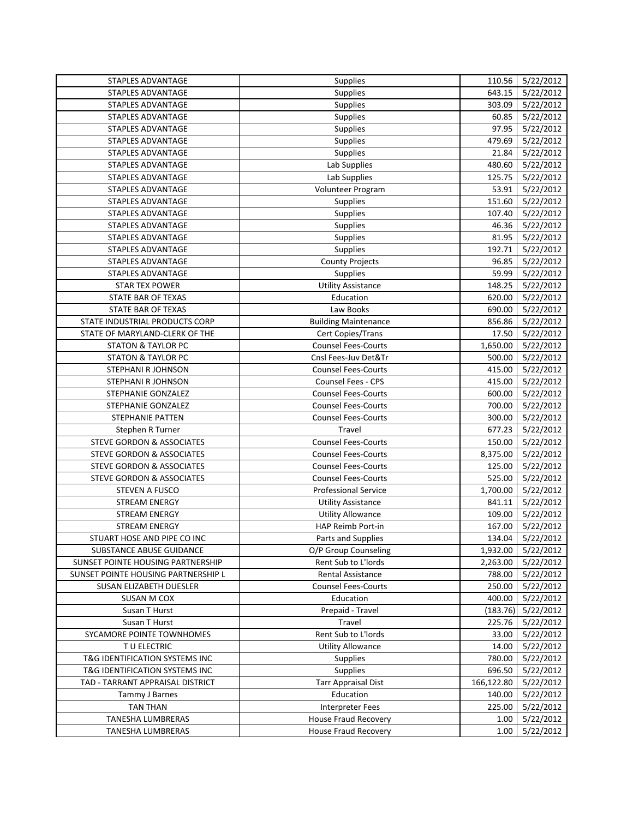| STAPLES ADVANTAGE                    | Supplies                    | 110.56     | 5/22/2012        |
|--------------------------------------|-----------------------------|------------|------------------|
| <b>STAPLES ADVANTAGE</b>             | Supplies                    | 643.15     | 5/22/2012        |
| <b>STAPLES ADVANTAGE</b>             | Supplies                    | 303.09     | 5/22/2012        |
| STAPLES ADVANTAGE                    | Supplies                    | 60.85      | 5/22/2012        |
| STAPLES ADVANTAGE                    | Supplies                    | 97.95      | 5/22/2012        |
| STAPLES ADVANTAGE                    | Supplies                    | 479.69     | 5/22/2012        |
| STAPLES ADVANTAGE                    | Supplies                    | 21.84      | 5/22/2012        |
| STAPLES ADVANTAGE                    | Lab Supplies                | 480.60     | 5/22/2012        |
| STAPLES ADVANTAGE                    | Lab Supplies                | 125.75     | 5/22/2012        |
| STAPLES ADVANTAGE                    | Volunteer Program           | 53.91      | 5/22/2012        |
| STAPLES ADVANTAGE                    | <b>Supplies</b>             | 151.60     | 5/22/2012        |
| STAPLES ADVANTAGE                    | Supplies                    | 107.40     | 5/22/2012        |
| STAPLES ADVANTAGE                    | Supplies                    | 46.36      | 5/22/2012        |
| STAPLES ADVANTAGE                    | Supplies                    | 81.95      | 5/22/2012        |
| STAPLES ADVANTAGE                    | Supplies                    | 192.71     | 5/22/2012        |
| STAPLES ADVANTAGE                    | <b>County Projects</b>      | 96.85      | 5/22/2012        |
| STAPLES ADVANTAGE                    | Supplies                    | 59.99      | 5/22/2012        |
| <b>STAR TEX POWER</b>                | <b>Utility Assistance</b>   | 148.25     | 5/22/2012        |
| <b>STATE BAR OF TEXAS</b>            | Education                   | 620.00     | 5/22/2012        |
| STATE BAR OF TEXAS                   | Law Books                   | 690.00     | 5/22/2012        |
| STATE INDUSTRIAL PRODUCTS CORP       | <b>Building Maintenance</b> | 856.86     | 5/22/2012        |
| STATE OF MARYLAND-CLERK OF THE       | Cert Copies/Trans           | 17.50      | 5/22/2012        |
| <b>STATON &amp; TAYLOR PC</b>        | <b>Counsel Fees-Courts</b>  | 1,650.00   | 5/22/2012        |
| <b>STATON &amp; TAYLOR PC</b>        | Cnsl Fees-Juv Det&Tr        | 500.00     | 5/22/2012        |
| STEPHANI R JOHNSON                   | <b>Counsel Fees-Courts</b>  | 415.00     | 5/22/2012        |
| STEPHANI R JOHNSON                   | Counsel Fees - CPS          | 415.00     | 5/22/2012        |
| STEPHANIE GONZALEZ                   | <b>Counsel Fees-Courts</b>  | 600.00     | 5/22/2012        |
| STEPHANIE GONZALEZ                   | <b>Counsel Fees-Courts</b>  | 700.00     | 5/22/2012        |
| STEPHANIE PATTEN                     | <b>Counsel Fees-Courts</b>  | 300.00     | 5/22/2012        |
| Stephen R Turner                     | Travel                      | 677.23     | 5/22/2012        |
| <b>STEVE GORDON &amp; ASSOCIATES</b> | <b>Counsel Fees-Courts</b>  | 150.00     | 5/22/2012        |
| <b>STEVE GORDON &amp; ASSOCIATES</b> | <b>Counsel Fees-Courts</b>  | 8,375.00   | 5/22/2012        |
| <b>STEVE GORDON &amp; ASSOCIATES</b> | <b>Counsel Fees-Courts</b>  | 125.00     | 5/22/2012        |
| <b>STEVE GORDON &amp; ASSOCIATES</b> | <b>Counsel Fees-Courts</b>  | 525.00     | 5/22/2012        |
| <b>STEVEN A FUSCO</b>                | Professional Service        | 1,700.00   | 5/22/2012        |
| <b>STREAM ENERGY</b>                 | <b>Utility Assistance</b>   | 841.11     | 5/22/2012        |
| <b>STREAM ENERGY</b>                 | <b>Utility Allowance</b>    | 109.00     | 5/22/2012        |
| <b>STREAM ENERGY</b>                 | HAP Reimb Port-in           | 167.00     | 5/22/2012        |
| STUART HOSE AND PIPE CO INC          | Parts and Supplies          |            | 134.04 5/22/2012 |
| SUBSTANCE ABUSE GUIDANCE             | O/P Group Counseling        | 1,932.00   | 5/22/2012        |
| SUNSET POINTE HOUSING PARTNERSHIP    | Rent Sub to L'Iords         | 2,263.00   | 5/22/2012        |
| SUNSET POINTE HOUSING PARTNERSHIP L  | Rental Assistance           | 788.00     | 5/22/2012        |
| SUSAN ELIZABETH DUESLER              | <b>Counsel Fees-Courts</b>  | 250.00     | 5/22/2012        |
| SUSAN M COX                          | Education                   | 400.00     | 5/22/2012        |
| Susan T Hurst                        | Prepaid - Travel            | (183.76)   | 5/22/2012        |
| Susan T Hurst                        | Travel                      | 225.76     | 5/22/2012        |
| SYCAMORE POINTE TOWNHOMES            | Rent Sub to L'Iords         | 33.00      | 5/22/2012        |
| T U ELECTRIC                         | <b>Utility Allowance</b>    | 14.00      | 5/22/2012        |
| T&G IDENTIFICATION SYSTEMS INC       | <b>Supplies</b>             | 780.00     | 5/22/2012        |
| T&G IDENTIFICATION SYSTEMS INC       | Supplies                    | 696.50     | 5/22/2012        |
| TAD - TARRANT APPRAISAL DISTRICT     | <b>Tarr Appraisal Dist</b>  | 166,122.80 | 5/22/2012        |
| Tammy J Barnes                       | Education                   | 140.00     | 5/22/2012        |
| <b>TAN THAN</b>                      | <b>Interpreter Fees</b>     | 225.00     | 5/22/2012        |
| TANESHA LUMBRERAS                    | House Fraud Recovery        | 1.00       | 5/22/2012        |
| TANESHA LUMBRERAS                    | <b>House Fraud Recovery</b> | 1.00       | 5/22/2012        |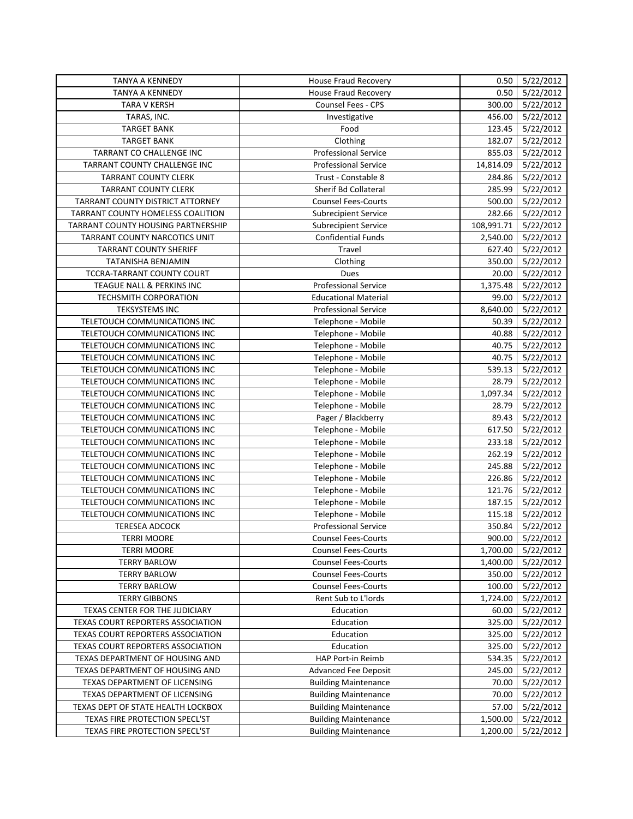| <b>TANYA A KENNEDY</b>             | <b>House Fraud Recovery</b> | 0.50       | 5/22/2012        |
|------------------------------------|-----------------------------|------------|------------------|
| <b>TANYA A KENNEDY</b>             | <b>House Fraud Recovery</b> | 0.50       | 5/22/2012        |
| <b>TARA V KERSH</b>                | <b>Counsel Fees - CPS</b>   | 300.00     | 5/22/2012        |
| TARAS, INC.                        | Investigative               | 456.00     | 5/22/2012        |
| <b>TARGET BANK</b>                 | Food                        | 123.45     | 5/22/2012        |
| <b>TARGET BANK</b>                 | Clothing                    | 182.07     | 5/22/2012        |
| TARRANT CO CHALLENGE INC           | <b>Professional Service</b> | 855.03     | 5/22/2012        |
| TARRANT COUNTY CHALLENGE INC       | <b>Professional Service</b> | 14,814.09  | 5/22/2012        |
| <b>TARRANT COUNTY CLERK</b>        | Trust - Constable 8         | 284.86     | 5/22/2012        |
| <b>TARRANT COUNTY CLERK</b>        | <b>Sherif Bd Collateral</b> | 285.99     | 5/22/2012        |
| TARRANT COUNTY DISTRICT ATTORNEY   | <b>Counsel Fees-Courts</b>  | 500.00     | 5/22/2012        |
| TARRANT COUNTY HOMELESS COALITION  | <b>Subrecipient Service</b> | 282.66     | 5/22/2012        |
| TARRANT COUNTY HOUSING PARTNERSHIP | <b>Subrecipient Service</b> | 108,991.71 | 5/22/2012        |
| TARRANT COUNTY NARCOTICS UNIT      | <b>Confidential Funds</b>   | 2,540.00   | 5/22/2012        |
| <b>TARRANT COUNTY SHERIFF</b>      | Travel                      | 627.40     | 5/22/2012        |
| TATANISHA BENJAMIN                 | Clothing                    | 350.00     | 5/22/2012        |
| TCCRA-TARRANT COUNTY COURT         | Dues                        | 20.00      | 5/22/2012        |
| TEAGUE NALL & PERKINS INC          | <b>Professional Service</b> | 1,375.48   | 5/22/2012        |
| TECHSMITH CORPORATION              | <b>Educational Material</b> | 99.00      | 5/22/2012        |
| <b>TEKSYSTEMS INC</b>              | <b>Professional Service</b> | 8,640.00   | 5/22/2012        |
| TELETOUCH COMMUNICATIONS INC       | Telephone - Mobile          | 50.39      | 5/22/2012        |
| TELETOUCH COMMUNICATIONS INC       | Telephone - Mobile          | 40.88      | 5/22/2012        |
| TELETOUCH COMMUNICATIONS INC       | Telephone - Mobile          | 40.75      | 5/22/2012        |
| TELETOUCH COMMUNICATIONS INC       | Telephone - Mobile          | 40.75      | 5/22/2012        |
| TELETOUCH COMMUNICATIONS INC       | Telephone - Mobile          | 539.13     | 5/22/2012        |
| TELETOUCH COMMUNICATIONS INC       | Telephone - Mobile          | 28.79      | 5/22/2012        |
| TELETOUCH COMMUNICATIONS INC       | Telephone - Mobile          | 1,097.34   | 5/22/2012        |
| TELETOUCH COMMUNICATIONS INC       | Telephone - Mobile          | 28.79      | 5/22/2012        |
| TELETOUCH COMMUNICATIONS INC       | Pager / Blackberry          | 89.43      | 5/22/2012        |
| TELETOUCH COMMUNICATIONS INC       | Telephone - Mobile          | 617.50     | 5/22/2012        |
| TELETOUCH COMMUNICATIONS INC       | Telephone - Mobile          | 233.18     | 5/22/2012        |
| TELETOUCH COMMUNICATIONS INC       | Telephone - Mobile          | 262.19     | 5/22/2012        |
| TELETOUCH COMMUNICATIONS INC       | Telephone - Mobile          | 245.88     | 5/22/2012        |
| TELETOUCH COMMUNICATIONS INC       | Telephone - Mobile          | 226.86     | 5/22/2012        |
| TELETOUCH COMMUNICATIONS INC       | Telephone - Mobile          | 121.76     | 5/22/2012        |
| TELETOUCH COMMUNICATIONS INC       | Telephone - Mobile          | 187.15     | 5/22/2012        |
| TELETOUCH COMMUNICATIONS INC       | Telephone - Mobile          | 115.18     | 5/22/2012        |
| <b>TERESEA ADCOCK</b>              | <b>Professional Service</b> | 350.84     | 5/22/2012        |
| <b>TERRI MOORE</b>                 | Counsel Fees-Courts         |            | 900.00 5/22/2012 |
| <b>TERRI MOORE</b>                 | <b>Counsel Fees-Courts</b>  | 1,700.00   | 5/22/2012        |
| <b>TERRY BARLOW</b>                | <b>Counsel Fees-Courts</b>  | 1,400.00   | 5/22/2012        |
| <b>TERRY BARLOW</b>                | <b>Counsel Fees-Courts</b>  | 350.00     | 5/22/2012        |
| <b>TERRY BARLOW</b>                | <b>Counsel Fees-Courts</b>  | 100.00     | 5/22/2012        |
| <b>TERRY GIBBONS</b>               | Rent Sub to L'Iords         | 1,724.00   | 5/22/2012        |
| TEXAS CENTER FOR THE JUDICIARY     | Education                   | 60.00      | 5/22/2012        |
| TEXAS COURT REPORTERS ASSOCIATION  | Education                   | 325.00     | 5/22/2012        |
| TEXAS COURT REPORTERS ASSOCIATION  | Education                   | 325.00     | 5/22/2012        |
| TEXAS COURT REPORTERS ASSOCIATION  | Education                   | 325.00     | 5/22/2012        |
| TEXAS DEPARTMENT OF HOUSING AND    | HAP Port-in Reimb           | 534.35     | 5/22/2012        |
| TEXAS DEPARTMENT OF HOUSING AND    | <b>Advanced Fee Deposit</b> | 245.00     | 5/22/2012        |
| TEXAS DEPARTMENT OF LICENSING      | <b>Building Maintenance</b> | 70.00      | 5/22/2012        |
| TEXAS DEPARTMENT OF LICENSING      | <b>Building Maintenance</b> | 70.00      | 5/22/2012        |
| TEXAS DEPT OF STATE HEALTH LOCKBOX | <b>Building Maintenance</b> | 57.00      | 5/22/2012        |
| TEXAS FIRE PROTECTION SPECL'ST     | <b>Building Maintenance</b> | 1,500.00   | 5/22/2012        |
| TEXAS FIRE PROTECTION SPECL'ST     | <b>Building Maintenance</b> | 1,200.00   | 5/22/2012        |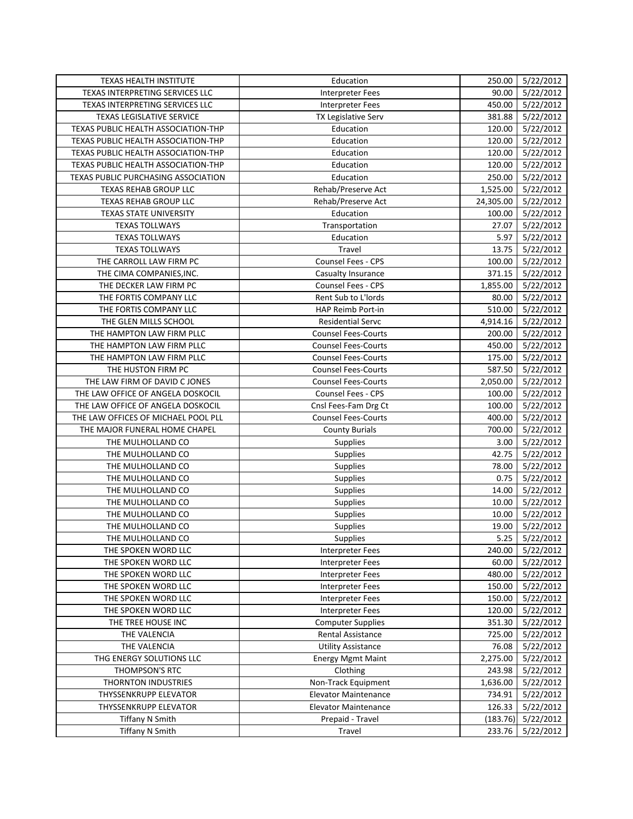| TEXAS HEALTH INSTITUTE              | Education                   | 250.00    | 5/22/2012 |
|-------------------------------------|-----------------------------|-----------|-----------|
| TEXAS INTERPRETING SERVICES LLC     | <b>Interpreter Fees</b>     | 90.00     | 5/22/2012 |
| TEXAS INTERPRETING SERVICES LLC     | Interpreter Fees            | 450.00    | 5/22/2012 |
| TEXAS LEGISLATIVE SERVICE           | TX Legislative Serv         | 381.88    | 5/22/2012 |
| TEXAS PUBLIC HEALTH ASSOCIATION-THP | Education                   | 120.00    | 5/22/2012 |
| TEXAS PUBLIC HEALTH ASSOCIATION-THP | Education                   | 120.00    | 5/22/2012 |
| TEXAS PUBLIC HEALTH ASSOCIATION-THP | Education                   | 120.00    | 5/22/2012 |
| TEXAS PUBLIC HEALTH ASSOCIATION-THP | Education                   | 120.00    | 5/22/2012 |
| TEXAS PUBLIC PURCHASING ASSOCIATION | Education                   | 250.00    | 5/22/2012 |
| <b>TEXAS REHAB GROUP LLC</b>        | Rehab/Preserve Act          | 1,525.00  | 5/22/2012 |
| TEXAS REHAB GROUP LLC               | Rehab/Preserve Act          | 24,305.00 | 5/22/2012 |
| <b>TEXAS STATE UNIVERSITY</b>       | Education                   | 100.00    | 5/22/2012 |
| <b>TEXAS TOLLWAYS</b>               | Transportation              | 27.07     | 5/22/2012 |
| <b>TEXAS TOLLWAYS</b>               | Education                   | 5.97      | 5/22/2012 |
| <b>TEXAS TOLLWAYS</b>               | Travel                      | 13.75     | 5/22/2012 |
| THE CARROLL LAW FIRM PC             | <b>Counsel Fees - CPS</b>   | 100.00    | 5/22/2012 |
| THE CIMA COMPANIES, INC.            | Casualty Insurance          | 371.15    | 5/22/2012 |
| THE DECKER LAW FIRM PC              | <b>Counsel Fees - CPS</b>   | 1,855.00  | 5/22/2012 |
| THE FORTIS COMPANY LLC              | Rent Sub to L'Iords         | 80.00     | 5/22/2012 |
| THE FORTIS COMPANY LLC              | HAP Reimb Port-in           | 510.00    | 5/22/2012 |
| THE GLEN MILLS SCHOOL               | <b>Residential Servc</b>    | 4,914.16  | 5/22/2012 |
| THE HAMPTON LAW FIRM PLLC           | <b>Counsel Fees-Courts</b>  | 200.00    | 5/22/2012 |
| THE HAMPTON LAW FIRM PLLC           | <b>Counsel Fees-Courts</b>  | 450.00    | 5/22/2012 |
| THE HAMPTON LAW FIRM PLLC           | <b>Counsel Fees-Courts</b>  | 175.00    | 5/22/2012 |
| THE HUSTON FIRM PC                  | <b>Counsel Fees-Courts</b>  | 587.50    | 5/22/2012 |
| THE LAW FIRM OF DAVID C JONES       | <b>Counsel Fees-Courts</b>  | 2,050.00  | 5/22/2012 |
| THE LAW OFFICE OF ANGELA DOSKOCIL   | <b>Counsel Fees - CPS</b>   | 100.00    | 5/22/2012 |
| THE LAW OFFICE OF ANGELA DOSKOCIL   | Cnsl Fees-Fam Drg Ct        | 100.00    | 5/22/2012 |
| THE LAW OFFICES OF MICHAEL POOL PLL | <b>Counsel Fees-Courts</b>  | 400.00    | 5/22/2012 |
| THE MAJOR FUNERAL HOME CHAPEL       | <b>County Burials</b>       | 700.00    | 5/22/2012 |
| THE MULHOLLAND CO                   | <b>Supplies</b>             | 3.00      | 5/22/2012 |
| THE MULHOLLAND CO                   | <b>Supplies</b>             | 42.75     | 5/22/2012 |
| THE MULHOLLAND CO                   | <b>Supplies</b>             | 78.00     | 5/22/2012 |
| THE MULHOLLAND CO                   | Supplies                    | 0.75      | 5/22/2012 |
| THE MULHOLLAND CO                   | Supplies                    | 14.00     | 5/22/2012 |
| THE MULHOLLAND CO                   | Supplies                    | 10.00     | 5/22/2012 |
| THE MULHOLLAND CO                   | Supplies                    | 10.00     | 5/22/2012 |
| THE MULHOLLAND CO                   | Supplies                    | 19.00     | 5/22/2012 |
| THE MULHOLLAND CO                   | Supplies                    |           |           |
| THE SPOKEN WORD LLC                 | Interpreter Fees            | 240.00    | 5/22/2012 |
| THE SPOKEN WORD LLC                 | <b>Interpreter Fees</b>     | 60.00     | 5/22/2012 |
| THE SPOKEN WORD LLC                 | <b>Interpreter Fees</b>     | 480.00    | 5/22/2012 |
| THE SPOKEN WORD LLC                 | Interpreter Fees            | 150.00    | 5/22/2012 |
| THE SPOKEN WORD LLC                 | <b>Interpreter Fees</b>     | 150.00    | 5/22/2012 |
| THE SPOKEN WORD LLC                 | <b>Interpreter Fees</b>     | 120.00    | 5/22/2012 |
| THE TREE HOUSE INC                  | <b>Computer Supplies</b>    | 351.30    | 5/22/2012 |
| THE VALENCIA                        | <b>Rental Assistance</b>    | 725.00    | 5/22/2012 |
| THE VALENCIA                        | <b>Utility Assistance</b>   | 76.08     | 5/22/2012 |
| THG ENERGY SOLUTIONS LLC            | <b>Energy Mgmt Maint</b>    | 2,275.00  | 5/22/2012 |
| THOMPSON'S RTC                      | Clothing                    | 243.98    | 5/22/2012 |
| <b>THORNTON INDUSTRIES</b>          | Non-Track Equipment         | 1,636.00  | 5/22/2012 |
| THYSSENKRUPP ELEVATOR               | <b>Elevator Maintenance</b> | 734.91    | 5/22/2012 |
| THYSSENKRUPP ELEVATOR               | <b>Elevator Maintenance</b> | 126.33    | 5/22/2012 |
| <b>Tiffany N Smith</b>              | Prepaid - Travel            | (183.76)  | 5/22/2012 |
| <b>Tiffany N Smith</b>              | Travel                      | 233.76    | 5/22/2012 |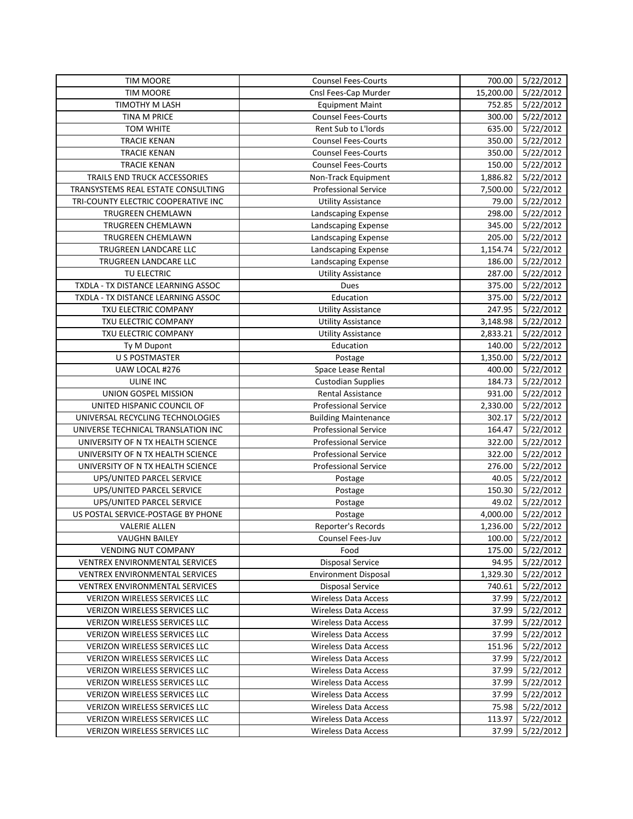| <b>TIM MOORE</b>                      | <b>Counsel Fees-Courts</b>  | 700.00    | 5/22/2012        |
|---------------------------------------|-----------------------------|-----------|------------------|
| <b>TIM MOORE</b>                      | Cnsl Fees-Cap Murder        | 15,200.00 | 5/22/2012        |
| TIMOTHY M LASH                        | <b>Equipment Maint</b>      | 752.85    | 5/22/2012        |
| TINA M PRICE                          | <b>Counsel Fees-Courts</b>  | 300.00    | 5/22/2012        |
| <b>TOM WHITE</b>                      | Rent Sub to L'Iords         | 635.00    | 5/22/2012        |
| <b>TRACIE KENAN</b>                   | <b>Counsel Fees-Courts</b>  | 350.00    | 5/22/2012        |
| <b>TRACIE KENAN</b>                   | <b>Counsel Fees-Courts</b>  | 350.00    | 5/22/2012        |
| <b>TRACIE KENAN</b>                   | <b>Counsel Fees-Courts</b>  | 150.00    | 5/22/2012        |
| TRAILS END TRUCK ACCESSORIES          | Non-Track Equipment         | 1,886.82  | 5/22/2012        |
| TRANSYSTEMS REAL ESTATE CONSULTING    | <b>Professional Service</b> | 7,500.00  | 5/22/2012        |
| TRI-COUNTY ELECTRIC COOPERATIVE INC   | <b>Utility Assistance</b>   | 79.00     | 5/22/2012        |
| TRUGREEN CHEMLAWN                     | Landscaping Expense         | 298.00    | 5/22/2012        |
| <b>TRUGREEN CHEMLAWN</b>              | Landscaping Expense         | 345.00    | 5/22/2012        |
| TRUGREEN CHEMLAWN                     | Landscaping Expense         | 205.00    | 5/22/2012        |
| TRUGREEN LANDCARE LLC                 | Landscaping Expense         | 1,154.74  | 5/22/2012        |
| TRUGREEN LANDCARE LLC                 | Landscaping Expense         | 186.00    | 5/22/2012        |
| TU ELECTRIC                           | <b>Utility Assistance</b>   | 287.00    | 5/22/2012        |
| TXDLA - TX DISTANCE LEARNING ASSOC    | Dues                        | 375.00    | 5/22/2012        |
| TXDLA - TX DISTANCE LEARNING ASSOC    | Education                   | 375.00    | 5/22/2012        |
| TXU ELECTRIC COMPANY                  | <b>Utility Assistance</b>   | 247.95    | 5/22/2012        |
| TXU ELECTRIC COMPANY                  | <b>Utility Assistance</b>   | 3,148.98  | 5/22/2012        |
| TXU ELECTRIC COMPANY                  | <b>Utility Assistance</b>   | 2,833.21  | 5/22/2012        |
| Ty M Dupont                           | Education                   | 140.00    | 5/22/2012        |
| <b>U S POSTMASTER</b>                 | Postage                     | 1,350.00  | 5/22/2012        |
| UAW LOCAL #276                        | Space Lease Rental          | 400.00    | 5/22/2012        |
| ULINE INC                             | <b>Custodian Supplies</b>   | 184.73    | 5/22/2012        |
| UNION GOSPEL MISSION                  | <b>Rental Assistance</b>    | 931.00    | 5/22/2012        |
| UNITED HISPANIC COUNCIL OF            | Professional Service        | 2,330.00  | 5/22/2012        |
| UNIVERSAL RECYCLING TECHNOLOGIES      | <b>Building Maintenance</b> | 302.17    | 5/22/2012        |
| UNIVERSE TECHNICAL TRANSLATION INC    | <b>Professional Service</b> | 164.47    | 5/22/2012        |
| UNIVERSITY OF N TX HEALTH SCIENCE     | <b>Professional Service</b> | 322.00    | 5/22/2012        |
| UNIVERSITY OF N TX HEALTH SCIENCE     | <b>Professional Service</b> | 322.00    | 5/22/2012        |
| UNIVERSITY OF N TX HEALTH SCIENCE     | <b>Professional Service</b> | 276.00    | 5/22/2012        |
| UPS/UNITED PARCEL SERVICE             | Postage                     | 40.05     | 5/22/2012        |
| UPS/UNITED PARCEL SERVICE             | Postage                     | 150.30    | 5/22/2012        |
| UPS/UNITED PARCEL SERVICE             | Postage                     | 49.02     | 5/22/2012        |
| US POSTAL SERVICE-POSTAGE BY PHONE    | Postage                     | 4,000.00  | 5/22/2012        |
| <b>VALERIE ALLEN</b>                  | Reporter's Records          | 1,236.00  | 5/22/2012        |
| <b>VAUGHN BAILEY</b>                  | Counsel Fees-Juv            |           | 100.00 5/22/2012 |
| <b>VENDING NUT COMPANY</b>            | Food                        | 175.00    | 5/22/2012        |
| <b>VENTREX ENVIRONMENTAL SERVICES</b> | <b>Disposal Service</b>     | 94.95     | 5/22/2012        |
| VENTREX ENVIRONMENTAL SERVICES        | <b>Environment Disposal</b> | 1,329.30  | 5/22/2012        |
| VENTREX ENVIRONMENTAL SERVICES        | <b>Disposal Service</b>     | 740.61    | 5/22/2012        |
| VERIZON WIRELESS SERVICES LLC         | <b>Wireless Data Access</b> | 37.99     | 5/22/2012        |
| VERIZON WIRELESS SERVICES LLC         | <b>Wireless Data Access</b> | 37.99     | 5/22/2012        |
| VERIZON WIRELESS SERVICES LLC         | <b>Wireless Data Access</b> | 37.99     | 5/22/2012        |
| VERIZON WIRELESS SERVICES LLC         | Wireless Data Access        | 37.99     | 5/22/2012        |
| VERIZON WIRELESS SERVICES LLC         | Wireless Data Access        | 151.96    | 5/22/2012        |
| VERIZON WIRELESS SERVICES LLC         | Wireless Data Access        | 37.99     | 5/22/2012        |
| VERIZON WIRELESS SERVICES LLC         | <b>Wireless Data Access</b> | 37.99     | 5/22/2012        |
| VERIZON WIRELESS SERVICES LLC         | <b>Wireless Data Access</b> | 37.99     | 5/22/2012        |
| VERIZON WIRELESS SERVICES LLC         | <b>Wireless Data Access</b> | 37.99     | 5/22/2012        |
| VERIZON WIRELESS SERVICES LLC         | <b>Wireless Data Access</b> | 75.98     | 5/22/2012        |
| VERIZON WIRELESS SERVICES LLC         | <b>Wireless Data Access</b> | 113.97    | 5/22/2012        |
| VERIZON WIRELESS SERVICES LLC         | <b>Wireless Data Access</b> | 37.99     | 5/22/2012        |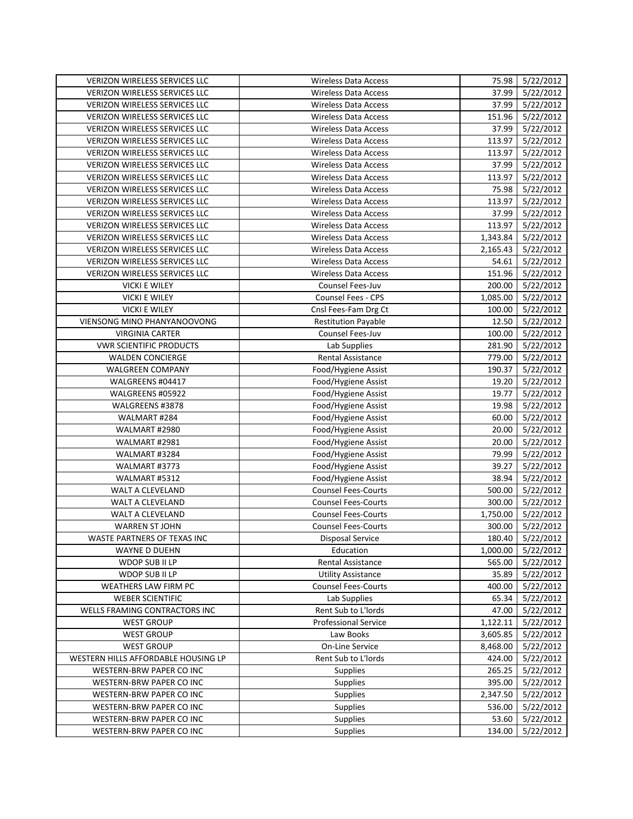| VERIZON WIRELESS SERVICES LLC        | <b>Wireless Data Access</b> | 75.98    | 5/22/2012        |
|--------------------------------------|-----------------------------|----------|------------------|
| <b>VERIZON WIRELESS SERVICES LLC</b> | <b>Wireless Data Access</b> | 37.99    | 5/22/2012        |
| VERIZON WIRELESS SERVICES LLC        | <b>Wireless Data Access</b> | 37.99    | 5/22/2012        |
| VERIZON WIRELESS SERVICES LLC        | <b>Wireless Data Access</b> | 151.96   | 5/22/2012        |
| VERIZON WIRELESS SERVICES LLC        | <b>Wireless Data Access</b> | 37.99    | 5/22/2012        |
| VERIZON WIRELESS SERVICES LLC        | <b>Wireless Data Access</b> | 113.97   | 5/22/2012        |
| VERIZON WIRELESS SERVICES LLC        | <b>Wireless Data Access</b> | 113.97   | 5/22/2012        |
| VERIZON WIRELESS SERVICES LLC        | <b>Wireless Data Access</b> | 37.99    | 5/22/2012        |
| VERIZON WIRELESS SERVICES LLC        | <b>Wireless Data Access</b> | 113.97   | 5/22/2012        |
| VERIZON WIRELESS SERVICES LLC        | <b>Wireless Data Access</b> | 75.98    | 5/22/2012        |
| VERIZON WIRELESS SERVICES LLC        | <b>Wireless Data Access</b> | 113.97   | 5/22/2012        |
| VERIZON WIRELESS SERVICES LLC        | <b>Wireless Data Access</b> | 37.99    | 5/22/2012        |
| VERIZON WIRELESS SERVICES LLC        | <b>Wireless Data Access</b> | 113.97   | 5/22/2012        |
| VERIZON WIRELESS SERVICES LLC        | <b>Wireless Data Access</b> | 1,343.84 | 5/22/2012        |
| VERIZON WIRELESS SERVICES LLC        | <b>Wireless Data Access</b> | 2,165.43 | 5/22/2012        |
| VERIZON WIRELESS SERVICES LLC        | <b>Wireless Data Access</b> | 54.61    | 5/22/2012        |
| VERIZON WIRELESS SERVICES LLC        | <b>Wireless Data Access</b> | 151.96   | 5/22/2012        |
| <b>VICKI E WILEY</b>                 | Counsel Fees-Juv            | 200.00   | 5/22/2012        |
| <b>VICKI E WILEY</b>                 | Counsel Fees - CPS          | 1,085.00 | 5/22/2012        |
| <b>VICKI E WILEY</b>                 | Cnsl Fees-Fam Drg Ct        | 100.00   | 5/22/2012        |
| <b>VIENSONG MINO PHANYANOOVONG</b>   | <b>Restitution Payable</b>  | 12.50    | 5/22/2012        |
| <b>VIRGINIA CARTER</b>               | Counsel Fees-Juv            | 100.00   | 5/22/2012        |
| <b>VWR SCIENTIFIC PRODUCTS</b>       | Lab Supplies                | 281.90   | 5/22/2012        |
| <b>WALDEN CONCIERGE</b>              | <b>Rental Assistance</b>    | 779.00   | 5/22/2012        |
| <b>WALGREEN COMPANY</b>              | Food/Hygiene Assist         | 190.37   | 5/22/2012        |
| WALGREENS #04417                     | Food/Hygiene Assist         | 19.20    | 5/22/2012        |
| WALGREENS #05922                     | Food/Hygiene Assist         | 19.77    | 5/22/2012        |
| WALGREENS #3878                      | Food/Hygiene Assist         | 19.98    | 5/22/2012        |
| WALMART #284                         | Food/Hygiene Assist         | 60.00    | 5/22/2012        |
| WALMART #2980                        | Food/Hygiene Assist         | 20.00    | 5/22/2012        |
| WALMART #2981                        | Food/Hygiene Assist         | 20.00    | 5/22/2012        |
| WALMART #3284                        | Food/Hygiene Assist         | 79.99    | 5/22/2012        |
| WALMART #3773                        | Food/Hygiene Assist         | 39.27    | 5/22/2012        |
| WALMART #5312                        | Food/Hygiene Assist         | 38.94    | 5/22/2012        |
| WALT A CLEVELAND                     | <b>Counsel Fees-Courts</b>  | 500.00   | 5/22/2012        |
| WALT A CLEVELAND                     | <b>Counsel Fees-Courts</b>  | 300.00   | 5/22/2012        |
| WALT A CLEVELAND                     | <b>Counsel Fees-Courts</b>  | 1,750.00 | 5/22/2012        |
| <b>WARREN ST JOHN</b>                | <b>Counsel Fees-Courts</b>  | 300.00   | 5/22/2012        |
| WASTE PARTNERS OF TEXAS INC          | <b>Disposal Service</b>     |          | 180.40 5/22/2012 |
| WAYNE D DUEHN                        | Education                   | 1,000.00 | 5/22/2012        |
| WDOP SUB II LP                       | <b>Rental Assistance</b>    | 565.00   | 5/22/2012        |
| WDOP SUB II LP                       | <b>Utility Assistance</b>   | 35.89    | 5/22/2012        |
| WEATHERS LAW FIRM PC                 | <b>Counsel Fees-Courts</b>  | 400.00   | 5/22/2012        |
| <b>WEBER SCIENTIFIC</b>              | Lab Supplies                | 65.34    | 5/22/2012        |
| WELLS FRAMING CONTRACTORS INC        | Rent Sub to L'Iords         | 47.00    | 5/22/2012        |
| <b>WEST GROUP</b>                    | <b>Professional Service</b> | 1,122.11 | 5/22/2012        |
| <b>WEST GROUP</b>                    | Law Books                   | 3,605.85 | 5/22/2012        |
| <b>WEST GROUP</b>                    | On-Line Service             | 8,468.00 | 5/22/2012        |
| WESTERN HILLS AFFORDABLE HOUSING LP  | Rent Sub to L'Iords         | 424.00   | 5/22/2012        |
| WESTERN-BRW PAPER CO INC             | <b>Supplies</b>             | 265.25   | 5/22/2012        |
| WESTERN-BRW PAPER CO INC             | Supplies                    | 395.00   | 5/22/2012        |
| WESTERN-BRW PAPER CO INC             | <b>Supplies</b>             | 2,347.50 | 5/22/2012        |
| WESTERN-BRW PAPER CO INC             | <b>Supplies</b>             | 536.00   | 5/22/2012        |
| WESTERN-BRW PAPER CO INC             | <b>Supplies</b>             | 53.60    | 5/22/2012        |
| WESTERN-BRW PAPER CO INC             | Supplies                    | 134.00   | 5/22/2012        |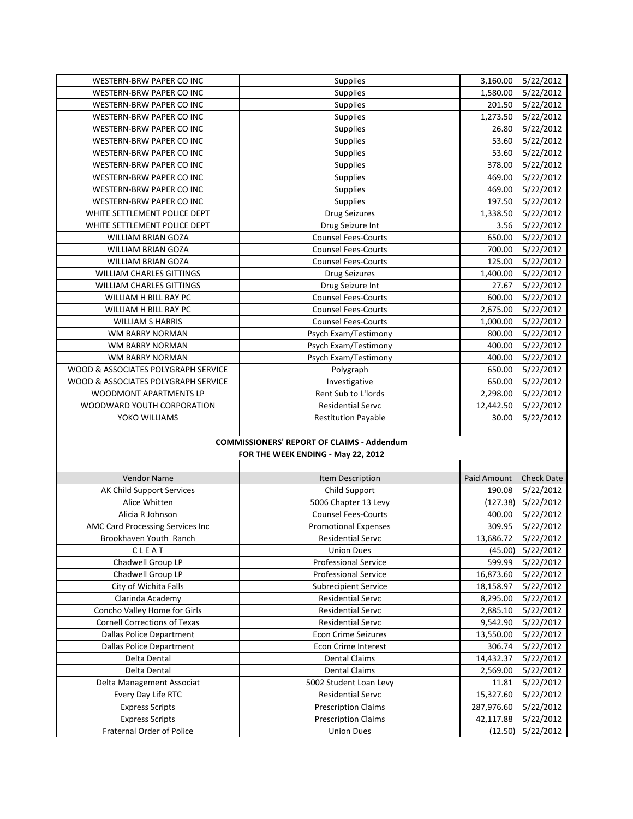| WESTERN-BRW PAPER CO INC            | Supplies                                          | 3,160.00    | 5/22/2012              |
|-------------------------------------|---------------------------------------------------|-------------|------------------------|
| WESTERN-BRW PAPER CO INC            | <b>Supplies</b>                                   | 1,580.00    | 5/22/2012              |
| <b>WESTERN-BRW PAPER CO INC</b>     | <b>Supplies</b>                                   | 201.50      | 5/22/2012              |
| WESTERN-BRW PAPER CO INC            | <b>Supplies</b>                                   | 1,273.50    | 5/22/2012              |
| WESTERN-BRW PAPER CO INC            | <b>Supplies</b>                                   | 26.80       | 5/22/2012              |
| WESTERN-BRW PAPER CO INC            | <b>Supplies</b>                                   | 53.60       | 5/22/2012              |
| WESTERN-BRW PAPER CO INC            | Supplies                                          | 53.60       | 5/22/2012              |
| WESTERN-BRW PAPER CO INC            | <b>Supplies</b>                                   | 378.00      | 5/22/2012              |
| WESTERN-BRW PAPER CO INC            | Supplies                                          | 469.00      | 5/22/2012              |
| WESTERN-BRW PAPER CO INC            | Supplies                                          | 469.00      | 5/22/2012              |
| <b>WESTERN-BRW PAPER CO INC</b>     | Supplies                                          | 197.50      | 5/22/2012              |
| WHITE SETTLEMENT POLICE DEPT        | <b>Drug Seizures</b>                              | 1,338.50    | 5/22/2012              |
| WHITE SETTLEMENT POLICE DEPT        | Drug Seizure Int                                  | 3.56        | 5/22/2012              |
| WILLIAM BRIAN GOZA                  | <b>Counsel Fees-Courts</b>                        | 650.00      | 5/22/2012              |
| WILLIAM BRIAN GOZA                  | <b>Counsel Fees-Courts</b>                        | 700.00      | 5/22/2012              |
| WILLIAM BRIAN GOZA                  | <b>Counsel Fees-Courts</b>                        | 125.00      | 5/22/2012              |
| <b>WILLIAM CHARLES GITTINGS</b>     | <b>Drug Seizures</b>                              | 1,400.00    | 5/22/2012              |
| <b>WILLIAM CHARLES GITTINGS</b>     | Drug Seizure Int                                  | 27.67       | 5/22/2012              |
| WILLIAM H BILL RAY PC               | <b>Counsel Fees-Courts</b>                        | 600.00      | 5/22/2012              |
| WILLIAM H BILL RAY PC               | <b>Counsel Fees-Courts</b>                        | 2,675.00    | 5/22/2012              |
| <b>WILLIAM S HARRIS</b>             | <b>Counsel Fees-Courts</b>                        | 1,000.00    | 5/22/2012              |
| WM BARRY NORMAN                     | Psych Exam/Testimony                              | 800.00      | 5/22/2012              |
| WM BARRY NORMAN                     | Psych Exam/Testimony                              | 400.00      | 5/22/2012              |
| <b>WM BARRY NORMAN</b>              | Psych Exam/Testimony                              | 400.00      | 5/22/2012              |
| WOOD & ASSOCIATES POLYGRAPH SERVICE | Polygraph                                         | 650.00      | 5/22/2012              |
| WOOD & ASSOCIATES POLYGRAPH SERVICE | Investigative                                     | 650.00      | 5/22/2012              |
| WOODMONT APARTMENTS LP              | Rent Sub to L'Iords                               | 2,298.00    | 5/22/2012              |
| WOODWARD YOUTH CORPORATION          | <b>Residential Servc</b>                          | 12,442.50   | 5/22/2012              |
| YOKO WILLIAMS                       | <b>Restitution Payable</b>                        | 30.00       | 5/22/2012              |
|                                     |                                                   |             |                        |
|                                     | <b>COMMISSIONERS' REPORT OF CLAIMS - Addendum</b> |             |                        |
|                                     | FOR THE WEEK ENDING - May 22, 2012                |             |                        |
|                                     |                                                   |             |                        |
| Vendor Name                         | Item Description                                  | Paid Amount | <b>Check Date</b>      |
| AK Child Support Services           | Child Support                                     | 190.08      | 5/22/2012              |
| Alice Whitten                       | 5006 Chapter 13 Levy                              | (127.38)    | 5/22/2012              |
| Alicia R Johnson                    | <b>Counsel Fees-Courts</b>                        | 400.00      | 5/22/2012              |
| AMC Card Processing Services Inc    | <b>Promotional Expenses</b>                       | 309.95      | 5/22/2012              |
| Brookhaven Youth Ranch              | Residential Servc                                 |             | 13,686.72    5/22/2012 |
| CLEAT                               | <b>Union Dues</b>                                 | (45.00)     | 5/22/2012              |
| Chadwell Group LP                   | <b>Professional Service</b>                       | 599.99      | 5/22/2012              |
| Chadwell Group LP                   | <b>Professional Service</b>                       | 16,873.60   | 5/22/2012              |
| City of Wichita Falls               | <b>Subrecipient Service</b>                       | 18,158.97   | 5/22/2012              |
| Clarinda Academy                    | <b>Residential Servc</b>                          | 8,295.00    | 5/22/2012              |
| Concho Valley Home for Girls        | <b>Residential Servc</b>                          | 2,885.10    | 5/22/2012              |
| <b>Cornell Corrections of Texas</b> | <b>Residential Servc</b>                          | 9,542.90    | 5/22/2012              |
| <b>Dallas Police Department</b>     | <b>Econ Crime Seizures</b>                        | 13,550.00   | 5/22/2012              |
| <b>Dallas Police Department</b>     | <b>Econ Crime Interest</b>                        | 306.74      | 5/22/2012              |
| Delta Dental                        | <b>Dental Claims</b>                              | 14,432.37   | 5/22/2012              |
| Delta Dental                        | <b>Dental Claims</b>                              | 2,569.00    | 5/22/2012              |
| Delta Management Associat           | 5002 Student Loan Levy                            | 11.81       | 5/22/2012              |
| Every Day Life RTC                  | Residential Servc                                 | 15,327.60   | 5/22/2012              |
| <b>Express Scripts</b>              | <b>Prescription Claims</b>                        | 287,976.60  | 5/22/2012              |
| <b>Express Scripts</b>              | <b>Prescription Claims</b>                        | 42,117.88   | 5/22/2012              |
| Fraternal Order of Police           | <b>Union Dues</b>                                 | (12.50)     | 5/22/2012              |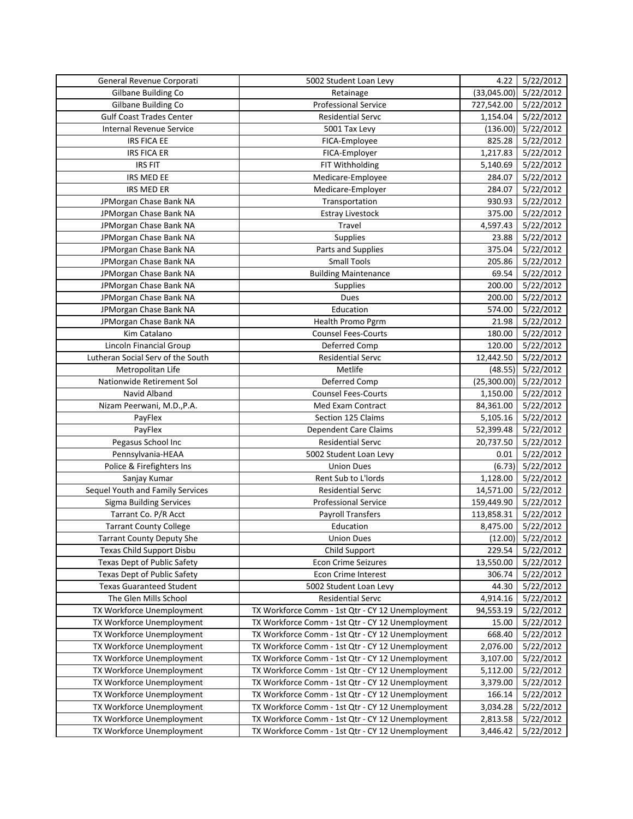| General Revenue Corporati         | 5002 Student Loan Levy                           | 4.22        | 5/22/2012         |
|-----------------------------------|--------------------------------------------------|-------------|-------------------|
| Gilbane Building Co               | Retainage                                        | (33,045.00) | 5/22/2012         |
| Gilbane Building Co               | Professional Service                             | 727,542.00  | 5/22/2012         |
| <b>Gulf Coast Trades Center</b>   | <b>Residential Servc</b>                         | 1,154.04    | 5/22/2012         |
| <b>Internal Revenue Service</b>   | 5001 Tax Levy                                    | (136.00)    | 5/22/2012         |
| <b>IRS FICA EE</b>                | FICA-Employee                                    | 825.28      | 5/22/2012         |
| <b>IRS FICA ER</b>                | FICA-Employer                                    | 1,217.83    | 5/22/2012         |
| <b>IRS FIT</b>                    | FIT Withholding                                  | 5,140.69    | 5/22/2012         |
| IRS MED EE                        | Medicare-Employee                                | 284.07      | 5/22/2012         |
| IRS MED ER                        | Medicare-Employer                                | 284.07      | 5/22/2012         |
| JPMorgan Chase Bank NA            | Transportation                                   | 930.93      | 5/22/2012         |
| JPMorgan Chase Bank NA            | <b>Estray Livestock</b>                          | 375.00      | 5/22/2012         |
| JPMorgan Chase Bank NA            | Travel                                           | 4,597.43    | 5/22/2012         |
| JPMorgan Chase Bank NA            | Supplies                                         | 23.88       | 5/22/2012         |
| JPMorgan Chase Bank NA            | Parts and Supplies                               | 375.04      | 5/22/2012         |
| JPMorgan Chase Bank NA            | <b>Small Tools</b>                               | 205.86      | 5/22/2012         |
| JPMorgan Chase Bank NA            | <b>Building Maintenance</b>                      | 69.54       | 5/22/2012         |
| JPMorgan Chase Bank NA            | Supplies                                         | 200.00      | 5/22/2012         |
| JPMorgan Chase Bank NA            | Dues                                             | 200.00      | 5/22/2012         |
| JPMorgan Chase Bank NA            | Education                                        | 574.00      | 5/22/2012         |
| JPMorgan Chase Bank NA            | Health Promo Pgrm                                | 21.98       | 5/22/2012         |
| Kim Catalano                      | <b>Counsel Fees-Courts</b>                       | 180.00      | 5/22/2012         |
| Lincoln Financial Group           | Deferred Comp                                    | 120.00      | 5/22/2012         |
| Lutheran Social Serv of the South | <b>Residential Servc</b>                         | 12,442.50   | 5/22/2012         |
| Metropolitan Life                 | Metlife                                          | (48.55)     | 5/22/2012         |
| Nationwide Retirement Sol         | Deferred Comp                                    | (25,300.00) | 5/22/2012         |
| Navid Alband                      | <b>Counsel Fees-Courts</b>                       | 1,150.00    | 5/22/2012         |
| Nizam Peerwani, M.D., P.A.        | Med Exam Contract                                | 84,361.00   | 5/22/2012         |
| PayFlex                           | Section 125 Claims                               | 5,105.16    | 5/22/2012         |
| PayFlex                           | Dependent Care Claims                            | 52,399.48   | 5/22/2012         |
| Pegasus School Inc                | <b>Residential Servc</b>                         | 20,737.50   | 5/22/2012         |
| Pennsylvania-HEAA                 | 5002 Student Loan Levy                           | 0.01        | 5/22/2012         |
| Police & Firefighters Ins         | <b>Union Dues</b>                                | (6.73)      | 5/22/2012         |
| Sanjay Kumar                      | Rent Sub to L'Iords                              | 1,128.00    | 5/22/2012         |
| Sequel Youth and Family Services  | <b>Residential Servc</b>                         | 14,571.00   | 5/22/2012         |
| <b>Sigma Building Services</b>    | <b>Professional Service</b>                      | 159,449.90  | 5/22/2012         |
| Tarrant Co. P/R Acct              | <b>Payroll Transfers</b>                         | 113,858.31  | 5/22/2012         |
| <b>Tarrant County College</b>     | Education                                        | 8,475.00    | 5/22/2012         |
| <b>Tarrant County Deputy She</b>  | <b>Union Dues</b>                                |             | (12.00) 5/22/2012 |
| Texas Child Support Disbu         | Child Support                                    | 229.54      | 5/22/2012         |
| Texas Dept of Public Safety       | <b>Econ Crime Seizures</b>                       | 13,550.00   | 5/22/2012         |
| Texas Dept of Public Safety       | <b>Econ Crime Interest</b>                       | 306.74      | 5/22/2012         |
| <b>Texas Guaranteed Student</b>   | 5002 Student Loan Levy                           | 44.30       | 5/22/2012         |
| The Glen Mills School             | Residential Servc                                | 4,914.16    | 5/22/2012         |
| TX Workforce Unemployment         | TX Workforce Comm - 1st Qtr - CY 12 Unemployment | 94,553.19   | 5/22/2012         |
| TX Workforce Unemployment         | TX Workforce Comm - 1st Qtr - CY 12 Unemployment | 15.00       | 5/22/2012         |
| TX Workforce Unemployment         | TX Workforce Comm - 1st Qtr - CY 12 Unemployment | 668.40      | 5/22/2012         |
| TX Workforce Unemployment         | TX Workforce Comm - 1st Qtr - CY 12 Unemployment | 2,076.00    | 5/22/2012         |
| TX Workforce Unemployment         | TX Workforce Comm - 1st Qtr - CY 12 Unemployment | 3,107.00    | 5/22/2012         |
| TX Workforce Unemployment         | TX Workforce Comm - 1st Qtr - CY 12 Unemployment | 5,112.00    | 5/22/2012         |
| TX Workforce Unemployment         | TX Workforce Comm - 1st Qtr - CY 12 Unemployment | 3,379.00    | 5/22/2012         |
| TX Workforce Unemployment         | TX Workforce Comm - 1st Qtr - CY 12 Unemployment | 166.14      | 5/22/2012         |
| TX Workforce Unemployment         | TX Workforce Comm - 1st Qtr - CY 12 Unemployment | 3,034.28    | 5/22/2012         |
| TX Workforce Unemployment         | TX Workforce Comm - 1st Qtr - CY 12 Unemployment | 2,813.58    | 5/22/2012         |
| TX Workforce Unemployment         | TX Workforce Comm - 1st Qtr - CY 12 Unemployment | 3,446.42    | 5/22/2012         |